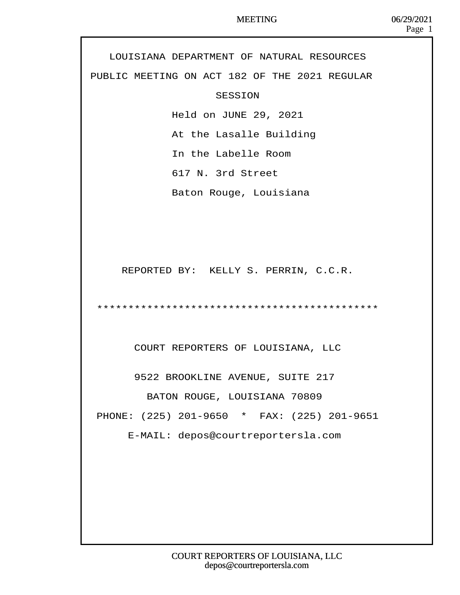LOUISIANA DEPARTMENT OF NATURAL RESOURCES PUBLIC MEETING ON ACT 182 OF THE 2021 REGULAR **SESSION** Held on JUNE 29, 2021 At the Lasalle Building In the Labelle Room 617 N. 3rd Street Baton Rouge, Louisiana REPORTED BY: KELLY S. PERRIN, C.C.R. · · · \*\*\*\*\*\*\*\*\*\*\*\*\*\*\*\*\*\*\*\*\*\*\*\*\*\*\*\*\*\*\*\*\*\*\*\*\*\*\*\*\*\*\*\*\* COURT REPORTERS OF LOUISIANA, LLC 9522 BROOKLINE AVENUE, SUITE 217 BATON ROUGE, LOUISIANA 70809 PHONE: (225) 201-9650 \* FAX: (225) 201-9651 E-MAIL: depos@courtreportersla.com Page 1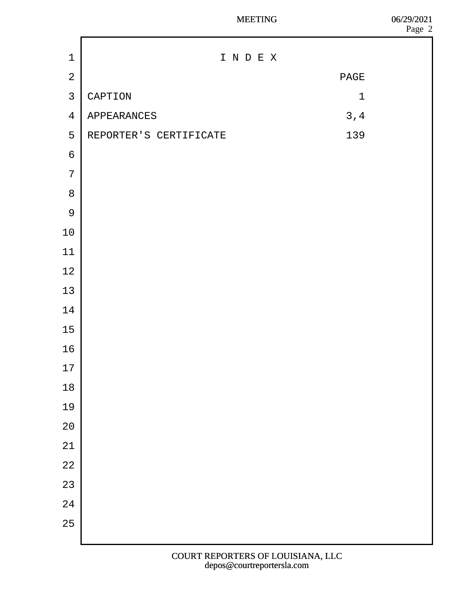|                 |                        |     |     | Page 2 |
|-----------------|------------------------|-----|-----|--------|
| 1               | INDEX                  |     |     |        |
| $\overline{2}$  | <b>PAGE</b>            |     |     |        |
| $\mathfrak{S}$  | <b>CAPTION</b><br>1    |     |     |        |
| $\overline{4}$  | APPEARANCES            | 3,4 |     |        |
| $5\phantom{.0}$ | REPORTER'S CERTIFICATE |     | 139 |        |
| $\,6$           |                        |     |     |        |
| $\overline{7}$  |                        |     |     |        |
| 8               |                        |     |     |        |
| $9$             |                        |     |     |        |
| 10              |                        |     |     |        |
| 11              |                        |     |     |        |
| 12              |                        |     |     |        |
| 13              |                        |     |     |        |
| 14              |                        |     |     |        |
| 15              |                        |     |     |        |
| 16              |                        |     |     |        |
| $17$            |                        |     |     |        |
| 18              |                        |     |     |        |
| 19              |                        |     |     |        |
| 20              |                        |     |     |        |
| 21              |                        |     |     |        |
| 22              |                        |     |     |        |
| 23              |                        |     |     |        |
| 24              |                        |     |     |        |
| 25              |                        |     |     |        |
|                 |                        |     |     |        |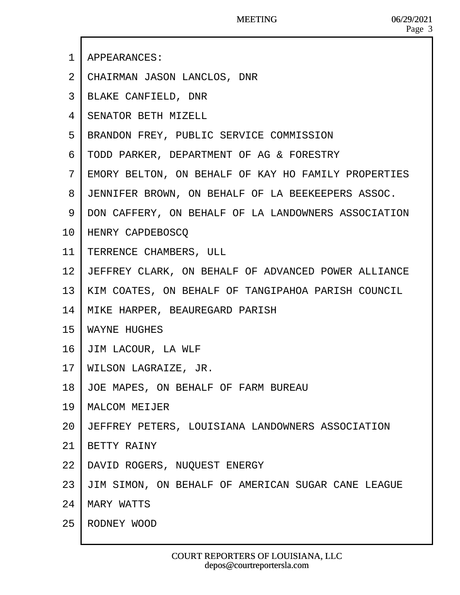- ·1· APPEARANCES:
- 2 CHAIRMAN JASON LANCLOS, DNR
- 3 BLAKE CANFIELD, DNR
- ·4· SENATOR BETH MIZELL
- 5 BRANDON FREY, PUBLIC SERVICE COMMISSION
- ·6· TODD PARKER, DEPARTMENT OF AG & FORESTRY
- ·7· EMORY BELTON, ON BEHALF OF KAY HO FAMILY PROPERTIES
- 8 JENNIFER BROWN, ON BEHALF OF LA BEEKEEPERS ASSOC.
- 9 DON CAFFERY, ON BEHALF OF LA LANDOWNERS ASSOCIATION
- 10· HENRY CAPDEBOSCQ
- 11 TERRENCE CHAMBERS, ULL
- 12 JEFFREY CLARK, ON BEHALF OF ADVANCED POWER ALLIANCE
- 13· KIM COATES, ON BEHALF OF TANGIPAHOA PARISH COUNCIL
- 14· MIKE HARPER, BEAUREGARD PARISH
- 15· WAYNE HUGHES
- 16· JIM LACOUR, LA WLF
- 17· WILSON LAGRAIZE, JR.
- 18· JOE MAPES, ON BEHALF OF FARM BUREAU
- 19· MALCOM MEIJER
- 20· JEFFREY PETERS, LOUISIANA LANDOWNERS ASSOCIATION
- 21· BETTY RAINY
- 22· DAVID ROGERS, NUQUEST ENERGY
- 23· JIM SIMON, ON BEHALF OF AMERICAN SUGAR CANE LEAGUE
- 24· MARY WATTS
- 25 RODNEY WOOD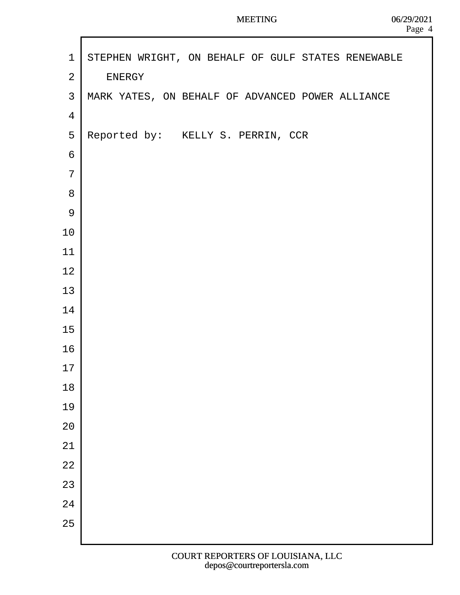```
1 STEPHEN WRIGHT, ON BEHALF OF GULF STATES RENEWABLE
2 ENERGY
3 MARK YATES, ON BEHALF OF ADVANCED POWER ALLIANCE
·4
5 Reported by: KELLY S. PERRIN, CCR
·6
·7
·8
·9
10
11
12
13
14
15
16
17
18
19
20
21
22
23
24
25
```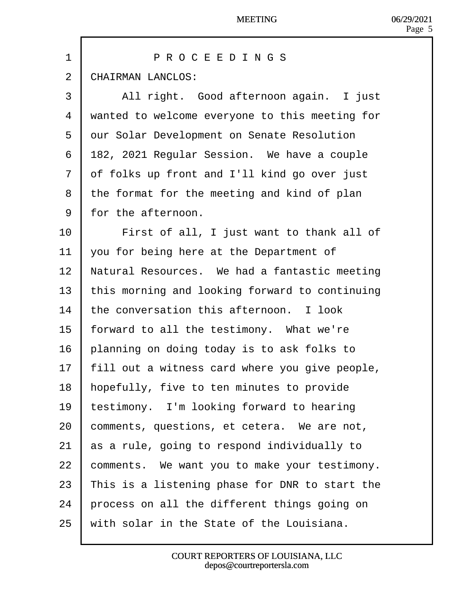| 1              | PROCEEDINGS                                    |
|----------------|------------------------------------------------|
| 2              | <b>CHAIRMAN LANCLOS:</b>                       |
| 3              | All right. Good afternoon again. I just        |
| 4              | wanted to welcome everyone to this meeting for |
| 5              | dur Solar Development on Senate Resolution     |
| 6              | 182, 2021 Regular Session. We have a couple    |
| $\overline{7}$ | df folks up front and I'll kind go over just   |
| 8              | the format for the meeting and kind of plan    |
| 9              | for the afternoon.                             |
| 10             | First of all, I just want to thank all of      |
| 11             | you for being here at the Department of        |
| 12             | Natural Resources. We had a fantastic meeting  |
| 13             | this morning and looking forward to continuing |
| 14             | the conversation this afternoon. I look        |
| 15             | forward to all the testimony. What we're       |
| 16             | planning on doing today is to ask folks to     |
| 17             | fill out a witness card where you give people, |
| 18             | hopefully, five to ten minutes to provide      |
| 19             | estimony. I'm looking forward to hearing       |
| 20             | comments, questions, et cetera. We are not,    |
| 21             | as a rule, going to respond individually to    |
| 22             | comments. We want you to make your testimony.  |
| 23             | This is a listening phase for DNR to start the |
| 24             | process on all the different things going on   |
| 25             | with solar in the State of the Louisiana.      |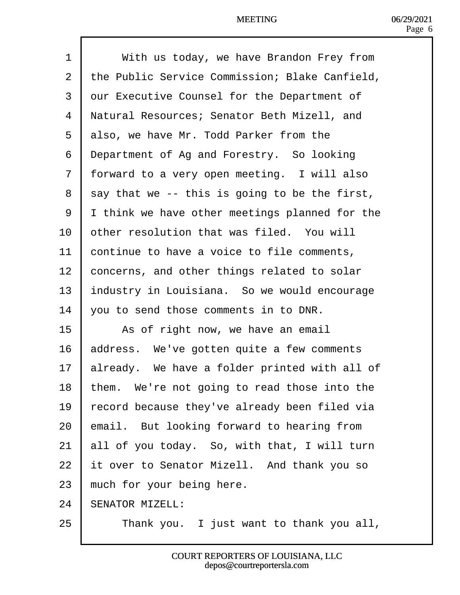| 1              | With us today, we have Brandon Frey from         |
|----------------|--------------------------------------------------|
| $\overline{2}$ | the Public Service Commission; Blake Canfield,   |
| 3              | dur Executive Counsel for the Department of      |
| 4              | Natural Resources; Senator Beth Mizell, and      |
| 5              | also, we have Mr. Todd Parker from the           |
| 6              | <b>Department of Ag and Forestry. So looking</b> |
| $\overline{7}$ | forward to a very open meeting. I will also      |
| 8              | say that we -- this is going to be the first,    |
| 9              | Ithink we have other meetings planned for the    |
| 10             | other resolution that was filed. You will        |
| 11             | continue to have a voice to file comments,       |
| 12             | concerns, and other things related to solar      |
| 13             | ndustry in Louisiana. So we would encourage      |
| 14             | you to send those comments in to DNR.            |
| 15             | As of right now, we have an email                |
| 16             | address. We've gotten quite a few comments       |
| 17             | already. We have a folder printed with all of    |
| 18             | them. We're not going to read those into the     |
| 19             | ecord because they've already been filed via     |
| 20             | email. But looking forward to hearing from       |
| 21             | all of you today. So, with that, I will turn     |
| 22             | t over to Senator Mizell. And thank you so       |
| 23             | much for your being here.                        |
| 24             | <b>SENATOR MIZELL:</b>                           |
| 25             | Thank you. I just want to thank you all,         |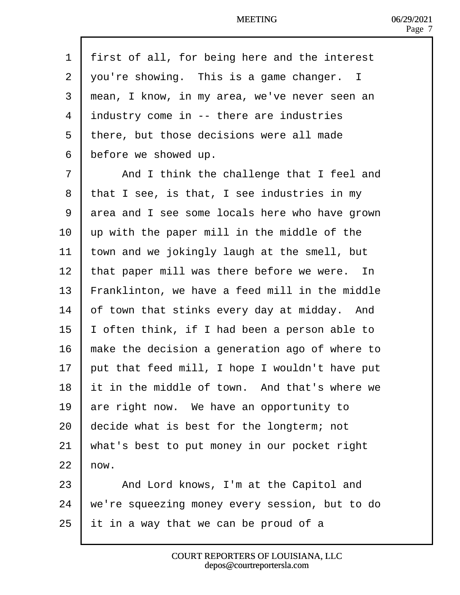| 1              | first of all, for being here and the interest  |
|----------------|------------------------------------------------|
| $\overline{2}$ | you're showing. This is a game changer. I      |
| 3              | mean, I know, in my area, we've never seen an  |
| 4              | industry come in -- there are industries       |
| 5              | there, but those decisions were all made       |
| 6              | before we showed up.                           |
| $\overline{7}$ | And I think the challenge that I feel and      |
| 8              | that I see, is that, I see industries in my    |
| 9              | area and I see some locals here who have grown |
| 10             | up with the paper mill in the middle of the    |
| 11             | town and we jokingly laugh at the smell, but   |
| 12             | that paper mill was there before we were. In   |
| 13             | Franklinton, we have a feed mill in the middle |
| 14             | of town that stinks every day at midday. And   |
| 15             | often think, if I had been a person able to    |
| 16             | make the decision a generation ago of where to |
| 17             | but that feed mill, I hope I wouldn't have put |
| 18             | It in the middle of town. And that's where we  |
| 19             | are right now. We have an opportunity to       |
| 20             | decide what is best for the longterm; not      |
| 21             | what's best to put money in our pocket right   |
| 22             | how.                                           |
| 23             | And Lord knows, I'm at the Capitol and         |
| 24             | we're squeezing money every session, but to do |
| 25             | It in a way that we can be proud of a          |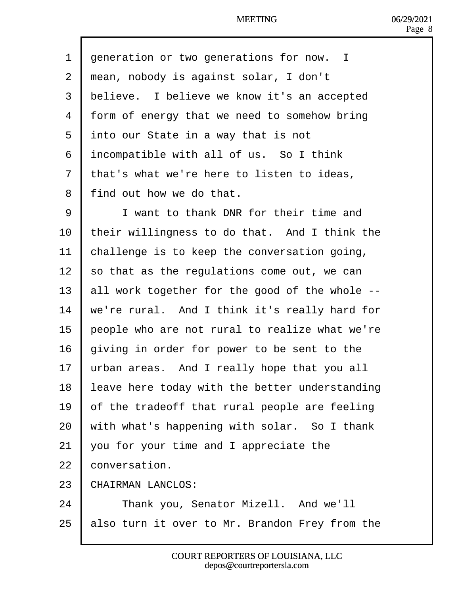1 deneration or two generations for now. I 2 rhean, nobody is against solar, I don't 3 believe. I believe we know it's an accepted 4 form of energy that we need to somehow bring 5 into our State in a way that is not 6 incompatible with all of us. So I think 7 that's what we're here to listen to ideas, 8 find out how we do that. 9 **I** I want to thank DNR for their time and 10 their willingness to do that. And I think the 11 bhallenge is to keep the conversation going, 12  $\,$  so that as the regulations come out, we can 13 **all work together for the good of the whole --**14 we're rural. And I think it's really hard for 15 **beople who are not rural to realize what we're** 16 giving in order for power to be sent to the 17 urban areas. And I really hope that you all 18 leave here today with the better understanding 19  $\theta$  of the tradeoff that rural people are feeling 20 with what's happening with solar. So I thank 21  $\sqrt{v}$  vou for your time and I appreciate the 22 **conversation.** 23 CHAIRMAN LANCLOS: 24 | Thank you, Senator Mizell. And we'll 25 **balso turn it over to Mr. Brandon Frey from the**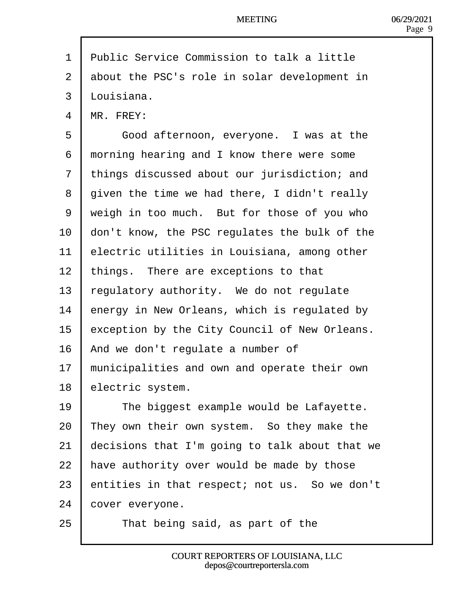- 1 Public Service Commission to talk a little
- 2 about the PSC's role in solar development in
- 3 Llouisiana.
- 4 MR. FREY:
- 5 | Good afternoon, everyone. I was at the
- 6 rhorning hearing and I know there were some
- 7 things discussed about our jurisdiction; and
- 8 diven the time we had there, I didn't really
- 9 wheigh in too much. But for those of you who
- 10 don't know, the PSC regulates the bulk of the
- 11 **Electric utilities in Louisiana, among other**
- 12 things. There are exceptions to that
- 13 regulatory authority. We do not regulate
- 14 **E**nergy in New Orleans, which is regulated by
- 15 exception by the City Council of New Orleans.
- 16 And we don't regulate a number of
- 17 municipalities and own and operate their own
- 18 electric system.
- 19 | The biggest example would be Lafayette.
- 20  $\mathbb{R}$  They own their own system. So they make the
- 21  $\theta$  decisions that I'm going to talk about that we
- 22 have authority over would be made by those
- 23 **b** entities in that respect; not us. So we don't
- 24 **cover everyone.**
- $25$  | That being said, as part of the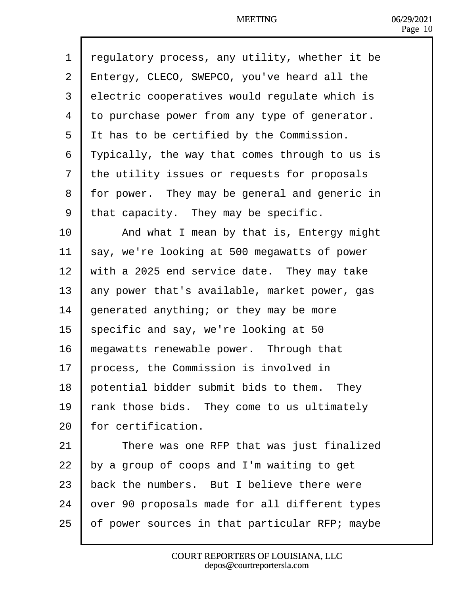| 1              | regulatory process, any utility, whether it be      |
|----------------|-----------------------------------------------------|
| 2              | <b>Entergy, CLECO, SWEPCO, you've heard all the</b> |
| 3              | electric cooperatives would regulate which is       |
| 4              | to purchase power from any type of generator.       |
| 5              | It has to be certified by the Commission.           |
| 6              | Typically, the way that comes through to us is      |
| $\overline{7}$ | the utility issues or requests for proposals        |
| 8              | for power. They may be general and generic in       |
| 9              | that capacity. They may be specific.                |
| 10             | And what I mean by that is, Entergy might           |
| 11             | say, we're looking at 500 megawatts of power        |
| 12             | with a 2025 end service date. They may take         |
| 13             | any power that's available, market power, gas       |
| 14             | generated anything; or they may be more             |
| 15             | specific and say, we're looking at 50               |
| 16             | megawatts renewable power. Through that             |
| 17             | process, the Commission is involved in              |
| 18             | potential bidder submit bids to them. They          |
| 19             | ank those bids. They come to us ultimately          |
| 20             | or certification.                                   |
| 21             | There was one RFP that was just finalized           |
| 22             | by a group of coops and I'm waiting to get          |
| 23             | back the numbers. But I believe there were          |
| 24             | over 90 proposals made for all different types      |
| 25             | of power sources in that particular RFP; maybe      |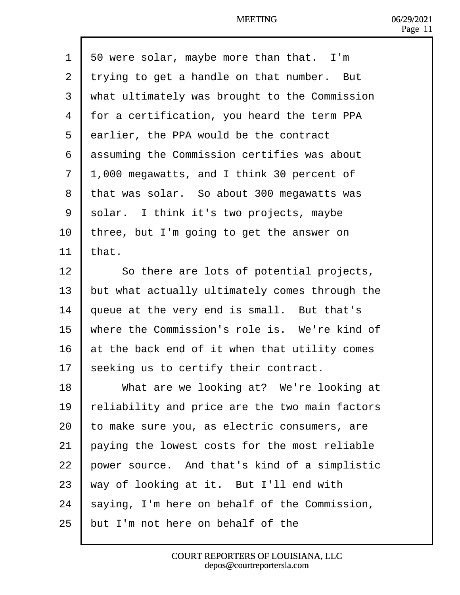| 1              | 50 were solar, maybe more than that. I'm       |
|----------------|------------------------------------------------|
| $\overline{2}$ | trying to get a handle on that number. But     |
| 3              | what ultimately was brought to the Commission  |
| $\overline{4}$ | for a certification, you heard the term PPA    |
| 5              | darlier, the PPA would be the contract         |
| 6              | dssuming the Commission certifies was about    |
| $\overline{7}$ | 1,000 megawatts, and I think 30 percent of     |
| 8              | that was solar. So about 300 megawatts was     |
| 9              | solar. I think it's two projects, maybe        |
| 10             | three, but I'm going to get the answer on      |
| 11             | that.                                          |
| 12             | So there are lots of potential projects,       |
| 13             | but what actually ultimately comes through the |
| 14             | queue at the very end is small. But that's     |
| 15             | where the Commission's role is. We're kind of  |
| 16             | at the back end of it when that utility comes  |
| 17             | seeking us to certify their contract.          |
| 18             | What are we looking at? We're looking at       |
| 19             | eliability and price are the two main factors  |
| 20             | o make sure you, as electric consumers, are    |
| 21             | paying the lowest costs for the most reliable  |
| 22             | power source. And that's kind of a simplistic  |
| 23             | way of looking at it. But I'll end with        |
| 24             | saying, I'm here on behalf of the Commission,  |
| 25             | but I'm not here on behalf of the              |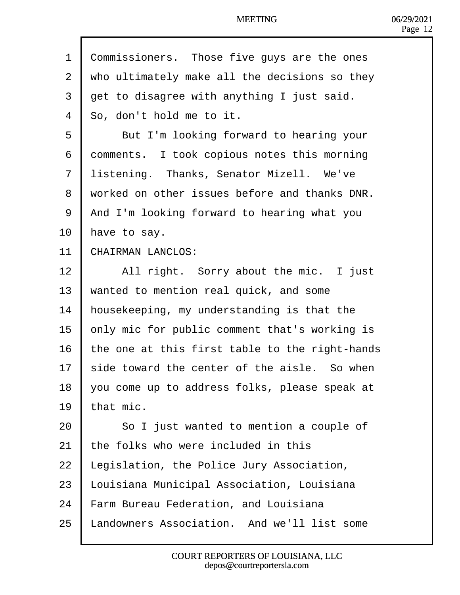1 Commissioners. Those five guys are the ones 2 v/ho ultimately make all the decisions so they 3 det to disagree with anything I just said. 4 **So**, don't hold me to it. 5 | But I'm looking forward to hearing your 6 domments. I took copious notes this morning 7 listening. Thanks, Senator Mizell. We've 8 viorked on other issues before and thanks DNR. 9 And I'm looking forward to hearing what you 10 have to say. 11 CHAIRMAN LANCLOS: 12 | All right. Sorry about the mic. I just 13 wanted to mention real quick, and some 14 housekeeping, my understanding is that the 15 bnly mic for public comment that's working is 16 the one at this first table to the right-hands 17 side toward the center of the aisle. So when 18  $\sqrt{v}$  you come up to address folks, please speak at 19 that mic.  $20$  | So I just wanted to mention a couple of 21 the folks who were included in this 22 Legislation, the Police Jury Association, 23 Louisiana Municipal Association, Louisiana 24 Farm Bureau Federation, and Louisiana 25 Landowners Association. And we'll list some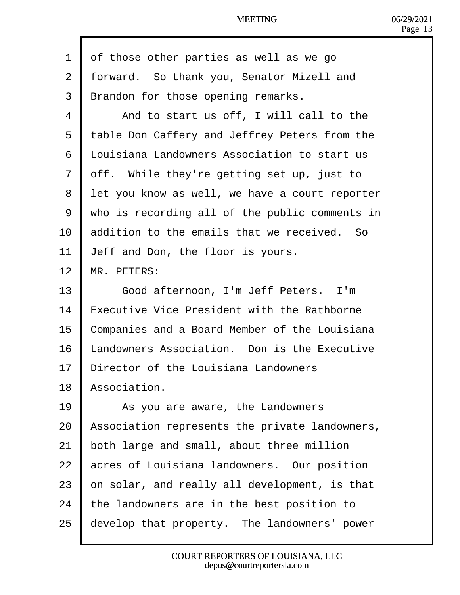|  | 1 df those other parties as well as we go |
|--|-------------------------------------------|
|--|-------------------------------------------|

- 2 forward. So thank you, Senator Mizell and
- 3 Brandon for those opening remarks.
- 4 | And to start us off, I will call to the
- 5 table Don Caffery and Jeffrey Peters from the
- 6 Llouisiana Landowners Association to start us
- 7 dff. While they're getting set up, just to
- 8 let you know as well, we have a court reporter
- ·9· ·who is recording all of the public comments in
- 10 **b**ddition to the emails that we received. So
- 11 **Jeff and Don, the floor is yours.**
- 12 MR. PETERS:
- 13 | Good afternoon, I'm Jeff Peters. I'm
- 14 Executive Vice President with the Rathborne
- 15 Companies and a Board Member of the Louisiana
- 16 Landowners Association. Don is the Executive
- 17 Director of the Louisiana Landowners
- 18 Association.
- 19 | As you are aware, the Landowners
- 20 Association represents the private landowners,
- 21 both large and small, about three million
- 22 acres of Louisiana landowners. Our position
- $23$  bn solar, and really all development, is that
- 24 the landowners are in the best position to
- 25 develop that property. The landowners' power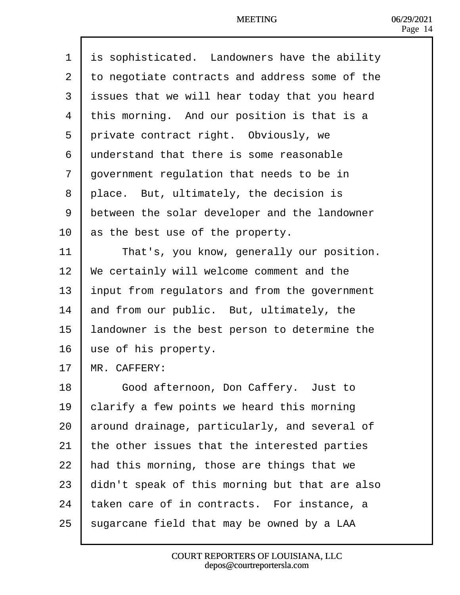| 1              | is sophisticated. Landowners have the ability  |
|----------------|------------------------------------------------|
| $\overline{2}$ | to negotiate contracts and address some of the |
| 3              | issues that we will hear today that you heard  |
| 4              | this morning. And our position is that is a    |
| 5              | private contract right. Obviously, we          |
| 6              | understand that there is some reasonable       |
| $\overline{7}$ | government regulation that needs to be in      |
| 8              | place. But, ultimately, the decision is        |
| 9              | between the solar developer and the landowner  |
| 10             | as the best use of the property.               |
| 11             | That's, you know, generally our position.      |
| 12             | We certainly will welcome comment and the      |
| 13             | Input from regulators and from the government  |
| 14             | and from our public. But, ultimately, the      |
| 15             | andowner is the best person to determine the   |
| 16             | use of his property.                           |
| 17             | MR. CAFFERY:                                   |
| 18             | Good afternoon, Don Caffery. Just to           |
| 19             | clarify a few points we heard this morning     |
| 20             | around drainage, particularly, and several of  |
| 21             | the other issues that the interested parties   |
| 22             | had this morning, those are things that we     |
| 23             | didn't speak of this morning but that are also |
| 24             | aken care of in contracts. For instance, a     |
| 25             | sugarcane field that may be owned by a LAA     |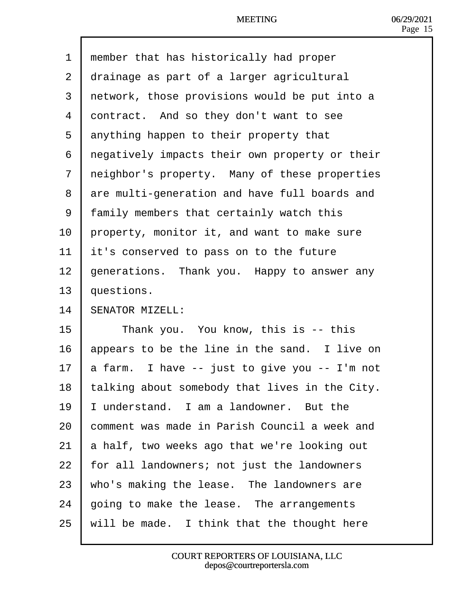| member that has historically had proper<br>$\overline{1}$ |
|-----------------------------------------------------------|
|-----------------------------------------------------------|

- 2 drainage as part of a larger agricultural
- 3 retwork, those provisions would be put into a
- 4 dontract. And so they don't want to see
- 5 dnything happen to their property that
- 6 regatively impacts their own property or their
- 7 reighbor's property. Many of these properties
- 8 dre multi-generation and have full boards and
- ·9· ·family members that certainly watch this
- 10 property, monitor it, and want to make sure
- 11 **it's conserved to pass on to the future**
- 12 generations. Thank you. Happy to answer any
- 13 **questions.**
- 14 **SENATOR MIZELL:**
- 15 **Thank you.** You know, this is -- this
- 16 appears to be the line in the sand. I live on
- 17  $\mu$  farm. I have -- just to give you -- I'm not
- 18 talking about somebody that lives in the City.
- 19 **I** understand. I am a landowner. But the
- 20 **comment was made in Parish Council a week and**
- 21  $\,$  a half, two weeks ago that we're looking out
- 22 for all landowners; not just the landowners
- 23  $\,$  who's making the lease. The landowners are
- 24  $\,$  going to make the lease. The arrangements
- 25 will be made. I think that the thought here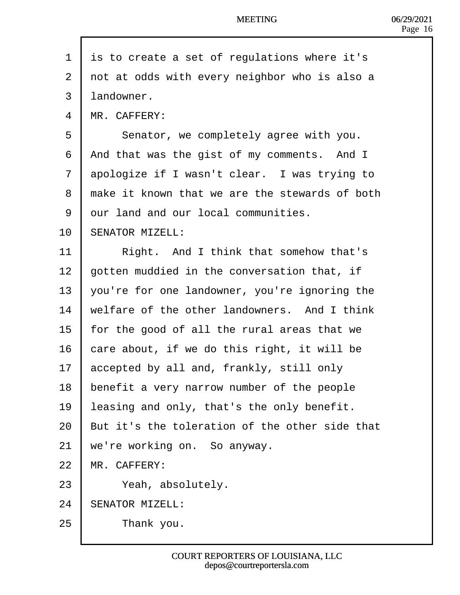- 1 is to create a set of regulations where it's
- 2 dot at odds with every neighbor who is also a
- 3 landowner.
- 4 MR. CAFFERY:
- 5 | Senator, we completely agree with you.
- 6 And that was the gist of my comments. And I
- 7 dpologize if I wasn't clear. I was trying to
- 8 hake it known that we are the stewards of both
- 9 dur land and our local communities.
- 10 **SENATOR MIZELL:**
- 11 | Right. And I think that somehow that's
- 12 **b**otten muddied in the conversation that, if
- 13  $\sqrt{2}$  you're for one landowner, you're ignoring the
- 14 welfare of the other landowners. And I think
- 15 for the good of all the rural areas that we
- 16  $\epsilon$  care about, if we do this right, it will be
- 17 accepted by all and, frankly, still only
- 18 benefit a very narrow number of the people
- 19 leasing and only, that's the only benefit.
- 20 But it's the toleration of the other side that
- 21 we're working on. So anyway.
- 22 MR. CAFFERY:
- 23 Yeah, absolutely.
- 24 **SENATOR MIZELL:**
- $25$  | Thank you.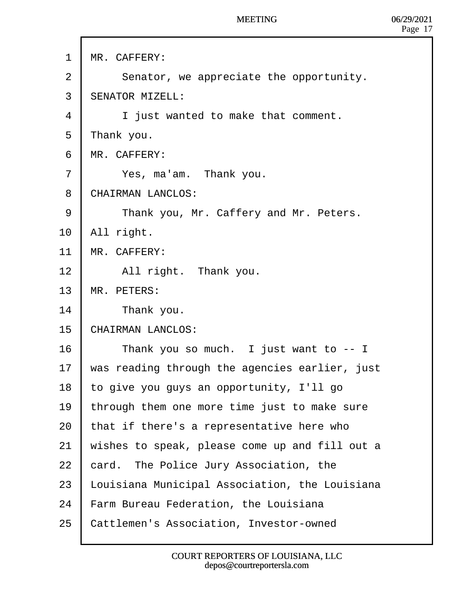| <b>MR. CAFFERY:</b> |
|---------------------|
|---------------------|

- 2 | Senator, we appreciate the opportunity.
- 3 **SENATOR MIZELL:**
- 4 | i just wanted to make that comment.
- 5 Thank you.
- 6 MR. CAFFERY:
- $7$  | Yes, ma'am. Thank you.
- 8 CHAIRMAN LANCLOS:
- 9 | Thank you, Mr. Caffery and Mr. Peters.
- 10 All right.
- 11 MR. CAFFERY:
- 12 | All right. Thank you.
- 13 MR. PETERS:
- 14 **F** Thank you.
- 15 CHAIRMAN LANCLOS:
- 16 | Thank you so much. I just want to -- I
- 17 was reading through the agencies earlier, just
- 18 to give you guys an opportunity, I'll go
- 19 through them one more time just to make sure
- 20  $\frac{1}{2}$  that if there's a representative here who
- 21 wishes to speak, please come up and fill out a
- 22 bard. The Police Jury Association, the
- 23 Louisiana Municipal Association, the Louisiana
- 24 Farm Bureau Federation, the Louisiana
- 25 Cattlemen's Association, Investor-owned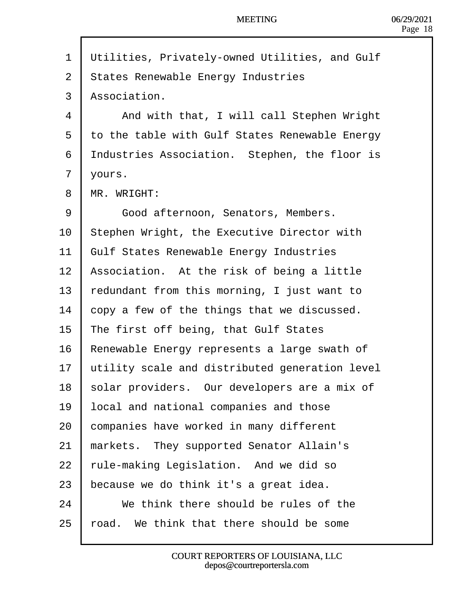| 1  | <b>Willities, Privately-owned Utilities, and Gulf</b> |  |
|----|-------------------------------------------------------|--|
| 2  | <b>States Renewable Energy Industries</b>             |  |
| 3  | Association.                                          |  |
| 4  | And with that, I will call Stephen Wright             |  |
| 5  | to the table with Gulf States Renewable Energy        |  |
| 6  | Industries Association. Stephen, the floor is         |  |
| 7  | yours.                                                |  |
| 8  | <b>MR. WRIGHT:</b>                                    |  |
| 9  | Good afternoon, Senators, Members.                    |  |
| 10 | Stephen Wright, the Executive Director with           |  |
| 11 | <b>Gulf States Renewable Energy Industries</b>        |  |
| 12 | Association. At the risk of being a little            |  |
| 13 | edundant from this morning, I just want to            |  |
| 14 | copy a few of the things that we discussed.           |  |
| 15 | <b>The first off being, that Gulf States</b>          |  |
| 16 | Renewable Energy represents a large swath of          |  |
| 17 | utility scale and distributed generation level        |  |
| 18 | solar providers. Our developers are a mix of          |  |
| 19 | ocal and national companies and those                 |  |
| 20 | companies have worked in many different               |  |
| 21 | markets. They supported Senator Allain's              |  |
| 22 | ule-making Legislation. And we did so                 |  |
| 23 | because we do think it's a great idea.                |  |
| 24 | We think there should be rules of the                 |  |
| 25 | oad. We think that there should be some               |  |
|    |                                                       |  |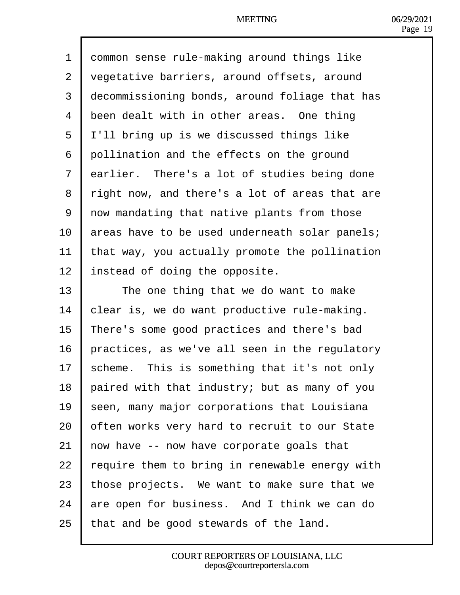| 1              | dommon sense rule-making around things like    |
|----------------|------------------------------------------------|
| $\overline{2}$ | vegetative barriers, around offsets, around    |
| 3              | decommissioning bonds, around foliage that has |
| 4              | been dealt with in other areas. One thing      |
| 5              | I'll bring up is we discussed things like      |
| 6              | dollination and the effects on the ground      |
| $\overline{7}$ | darlier. There's a lot of studies being done   |
| 8              | right now, and there's a lot of areas that are |
| 9              | now mandating that native plants from those    |
| 10             | areas have to be used underneath solar panels; |
| 11             | that way, you actually promote the pollination |
| 12             | Instead of doing the opposite.                 |
| 13             | The one thing that we do want to make          |
| 14             | clear is, we do want productive rule-making.   |
| 15             | There's some good practices and there's bad    |
| 16             | practices, as we've all seen in the regulatory |
| 17             | scheme. This is something that it's not only   |
| 18             | paired with that industry; but as many of you  |
| 19             | seen, many major corporations that Louisiana   |
| 20             | often works very hard to recruit to our State  |
| 21             | how have -- now have corporate goals that      |
| 22             | equire them to bring in renewable energy with  |
| 23             | those projects. We want to make sure that we   |
| 24             | are open for business. And I think we can do   |
| 25             | that and be good stewards of the land.         |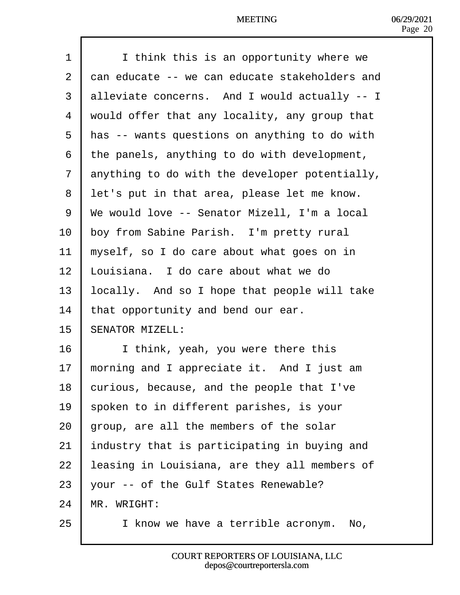| 1              | I think this is an opportunity where we        |
|----------------|------------------------------------------------|
| 2              | dan educate -- we can educate stakeholders and |
| 3              | alleviate concerns. And I would actually -- I  |
| 4              | would offer that any locality, any group that  |
| 5              | Has -- wants questions on anything to do with  |
| 6              | the panels, anything to do with development,   |
| $\overline{7}$ | anything to do with the developer potentially, |
| 8              | let's put in that area, please let me know.    |
| 9              | We would love -- Senator Mizell, I'm a local   |
| 10             | boy from Sabine Parish. I'm pretty rural       |
| 11             | myself, so I do care about what goes on in     |
| 12             | Louisiana. I do care about what we do          |
| 13             | ocally. And so I hope that people will take    |
| 14             | that opportunity and bend our ear.             |
| 15             | <b>SENATOR MIZELL:</b>                         |
| 16             | I think, yeah, you were there this             |
| 17             | morning and I appreciate it. And I just am     |
| 18             | curious, because, and the people that I've     |
| 19             | spoken to in different parishes, is your       |
| 20             | group, are all the members of the solar        |
| 21             | Industry that is participating in buying and   |
| 22             | easing in Louisiana, are they all members of   |
| 23             | your -- of the Gulf States Renewable?          |
| 24             | MR. WRIGHT:                                    |
| 25             | I know we have a terrible acronym. No,         |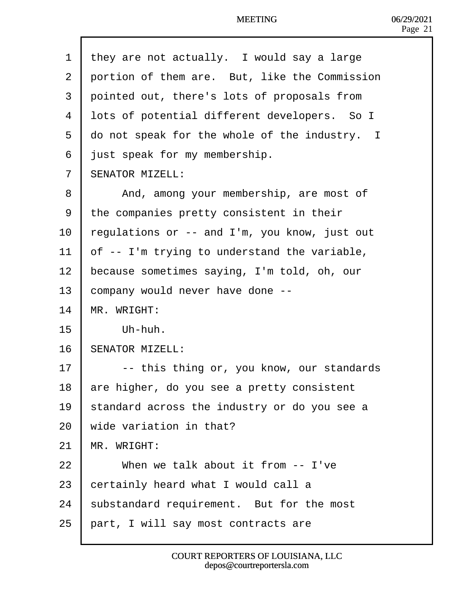| 1              | they are not actually. I would say a large                      |
|----------------|-----------------------------------------------------------------|
| 2              | portion of them are. But, like the Commission                   |
| 3              | pointed out, there's lots of proposals from                     |
| 4              | lots of potential different developers. So I                    |
| 5              | do not speak for the whole of the industry. I                   |
| 6              | just speak for my membership.                                   |
| $\overline{7}$ | <b>SENATOR MIZELL:</b>                                          |
|                |                                                                 |
| 8              | And, among your membership, are most of                         |
| 9              | the companies pretty consistent in their                        |
| 10             | egulations or -- and I'm, you know, just out                    |
| 11             | of -- I'm trying to understand the variable,                    |
| 12             | because sometimes saying, I'm told, oh, our                     |
| 13             | company would never have done --                                |
| 14             | <b>MR. WRIGHT:</b>                                              |
| 15             | Uh-huh.                                                         |
| 16             | SENATOR MIZELL:                                                 |
| 17             | -- this thing or, you know, our standards                       |
| 18             | are higher, do you see a pretty consistent                      |
| 19             | standard across the industry or do you see a                    |
| 20             | wide variation in that?                                         |
| 21             | MR. WRIGHT:                                                     |
| 22             | When we talk about it from -- I've                              |
| 23             | certainly heard what I would call a                             |
| 24             | substandard requirement. But for the most                       |
| 25             | part, I will say most contracts are                             |
|                |                                                                 |
|                | COURT REPORTERS OF LOUISIANA, LLC<br>depos@courtreportersla.com |
|                |                                                                 |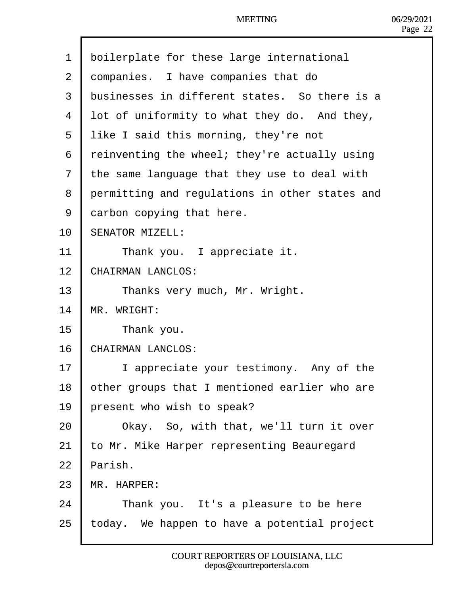- 1 boilerplate for these large international
- 2 dompanies. I have companies that do
- 3 blusinesses in different states. So there is a
- 4 lot of uniformity to what they do. And they,
- 5 like I said this morning, they're not
- 6 reinventing the wheel; they're actually using
- 7 the same language that they use to deal with
- 8 permitting and regulations in other states and
- 9 darbon copying that here.
- 10 **SENATOR MIZELL:**
- 11 **I** Thank you. I appreciate it.
- 12 CHAIRMAN LANCLOS:
- 13 | Thanks very much, Mr. Wright.
- 14 MR. WRIGHT:
- 15 | Thank you.
- 16 CHAIRMAN LANCLOS:
- 17 | I appreciate your testimony. Any of the
- 18 bther groups that I mentioned earlier who are
- 19 **present who wish to speak?**
- 20 **| Okay.** So, with that, we'll turn it over
- 21 to Mr. Mike Harper representing Beauregard
- 22 Parish.
- 23 MR HARPER:
- $24$  | Thank you. It's a pleasure to be here
- 25 today. We happen to have a potential project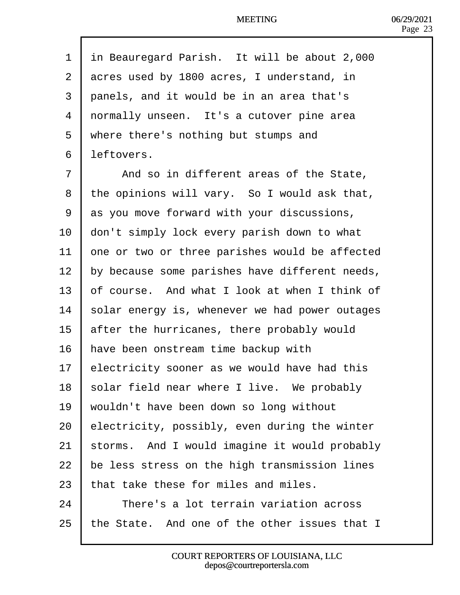| 1              | in Beauregard Parish. It will be about 2,000   |
|----------------|------------------------------------------------|
| $\overline{2}$ | acres used by 1800 acres, I understand, in     |
| 3              | panels, and it would be in an area that's      |
| 4              | normally unseen. It's a cutover pine area      |
| 5              | where there's nothing but stumps and           |
| 6              | leftovers.                                     |
| $\overline{7}$ | And so in different areas of the State,        |
| 8              | the opinions will vary. So I would ask that,   |
| 9              | as you move forward with your discussions,     |
| 10             | don't simply lock every parish down to what    |
| 11             | one or two or three parishes would be affected |
| 12             | by because some parishes have different needs, |
| 13             | of course. And what I look at when I think of  |
| 14             | solar energy is, whenever we had power outages |
| 15             | after the hurricanes, there probably would     |
| 16             | have been onstream time backup with            |
| 17             | electricity sooner as we would have had this   |
| 18             | solar field near where I live. We probably     |
| 19             | wouldn't have been down so long without        |
| 20             | electricity, possibly, even during the winter  |
| 21             | storms. And I would imagine it would probably  |
| 22             | be less stress on the high transmission lines  |
| 23             | that take these for miles and miles.           |
| 24             | There's a lot terrain variation across         |
| 25             | the State. And one of the other issues that I  |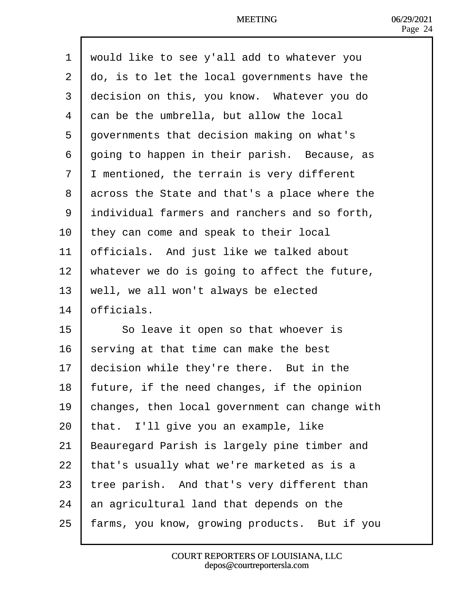- 1 would like to see y'all add to whatever you
- 2 do, is to let the local governments have the
- 3 decision on this, you know. Whatever you do
- 4 dan be the umbrella, but allow the local
- 5 dovernments that decision making on what's
- 6 going to happen in their parish. Because, as
- 7 Imentioned, the terrain is very different
- 8 d cross the State and that's a place where the
- 9 *individual farmers and ranchers and so forth,*
- 10 they can come and speak to their local
- 11 **betally** betalled about and just like we talked about
- 12 Whatever we do is going to affect the future,
- 13 well, we all won't always be elected
- 14 **b**fficials.
- 15  **So leave it open so that whoever is**
- 16 serving at that time can make the best
- 17 decision while they're there. But in the
- 18 future, if the need changes, if the opinion
- 19 changes, then local government can change with
- 20 that. I'll give you an example, like
- 21 Beauregard Parish is largely pine timber and
- 22  $\frac{1}{2}$  that's usually what we're marketed as is a
- 23  $\frac{1}{2}$  ree parish. And that's very different than
- 24 an agricultural land that depends on the
- 25 farms, you know, growing products. But if you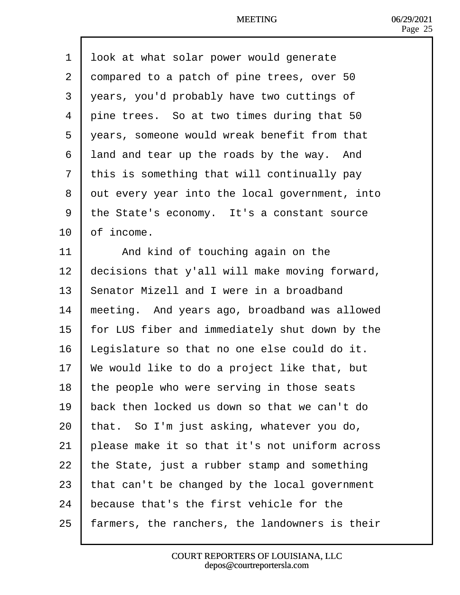| 1              | look at what solar power would generate        |
|----------------|------------------------------------------------|
| $\overline{2}$ | dompared to a patch of pine trees, over 50     |
| 3              | years, you'd probably have two cuttings of     |
| 4              | pine trees. So at two times during that 50     |
| 5              | years, someone would wreak benefit from that   |
| 6              | land and tear up the roads by the way. And     |
| 7              | this is something that will continually pay    |
| 8              | dut every year into the local government, into |
| 9              | the State's economy. It's a constant source    |
| 10             | of income.                                     |
| 11             | And kind of touching again on the              |
| 12             | decisions that y'all will make moving forward, |
| 13             | Senator Mizell and I were in a broadband       |
| 14             | meeting. And years ago, broadband was allowed  |
| 15             | for LUS fiber and immediately shut down by the |
| 16             | Legislature so that no one else could do it.   |
| 17             | We would like to do a project like that, but   |
| 18             | the people who were serving in those seats     |
| 19             | back then locked us down so that we can't do   |
| 20             | that. So I'm just asking, whatever you do,     |
| 21             | blease make it so that it's not uniform across |
| 22             | the State, just a rubber stamp and something   |
| 23             | that can't be changed by the local government  |
| 24             | because that's the first vehicle for the       |
| 25             | armers, the ranchers, the landowners is their  |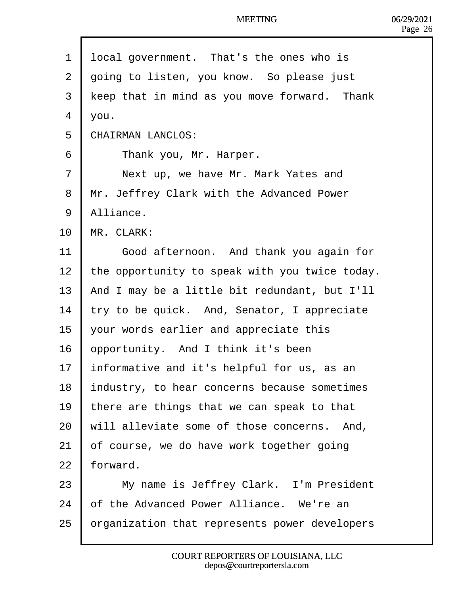- 1 local government. That's the ones who is
- 2 doing to listen, you know. So please just
- 3 keep that in mind as you move forward. Thank
- $4$   $\sqrt{ou}$ .
- 5 CHAIRMAN LANCLOS:
- 6 | Thank you, Mr. Harper.
- 7 | Next up, we have Mr. Mark Yates and
- 8 Mr. Jeffrey Clark with the Advanced Power
- 9 Alliance.
- $10$  MR. CLARK:
- 11 | Good afternoon. And thank you again for
- 12 the opportunity to speak with you twice today.
- 13 And I may be a little bit redundant, but I'll
- 14  $\frac{1}{2}$  try to be quick. And, Senator, I appreciate
- 15 your words earlier and appreciate this
- 16 **b** opportunity. And I think it's been
- 17 **Informative and it's helpful for us, as an**
- 18 **Industry, to hear concerns because sometimes**
- 19 there are things that we can speak to that
- 20 will alleviate some of those concerns. And,
- 21 b f course, we do have work together going
- 22 forward.
- 23 | My name is Jeffrey Clark. I'm President
- 24 b f the Advanced Power Alliance. We're an
- 25 brganization that represents power developers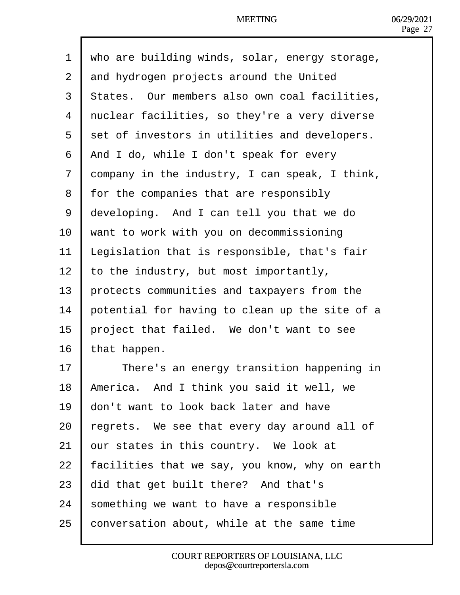|  | 1 who are building winds, solar, energy storage, |  |  |  |  |  |
|--|--------------------------------------------------|--|--|--|--|--|
|--|--------------------------------------------------|--|--|--|--|--|

- 2 dnd hydrogen projects around the United
- 3 States. Our members also own coal facilities,
- 4 duclear facilities, so they're a very diverse
- 5 set of investors in utilities and developers.
- 6 And I do, while I don't speak for every
- 7 dompany in the industry, I can speak, I think,
- 8 for the companies that are responsibly
- 9 developing. And I can tell you that we do
- 10 want to work with you on decommissioning
- 11 Legislation that is responsible, that's fair
- 12 to the industry, but most importantly,
- 13 **brotects communities and taxpayers from the**
- 14 potential for having to clean up the site of a
- 15 **project that failed.** We don't want to see
- 16 that happen.
- 17 **Figure** There's an energy transition happening in
- 18 America. And I think you said it well, we
- 19 **don't want to look back later and have**
- 20  $\frac{1}{20}$  egrets. We see that every day around all of
- 21 bur states in this country. We look at
- 22 facilities that we say, you know, why on earth
- 23 did that get built there? And that's
- 24 something we want to have a responsible
- 25  $\,$  conversation about, while at the same time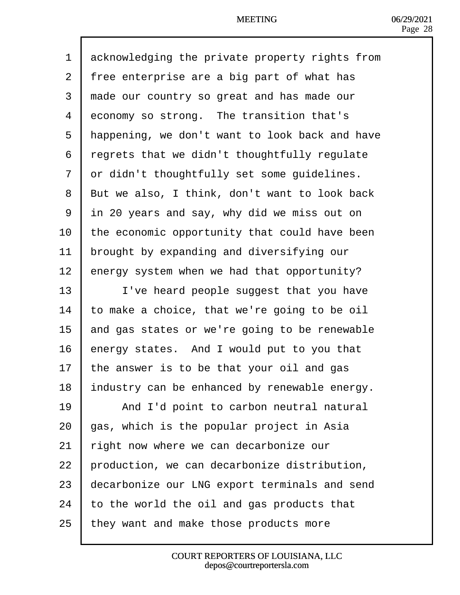| 1              | acknowledging the private property rights from |
|----------------|------------------------------------------------|
| $\overline{2}$ | free enterprise are a big part of what has     |
| 3              | made our country so great and has made our     |
| 4              | economy so strong. The transition that's       |
| 5              | Happening, we don't want to look back and have |
| 6              | regrets that we didn't thoughtfully regulate   |
| $\overline{7}$ | dr didn't thoughtfully set some guidelines.    |
| 8              | But we also, I think, don't want to look back  |
| 9              | in 20 years and say, why did we miss out on    |
| 10             | the economic opportunity that could have been  |
| 11             | brought by expanding and diversifying our      |
| 12             | energy system when we had that opportunity?    |
| 13             | I've heard people suggest that you have        |
| 14             | o make a choice, that we're going to be oil    |
| 15             | and gas states or we're going to be renewable  |
| 16             | energy states. And I would put to you that     |
| 17             | he answer is to be that your oil and gas       |
| 18             | industry can be enhanced by renewable energy.  |
| 19             | And I'd point to carbon neutral natural        |
| 20             | gas, which is the popular project in Asia      |
| 21             | ight now where we can decarbonize our          |
| 22             | production, we can decarbonize distribution,   |
| 23             | decarbonize our LNG export terminals and send  |
| 24             | to the world the oil and gas products that     |
| 25             | they want and make those products more         |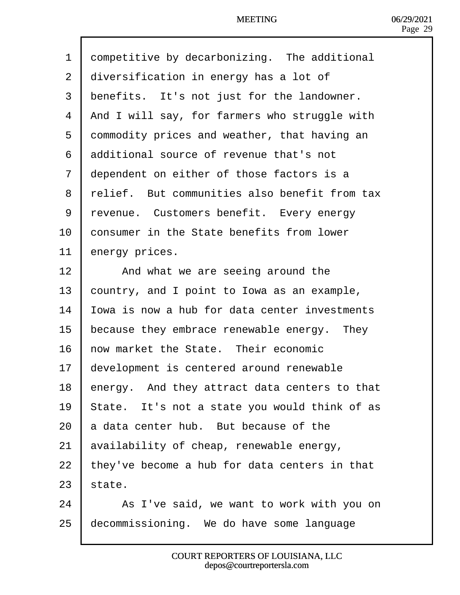| 1              | dompetitive by decarbonizing. The additional  |
|----------------|-----------------------------------------------|
| $\overline{2}$ | diversification in energy has a lot of        |
| 3              | benefits. It's not just for the landowner.    |
| 4              | And I will say, for farmers who struggle with |
| 5              | dommodity prices and weather, that having an  |
| 6              | additional source of revenue that's not       |
| $\overline{7}$ | dependent on either of those factors is a     |
| 8              | relief. But communities also benefit from tax |
| 9              | revenue. Customers benefit. Every energy      |
| 10             | consumer in the State benefits from lower     |
| 11             | energy prices.                                |
| 12             | And what we are seeing around the             |
| 13             | country, and I point to Iowa as an example,   |
| 14             | owa is now a hub for data center investments  |
| 15             | because they embrace renewable energy. They   |
| 16             | how market the State. Their economic          |
| 17             | development is centered around renewable      |
| 18             | energy. And they attract data centers to that |
| 19             | State. It's not a state you would think of as |
| 20             | a data center hub. But because of the         |
| 21             | availability of cheap, renewable energy,      |
| 22             | hey've become a hub for data centers in that  |
| 23             | state.                                        |
| 24             | As I've said, we want to work with you on     |
| 25             | decommissioning. We do have some language     |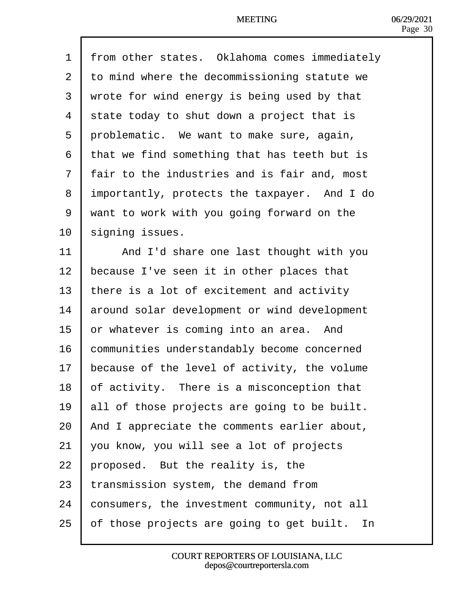| 1              | from other states. Oklahoma comes immediately |
|----------------|-----------------------------------------------|
|                |                                               |
| $\overline{2}$ | to mind where the decommissioning statute we  |
| 3              | wrote for wind energy is being used by that   |
| 4              | state today to shut down a project that is    |
| 5              | problematic. We want to make sure, again,     |
| 6              | that we find something that has teeth but is  |
| 7              | fair to the industries and is fair and, most  |
| 8              | importantly, protects the taxpayer. And I do  |
| 9              | want to work with you going forward on the    |
| 10             | signing issues.                               |
| 11             | And I'd share one last thought with you       |
| 12             | because I've seen it in other places that     |
| 13             | there is a lot of excitement and activity     |
| 14             | around solar development or wind development  |
| 15             | or whatever is coming into an area. And       |
| 16             | communities understandably become concerned   |
| 17             | because of the level of activity, the volume  |
| 18             | of activity. There is a misconception that    |
| 19             | all of those projects are going to be built.  |
| 20             | And I appreciate the comments earlier about,  |
| 21             | you know, you will see a lot of projects      |
| 22             | proposed. But the reality is, the             |
| 23             | transmission system, the demand from          |
| 24             | consumers, the investment community, not all  |
| 25             | of those projects are going to get built. In  |
|                |                                               |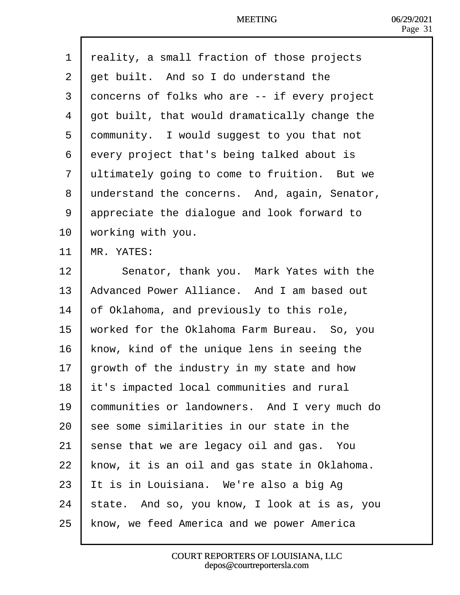|                | <b>MEETING</b>                                |
|----------------|-----------------------------------------------|
|                |                                               |
| 1              | reality, a small fraction of those projects   |
| 2 <sup>1</sup> | det built. And so I do understand the         |
| 3              | doncerns of folks who are -- if every project |
| 4              | got built, that would dramatically change the |
| 5              | dommunity. I would suggest to you that not    |
| 6              | every project that's being talked about is    |
| 7              | eltimately going to come to fruition. But we  |
| 8              | understand the concerns. And, again, Senator, |
| 9              | appreciate the dialogue and look forward to   |
| 10             | working with you.                             |

- 11 **MR. YATES:**
- 12 | Senator, thank you. Mark Yates with the
- 13 Advanced Power Alliance. And I am based out
- 14  $\overline{b}$  f Oklahoma, and previously to this role,
- 15 worked for the Oklahoma Farm Bureau. So, you
- 16 know, kind of the unique lens in seeing the
- 17  $\theta$  prowth of the industry in my state and how
- 18 **it's impacted local communities and rural**
- 19 **Communities or landowners.** And I very much do
- 20  $\,$  see some similarities in our state in the
- 21 shense that we are legacy oil and gas. You
- 22 know, it is an oil and gas state in Oklahoma.
- 23 It is in Louisiana. We're also a big Ag
- 24 state. And so, you know, I look at is as, you
- 25 know, we feed America and we power America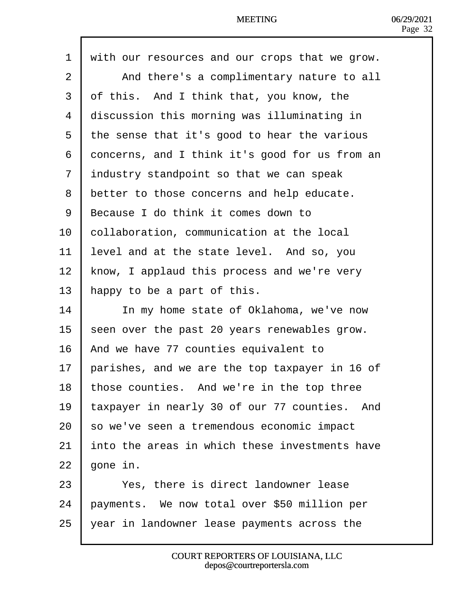| 1  | with our resources and our crops that we grow. |
|----|------------------------------------------------|
| 2  | And there's a complimentary nature to all      |
| 3  | of this. And I think that, you know, the       |
| 4  | discussion this morning was illuminating in    |
| 5  | the sense that it's good to hear the various   |
| 6  | doncerns, and I think it's good for us from an |
| 7  | industry standpoint so that we can speak       |
| 8  | better to those concerns and help educate.     |
| 9  | Because I do think it comes down to            |
| 10 | collaboration, communication at the local      |
| 11 | evel and at the state level. And so, you       |
| 12 | know, I applaud this process and we're very    |
| 13 | happy to be a part of this.                    |
| 14 | In my home state of Oklahoma, we've now        |
| 15 | seen over the past 20 years renewables grow.   |
| 16 | And we have 77 counties equivalent to          |
| 17 | barishes, and we are the top taxpayer in 16 of |
| 18 | those counties. And we're in the top three     |
| 19 | axpayer in nearly 30 of our 77 counties. And   |
| 20 | so we've seen a tremendous economic impact     |
| 21 | nto the areas in which these investments have  |
| 22 | gone in.                                       |
| 23 | Yes, there is direct landowner lease           |
| 24 | bayments. We now total over \$50 million per   |
| 25 | year in landowner lease payments across the    |

 $\mathsf{l}$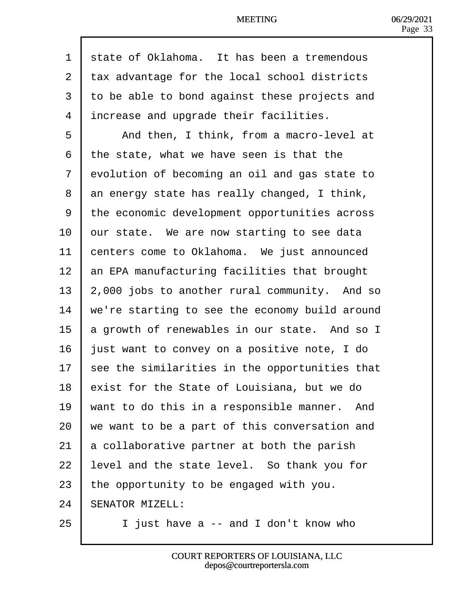| 1  | state of Oklahoma. It has been a tremendous    |
|----|------------------------------------------------|
| 2  | tax advantage for the local school districts   |
| 3  | to be able to bond against these projects and  |
| 4  | increase and upgrade their facilities.         |
| 5  | And then, I think, from a macro-level at       |
| 6  | the state, what we have seen is that the       |
| 7  | dvolution of becoming an oil and gas state to  |
| 8  | an energy state has really changed, I think,   |
| 9  | the economic development opportunities across  |
| 10 | pur state. We are now starting to see data     |
| 11 | centers come to Oklahoma. We just announced    |
| 12 | an EPA manufacturing facilities that brought   |
| 13 | 2,000 jobs to another rural community. And so  |
| 14 | we're starting to see the economy build around |
| 15 | a growth of renewables in our state. And so I  |
| 16 | just want to convey on a positive note, I do   |
| 17 | see the similarities in the opportunities that |
| 18 | exist for the State of Louisiana, but we do    |
| 19 | want to do this in a responsible manner. And   |
| 20 | we want to be a part of this conversation and  |
| 21 | a collaborative partner at both the parish     |
| 22 | evel and the state level. So thank you for     |
| 23 | the opportunity to be engaged with you.        |
| 24 | <b>SENATOR MIZELL:</b>                         |
| 25 | I just have a -- and I don't know who          |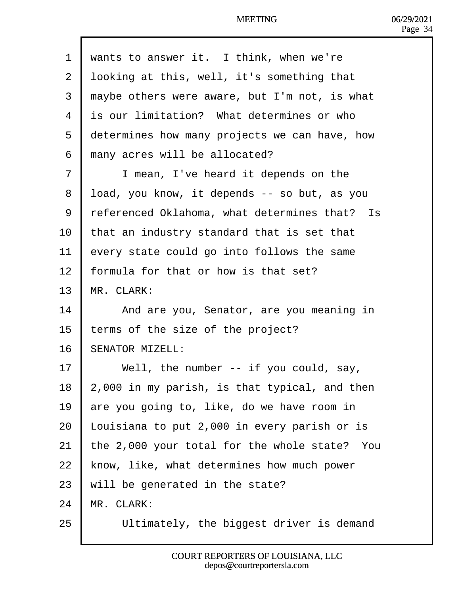| 1  | wants to answer it. I think, when we're       |
|----|-----------------------------------------------|
| 2  | Ipoking at this, well, it's something that    |
| 3  | maybe others were aware, but I'm not, is what |
| 4  | is our limitation? What determines or who     |
| 5  | determines how many projects we can have, how |
| 6  | many acres will be allocated?                 |
| 7  | I mean, I've heard it depends on the          |
| 8  | Ibad, you know, it depends -- so but, as you  |
| 9  | referenced Oklahoma, what determines that? Is |
| 10 | that an industry standard that is set that    |
| 11 | every state could go into follows the same    |
| 12 | formula for that or how is that set?          |
| 13 | MR. CLARK:                                    |
| 14 | And are you, Senator, are you meaning in      |
| 15 | terms of the size of the project?             |
| 16 | <b>SENATOR MIZELL:</b>                        |
| 17 | Well, the number -- if you could, say,        |
| 18 | 2,000 in my parish, is that typical, and then |
| 19 | are you going to, like, do we have room in    |
| 20 | Louisiana to put 2,000 in every parish or is  |
| 21 | the 2,000 your total for the whole state? You |
| 22 | know, like, what determines how much power    |
| 23 | will be generated in the state?               |
| 24 | <b>MR. CLARK:</b>                             |
| 25 | Ultimately, the biggest driver is demand      |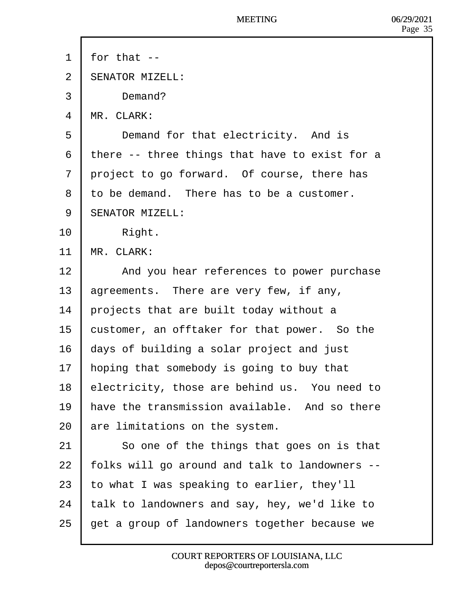- 1 for that  $-$
- 2 **SENATOR MIZELL:**
- 3 | Demand?
- 4 MR. CLARK:
- 5 | Demand for that electricity. And is
- 6 there -- three things that have to exist for a
- 7 droject to go forward. Of course, there has
- 8 to be demand. There has to be a customer.
- 9 **SENATOR MIZELL:**
- 10 | Right.
- 11 MR. CLARK:
- 12 | And you hear references to power purchase
- 13 agreements. There are very few, if any,
- 14 **brojects that are built today without a**
- 15 bustomer, an offtaker for that power. So the
- 16 days of building a solar project and just
- 17 hoping that somebody is going to buy that
- 18 electricity, those are behind us. You need to
- 19 have the transmission available. And so there
- 20 are limitations on the system.
- 21 | So one of the things that goes on is that
- 22 folks will go around and talk to landowners --
- 23 to what I was speaking to earlier, they'll
- 24  $\cdot$  talk to landowners and say, hey, we'd like to
- 25 get a group of landowners together because we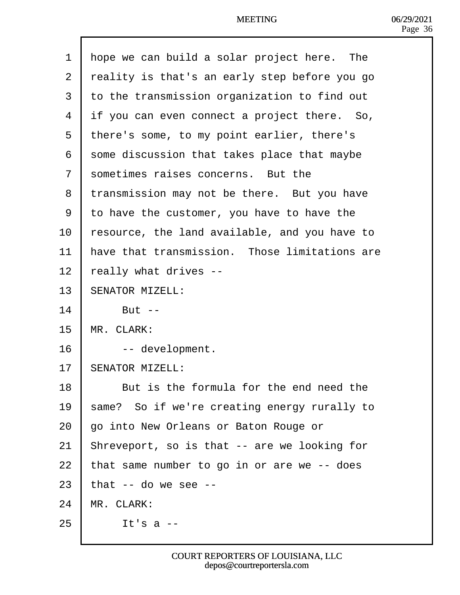| $\mathbf 1$ | Hope we can build a solar project here. The   |
|-------------|-----------------------------------------------|
| 2           | reality is that's an early step before you go |
| 3           | to the transmission organization to find out  |
| 4           | if you can even connect a project there. So,  |
| 5           | there's some, to my point earlier, there's    |
| 6           | some discussion that takes place that maybe   |
| 7           | sometimes raises concerns. But the            |
| 8           | transmission may not be there. But you have   |
| 9           | to have the customer, you have to have the    |
| 10          | resource, the land available, and you have to |
| 11          | have that transmission. Those limitations are |
| 12          | eally what drives --                          |
| 13          | <b>SENATOR MIZELL:</b>                        |
| 14          | <b>But --</b>                                 |
| 15          | <b>MR. CLARK:</b>                             |
| 16          | -- development.                               |
| 17          | <b>SENATOR MIZELL:</b>                        |
| 18          | But is the formula for the end need the       |
| 19          | same? So if we're creating energy rurally to  |
| 20          | go into New Orleans or Baton Rouge or         |
| 21          | Shreveport, so is that -- are we looking for  |
| 22          | that same number to go in or are we -- does   |
| 23          | that -- do we see --                          |
| 24          | MR. CLARK:                                    |
| 25          | It's $a -$                                    |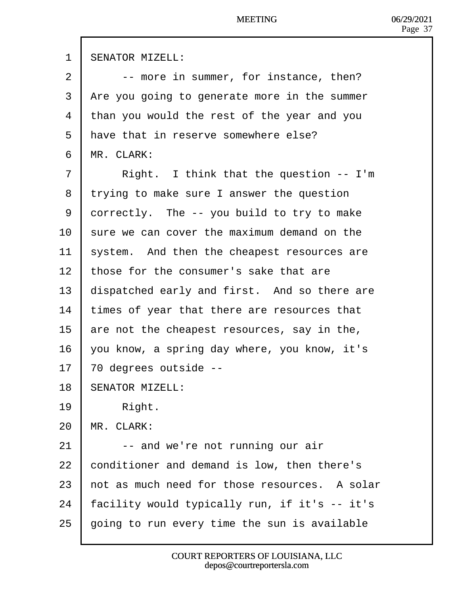| 1              | <b>SENATOR MIZELL:</b>                        |
|----------------|-----------------------------------------------|
| $\overline{2}$ | -- more in summer, for instance, then?        |
| 3              | Are you going to generate more in the summer  |
| 4              | than you would the rest of the year and you   |
| 5              | Have that in reserve somewhere else?          |
| 6              | <b>MR. CLARK:</b>                             |
| 7              | Right. I think that the question -- I'm       |
| 8              | trying to make sure I answer the question     |
| 9              | dorrectly. The -- you build to try to make    |
| 10             | sure we can cover the maximum demand on the   |
| 11             | system. And then the cheapest resources are   |
| 12             | those for the consumer's sake that are        |
| 13             | dispatched early and first. And so there are  |
| 14             | times of year that there are resources that   |
| 15             | are not the cheapest resources, say in the,   |
| 16             | you know, a spring day where, you know, it's  |
| 17             | 70 degrees outside --                         |
| 18             | <b>SENATOR MIZELL:</b>                        |
| 19             | Right.                                        |
| 20             | MR. CLARK:                                    |
| 21             | -- and we're not running our air              |
| 22             | conditioner and demand is low, then there's   |
| 23             | hot as much need for those resources. A solar |
| 24             | acility would typically run, if it's -- it's  |
| 25             | going to run every time the sun is available  |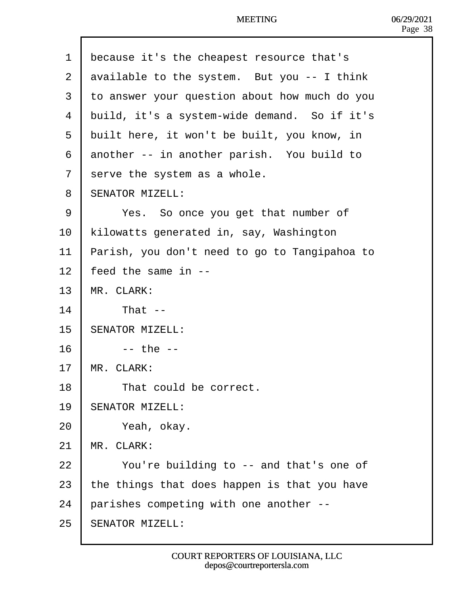| 1  | because it's the cheapest resource that's     |
|----|-----------------------------------------------|
| 2  | available to the system. But you -- I think   |
| 3  | to answer your question about how much do you |
| 4  | build, it's a system-wide demand. So if it's  |
| 5  | built here, it won't be built, you know, in   |
| 6  | another -- in another parish. You build to    |
| 7  | serve the system as a whole.                  |
| 8  | <b>SENATOR MIZELL:</b>                        |
| 9  | Yes. So once you get that number of           |
| 10 | kilowatts generated in, say, Washington       |
| 11 | Parish, you don't need to go to Tangipahoa to |
| 12 | feed the same in --                           |
| 13 | MR. CLARK:                                    |
| 14 | That --                                       |
| 15 | <b>SENATOR MIZELL:</b>                        |
| 16 | $-$ the $-$                                   |
| 17 | MR. CLARK:                                    |
| 18 | That could be correct.                        |
| 19 | <b>SENATOR MIZELL:</b>                        |
| 20 | Yeah, okay.                                   |
| 21 | MR. CLARK:                                    |
| 22 | You're building to -- and that's one of       |
| 23 | the things that does happen is that you have  |
| 24 | parishes competing with one another --        |
| 25 | <b>SENATOR MIZELL:</b>                        |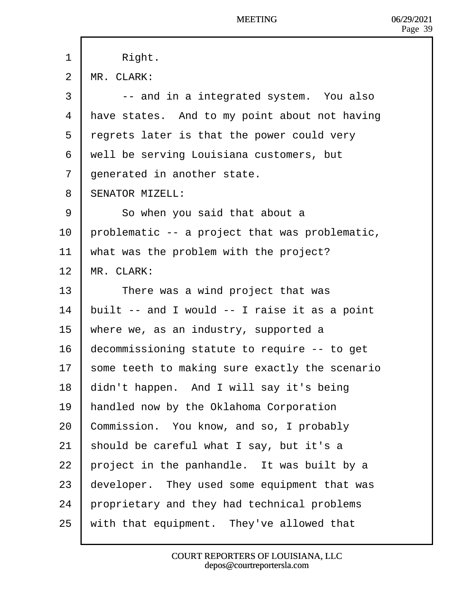| 1              | Right.                                         |
|----------------|------------------------------------------------|
| $\overline{2}$ | <b>MR. CLARK:</b>                              |
| 3              | -- and in a integrated system. You also        |
| 4              | Have states. And to my point about not having  |
| 5              | regrets later is that the power could very     |
| 6              | well be serving Louisiana customers, but       |
| 7              | denerated in another state.                    |
| 8              | <b>SENATOR MIZELL:</b>                         |
| 9              | So when you said that about a                  |
| 10             | problematic -- a project that was problematic, |
| 11             | what was the problem with the project?         |
| 12             | MR. CLARK:                                     |
| 13             | There was a wind project that was              |
| 14             | built -- and I would -- I raise it as a point  |
| 15             | where we, as an industry, supported a          |
| 16             | decommissioning statute to require -- to get   |
| 17             | some teeth to making sure exactly the scenario |
| 18             | didn't happen. And I will say it's being       |
| 19             | handled now by the Oklahoma Corporation        |
| 20             | Commission. You know, and so, I probably       |
| 21             | should be careful what I say, but it's a       |
| 22             | project in the panhandle. It was built by a    |
| 23             | developer. They used some equipment that was   |
| 24             | proprietary and they had technical problems    |
| 25             | with that equipment. They've allowed that      |
|                |                                                |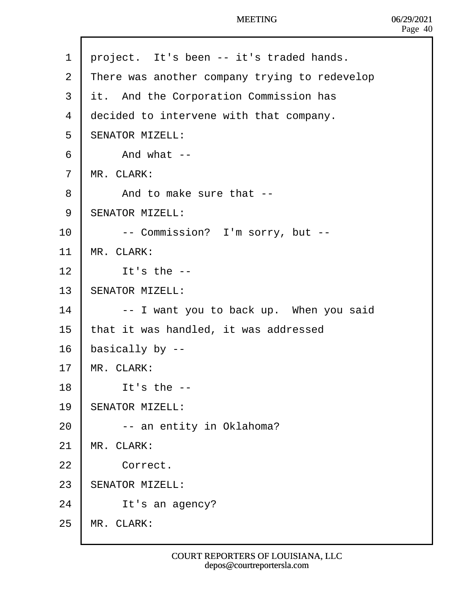| 1              | project. It's been -- it's traded hands.      |
|----------------|-----------------------------------------------|
| 2              | There was another company trying to redevelop |
| 3              | it. And the Corporation Commission has        |
| 4              | decided to intervene with that company.       |
| 5              | <b>SENATOR MIZELL:</b>                        |
| 6              | And what --                                   |
| $\overline{7}$ | <b>MR. CLARK:</b>                             |
| 8              | And to make sure that --                      |
| 9              | <b>SENATOR MIZELL:</b>                        |
| 10             | -- Commission? I'm sorry, but --              |
| 11             | <b>MR. CLARK:</b>                             |
| 12             | It's the $-$                                  |
| 13             | <b>SENATOR MIZELL:</b>                        |
| 14             | -- I want you to back up. When you said       |
| 15             | that it was handled, it was addressed         |
| 16             | basically by --                               |
| 17             | <b>MR. CLARK:</b>                             |
| 18             | It's the --                                   |
| 19             | <b>SENATOR MIZELL:</b>                        |
| 20             | -- an entity in Oklahoma?                     |
| 21             | MR. CLARK:                                    |
| 22             | Correct.                                      |
| 23             | <b>SENATOR MIZELL:</b>                        |
| 24             | It's an agency?                               |
| 25             | MR. CLARK:                                    |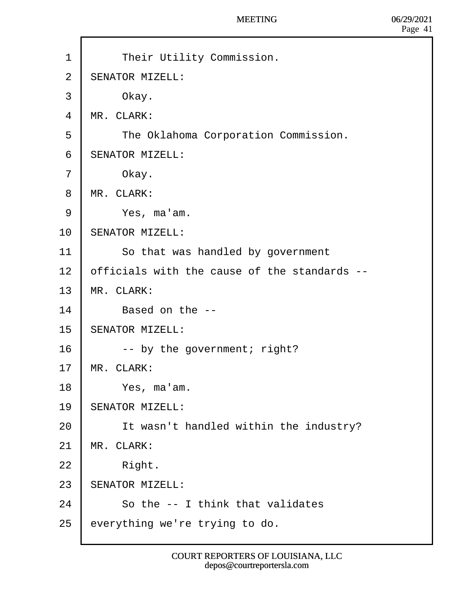- 1 | Their Utility Commission.
- 2 **SENATOR MIZELL:**
- $3$  Okay.
- 4 **MR. CLARK:**
- 5 | The Oklahoma Corporation Commission.
- 6 **SENATOR MIZELL:**
- $7$  Okay.
- 8 MR. CLARK:
- $9 \mid$  Yes, ma'am.
- 10 **SENATOR MIZELL:**
- 11 | So that was handled by government
- 12 bifficials with the cause of the standards --
- 13 MR. CLARK:
- 14  $\parallel$  Based on the --
- 15 **SENATOR MIZELL:**
- 16 **· ·** by the government; right?
- 17 MR. CLARK:
- $18$  | Yes, ma'am.
- 19 **SENATOR MIZELL:**
- 20 | It wasn't handled within the industry?
- 21 MR. CLARK:
- $22$  | Right.
- 23 **SENATOR MIZELL:**
- 24 **b** So the -- I think that validates
- 25  $\epsilon$  everything we're trying to do.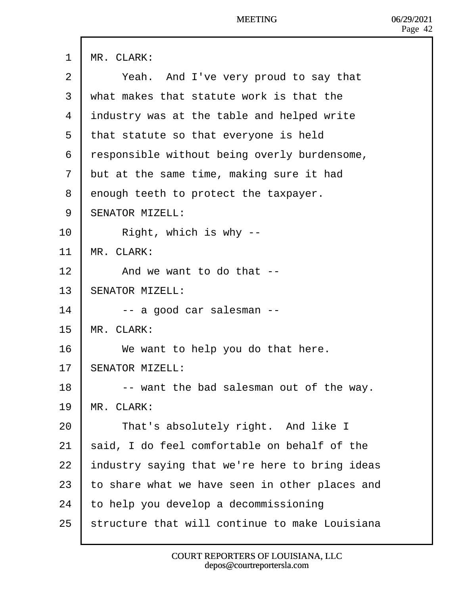1 MR. CLARK:

- 2 | Yeah. And I've very proud to say that
- ·3· ·what makes that statute work is that the
- 4 *industry was at the table and helped write*
- 5 that statute so that everyone is held
- 6 responsible without being overly burdensome,
- 7 but at the same time, making sure it had
- 8 denough teeth to protect the taxpayer.
- 9 **SENATOR MIZELL:**
- $10$  | Right, which is why --
- 11 MR. CLARK:
- 12 And we want to do that --
- 13 **SENATOR MIZELL:**
- $14$   $\blacksquare$  -- a good car salesman --
- 15 MR. CLARK:
- 16 | We want to help you do that here.
- 17 **SENATOR MIZELL:**
- 18 **F** -- want the bad salesman out of the way.
- 19 MR. CLARK:
- 20 | That's absolutely right. And like I
- 21 said, I do feel comfortable on behalf of the
- 22 **Industry saying that we're here to bring ideas**
- 23 to share what we have seen in other places and
- 24 to help you develop a decommissioning
- 25 structure that will continue to make Louisiana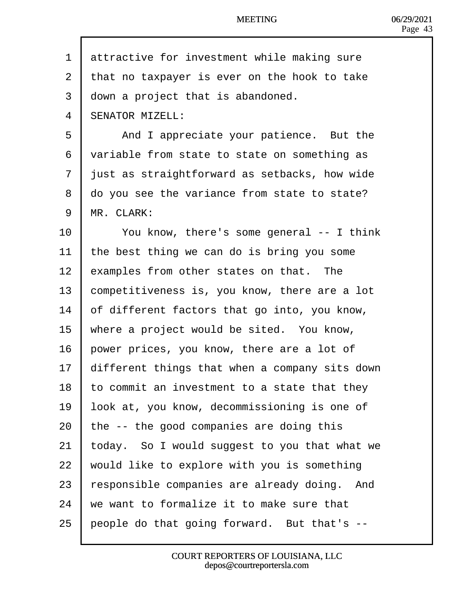1 ditractive for investment while making sure 2 that no taxpayer is ever on the hook to take 3 down a project that is abandoned. 4 **SENATOR MIZELL:** 5 | And I appreciate your patience. But the 6 variable from state to state on something as 7 just as straightforward as setbacks, how wide 8 do you see the variance from state to state? 9 MR. CLARK: 10 You know, there's some general -- I think 11 the best thing we can do is bring you some 12 examples from other states on that. The 13 **Competitiveness is, you know, there are a lot** 14 bf different factors that go into, you know, 15 where a project would be sited. You know, 16 bower prices, you know, there are a lot of 17  $\theta$  different things that when a company sits down 18 to commit an investment to a state that they 19 look at, you know, decommissioning is one of 20  $\,$  the -- the good companies are doing this 21  $\frac{1}{2}$  today. So I would suggest to you that what we 22 would like to explore with you is something 23 responsible companies are already doing. And 24 ve want to formalize it to make sure that 25 people do that going forward. But that's --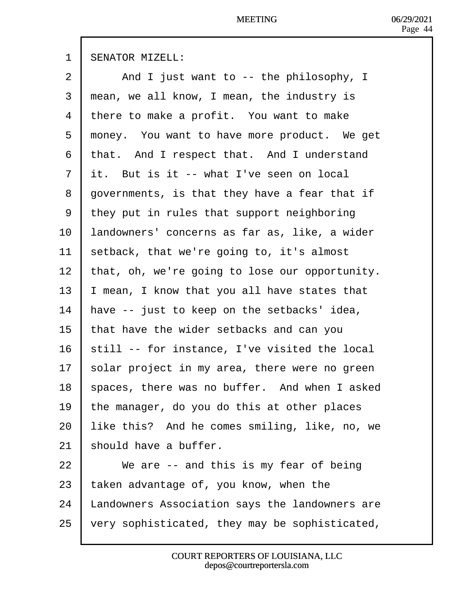| 1            | <b>SENATOR MIZELL:</b>                         |
|--------------|------------------------------------------------|
| 2            | And I just want to -- the philosophy, I        |
| 3            | mean, we all know, I mean, the industry is     |
| 4            | there to make a profit. You want to make       |
| 5            | money. You want to have more product. We get   |
| 6            | that. And I respect that. And I understand     |
| $\mathbf{7}$ | it. But is it -- what I've seen on local       |
| 8            | governments, is that they have a fear that if  |
| 9            | they put in rules that support neighboring     |
| 10           | andowners' concerns as far as, like, a wider   |
| 11           | setback, that we're going to, it's almost      |
| 12           | that, oh, we're going to lose our opportunity. |
| 13           | mean, I know that you all have states that     |
| 14           | have -- just to keep on the setbacks' idea,    |
| 15           | that have the wider setbacks and can you       |
| 16           | still -- for instance, I've visited the local  |
| 17           | solar project in my area, there were no green  |
| 18           | spaces, there was no buffer. And when I asked  |
| 19           | the manager, do you do this at other places    |
| 20           | like this? And he comes smiling, like, no, we  |
| 21           | should have a buffer.                          |
| 22           | We are -- and this is my fear of being         |
| 23           | laken advantage of, you know, when the         |
| 24           | andowners Association says the landowners are  |
| 25           | very sophisticated, they may be sophisticated, |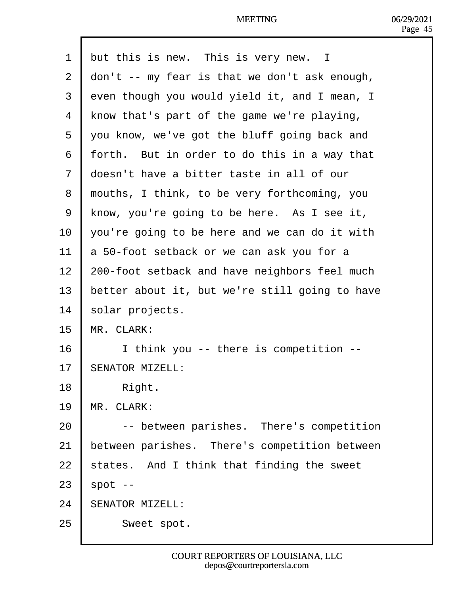|  |  | 1 but this is new. This is very new. I |  |
|--|--|----------------------------------------|--|
|--|--|----------------------------------------|--|

- 2 don't -- my fear is that we don't ask enough,
- 3 dven though you would yield it, and I mean, I
- 4 Know that's part of the game we're playing,
- 5 you know, we've got the bluff going back and
- 6 forth. But in order to do this in a way that
- 7 doesn't have a bitter taste in all of our
- 8 rhouths, I think, to be very forthcoming, you
- 9 Know, you're going to be here. As I see it,
- 10  $\sqrt{2}$  vou're going to be here and we can do it with
- 11 **b** 50-foot setback or we can ask you for a
- 12 200-foot setback and have neighbors feel much
- 13 better about it, but we're still going to have
- 14 solar projects.
- 15 MR. CLARK:
- 16 | I think you -- there is competition --
- 17 **SENATOR MIZELL:**
- $18$  | Right.
- 19 MR. CLARK:
- 20 **|** -- between parishes. There's competition
- 21 between parishes. There's competition between
- 22  $\frac{1}{2}$  states. And I think that finding the sweet
- $23$  spot  $-$
- 24 **SENATOR MIZELL:**
- 25 | Sweet spot.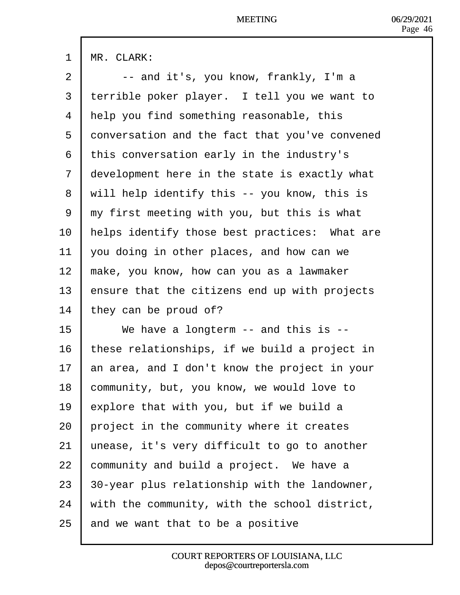|  | <b>MR. CLARK:</b> |
|--|-------------------|
|--|-------------------|

- $2 \mid -$  and it's, you know, frankly, I'm a
- 3 terrible poker player. I tell you we want to
- 4 Help you find something reasonable, this
- 5 donversation and the fact that you've convened
- ·6· ·this conversation early in the industry's
- 7 development here in the state is exactly what
- 8 vuil help identify this -- you know, this is
- ·9· ·my first meeting with you, but this is what
- 10 helps identify those best practices: What are
- 11  $\sqrt{v}$  vou doing in other places, and how can we
- 12  $\mu$  make, you know, how can you as a lawmaker
- 13 **E**nsure that the citizens end up with projects
- 14 they can be proud of?
- 15  $\parallel$  We have a longterm -- and this is --
- 16 these relationships, if we build a project in
- 17  $\mu$  an area, and I don't know the project in your
- 18 **Community, but, you know, we would love to**
- 19 **Explore that with you, but if we build a**
- 20 project in the community where it creates
- 21 unease, it's very difficult to go to another
- 22 **community and build a project.** We have a
- 23  $\beta$ 0-year plus relationship with the landowner,
- 24 with the community, with the school district,
- 25 and we want that to be a positive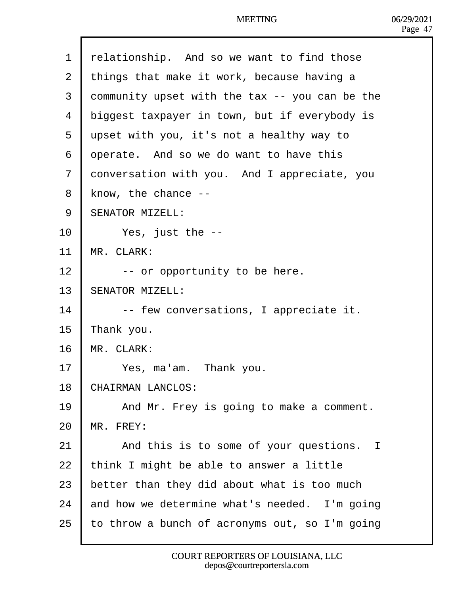| 1              | relationship. And so we want to find those     |
|----------------|------------------------------------------------|
| 2              | things that make it work, because having a     |
| 3              | dommunity upset with the tax -- you can be the |
| 4              | diggest taxpayer in town, but if everybody is  |
| 5              | upset with you, it's not a healthy way to      |
| 6              | operate. And so we do want to have this        |
| $\overline{7}$ | donversation with you. And I appreciate, you   |
| 8              | know, the chance --                            |
| 9              | <b>SENATOR MIZELL:</b>                         |
| 10             | Yes, just the --                               |
| 11             | MR. CLARK:                                     |
| 12             | -- or opportunity to be here.                  |
| 13             | <b>SENATOR MIZELL:</b>                         |
| 14             | -- few conversations, I appreciate it.         |
| 15             | <b>T</b> hank you.                             |
| 16             | MR. CLARK:                                     |
| 17             | Yes, ma'am. Thank you.                         |
| 18             | <b>CHAIRMAN LANCLOS:</b>                       |
| 19             | And Mr. Frey is going to make a comment.       |
| 20             | <b>MR. FREY:</b>                               |
| 21             | And this is to some of your questions. I       |
| 22             | think I might be able to answer a little       |
| 23             | better than they did about what is too much    |
| 24             | and how we determine what's needed. I'm going  |
| 25             | o throw a bunch of acronyms out, so I'm going  |
|                |                                                |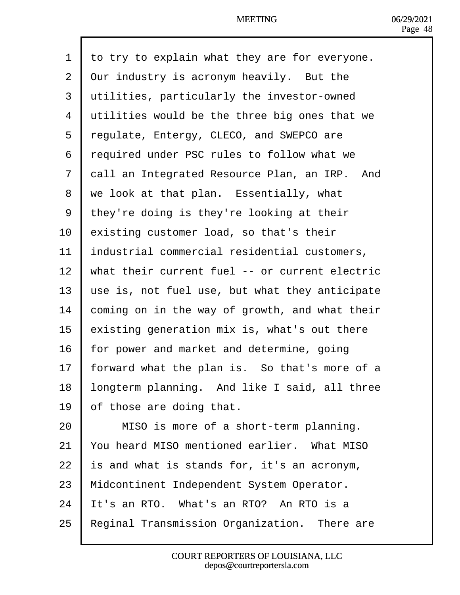| 1              | to try to explain what they are for everyone.   |
|----------------|-------------------------------------------------|
| $\overline{2}$ | <b>Qur industry is acronym heavily. But the</b> |
| 3              | utilities, particularly the investor-owned      |
| 4              | utilities would be the three big ones that we   |
| 5              | regulate, Entergy, CLECO, and SWEPCO are        |
| 6              | required under PSC rules to follow what we      |
| $\overline{7}$ | dall an Integrated Resource Plan, an IRP. And   |
| 8              | we look at that plan. Essentially, what         |
| 9              | they're doing is they're looking at their       |
| 10             | existing customer load, so that's their         |
| 11             | Industrial commercial residential customers,    |
| 12             | what their current fuel -- or current electric  |
| 13             | use is, not fuel use, but what they anticipate  |
| 14             | coming on in the way of growth, and what their  |
| 15             | existing generation mix is, what's out there    |
| 16             | or power and market and determine, going        |
| 17             | orward what the plan is. So that's more of a    |
| 18             | longterm planning. And like I said, all three   |
| 19             | of those are doing that.                        |
| 20             | MISO is more of a short-term planning.          |
| 21             | You heard MISO mentioned earlier. What MISO     |
| 22             | s and what is stands for, it's an acronym,      |
| 23             | Midcontinent Independent System Operator.       |
| 24             | t's an RTO. What's an RTO? An RTO is a          |
| 25             | Reginal Transmission Organization. There are    |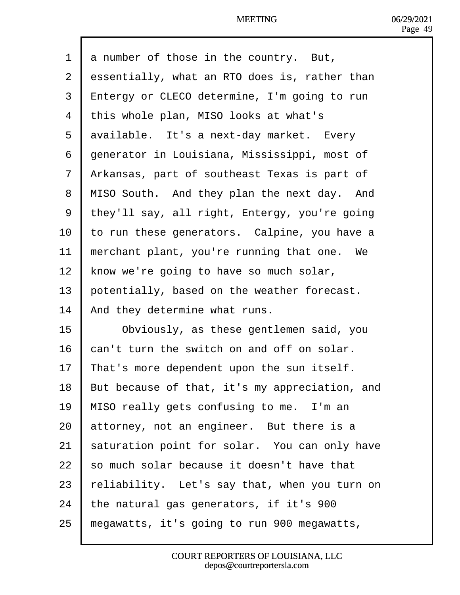| 1  | a number of those in the country. But,              |
|----|-----------------------------------------------------|
| 2  | dssentially, what an RTO does is, rather than       |
| 3  | <b>Entergy or CLECO determine, I'm going to run</b> |
| 4  | this whole plan, MISO looks at what's               |
| 5  | dvailable. It's a next-day market. Every            |
| 6  | generator in Louisiana, Mississippi, most of        |
| 7  | Arkansas, part of southeast Texas is part of        |
| 8  | MISO South. And they plan the next day. And         |
| 9  | they'll say, all right, Entergy, you're going       |
| 10 | to run these generators. Calpine, you have a        |
| 11 | merchant plant, you're running that one. We         |
| 12 | know we're going to have so much solar,             |
| 13 | potentially, based on the weather forecast.         |
| 14 | And they determine what runs.                       |
| 15 | Obviously, as these gentlemen said, you             |
| 16 | can't turn the switch on and off on solar.          |
| 17 | That's more dependent upon the sun itself.          |
| 18 | But because of that, it's my appreciation, and      |
| 19 | MISO really gets confusing to me. I'm an            |
| 20 | attorney, not an engineer. But there is a           |
| 21 | saturation point for solar. You can only have       |
| 22 | so much solar because it doesn't have that          |
| 23 | feliability. Let's say that, when you turn on       |
| 24 | the natural gas generators, if it's 900             |
| 25 | megawatts, it's going to run 900 megawatts,         |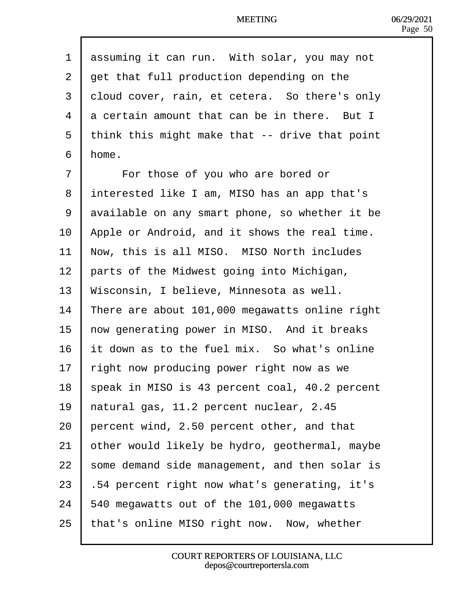| 1  | dssuming it can run. With solar, you may not   |
|----|------------------------------------------------|
| 2  | det that full production depending on the      |
| 3  | doud cover, rain, et cetera. So there's only   |
| 4  | a certain amount that can be in there. But I   |
| 5  | think this might make that -- drive that point |
| 6  | Home.                                          |
| 7  | For those of you who are bored or              |
| 8  | interested like I am, MISO has an app that's   |
| 9  | dvailable on any smart phone, so whether it be |
| 10 | Apple or Android, and it shows the real time.  |
| 11 | Now, this is all MISO. MISO North includes     |
| 12 | parts of the Midwest going into Michigan,      |
| 13 | Wisconsin, I believe, Minnesota as well.       |
| 14 | There are about 101,000 megawatts online right |
| 15 | how generating power in MISO. And it breaks    |
| 16 | t down as to the fuel mix. So what's online    |
| 17 | fight now producing power right now as we      |
| 18 | speak in MISO is 43 percent coal, 40.2 percent |
| 19 | hatural gas, 11.2 percent nuclear, 2.45        |
| 20 | percent wind, 2.50 percent other, and that     |
| 21 | other would likely be hydro, geothermal, maybe |
| 22 | some demand side management, and then solar is |
| 23 | 54 percent right now what's generating, it's   |
| 24 | 540 megawatts out of the 101,000 megawatts     |
| 25 | that's online MISO right now. Now, whether     |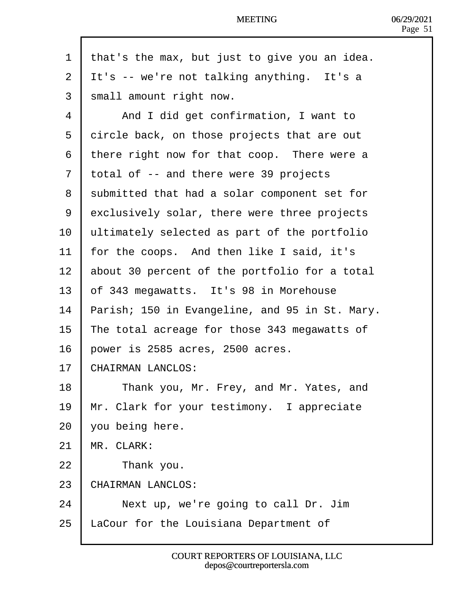| $\mathbf{1}$   | that's the max, but just to give you an idea.  |
|----------------|------------------------------------------------|
| $\overline{2}$ | It's -- we're not talking anything. It's a     |
| 3              | small amount right now.                        |
| 4              | And I did get confirmation, I want to          |
| 5              | dircle back, on those projects that are out    |
| 6              | there right now for that coop. There were a    |
| $\overline{7}$ | total of -- and there were 39 projects         |
| 8              | submitted that had a solar component set for   |
| 9              | exclusively solar, there were three projects   |
| 10             | ultimately selected as part of the portfolio   |
| 11             | or the coops. And then like I said, it's       |
| 12             | about 30 percent of the portfolio for a total  |
| 13             | bf 343 megawatts. It's 98 in Morehouse         |
| 14             | Parish; 150 in Evangeline, and 95 in St. Mary. |
| 15             | The total acreage for those 343 megawatts of   |
| 16             | power is 2585 acres, 2500 acres.               |
| 17             | CHAIRMAN LANCLOS:                              |
| 18             | Thank you, Mr. Frey, and Mr. Yates, and        |
| 19             | Mr. Clark for your testimony. I appreciate     |
| 20             | you being here.                                |
| 21             | <b>MR. CLARK:</b>                              |
| 22             | Thank you.                                     |
| 23             | CHAIRMAN LANCLOS:                              |
| 24             | Next up, we're going to call Dr. Jim           |
| 25             | aCour for the Louisiana Department of          |
|                |                                                |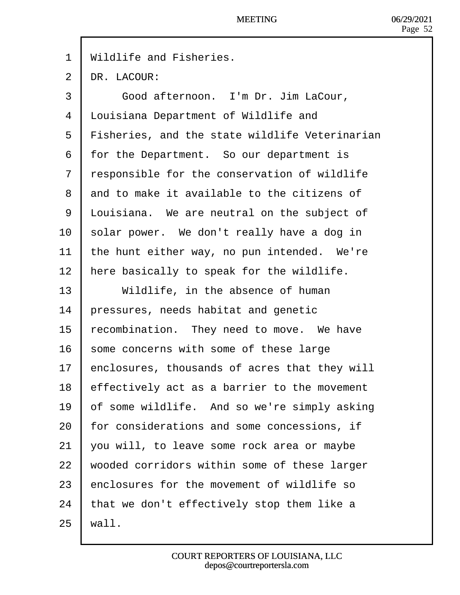1 Wildlife and Fisheries.

 $2$  **p**R. LACOUR:

| 3  | Good afternoon. I'm Dr. Jim LaCour,            |
|----|------------------------------------------------|
| 4  | <b>Louisiana Department of Wildlife and</b>    |
| 5  | Fisheries, and the state wildlife Veterinarian |
| 6  | for the Department. So our department is       |
| 7  | responsible for the conservation of wildlife   |
| 8  | and to make it available to the citizens of    |
| 9  | Louisiana. We are neutral on the subject of    |
| 10 | solar power. We don't really have a dog in     |
| 11 | the hunt either way, no pun intended. We're    |
| 12 | here basically to speak for the wildlife.      |
| 13 | Wildlife, in the absence of human              |
| 14 | pressures, needs habitat and genetic           |
| 15 | ecombination. They need to move. We have       |
| 16 | some concerns with some of these large         |
| 17 | enclosures, thousands of acres that they will  |
| 18 | effectively act as a barrier to the movement   |
| 19 | of some wildlife. And so we're simply asking   |
| 20 | for considerations and some concessions, if    |
| 21 | you will, to leave some rock area or maybe     |
| 22 | wooded corridors within some of these larger   |
| 23 | enclosures for the movement of wildlife so     |
| 24 | that we don't effectively stop them like a     |
| 25 | wall.                                          |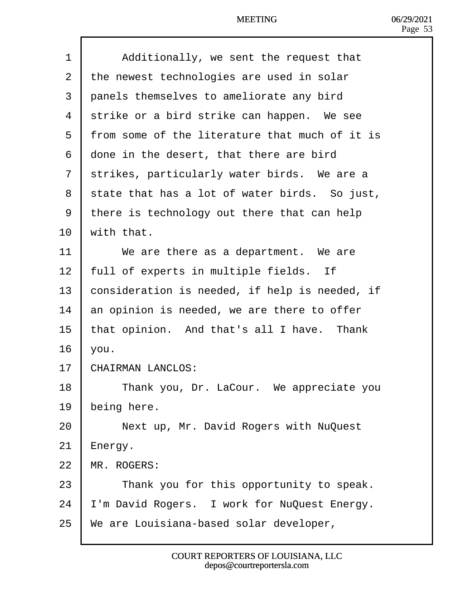| 1  | Additionally, we sent the request that         |
|----|------------------------------------------------|
| 2  | the newest technologies are used in solar      |
| 3  | panels themselves to ameliorate any bird       |
| 4  | strike or a bird strike can happen. We see     |
| 5  | from some of the literature that much of it is |
| 6  | done in the desert, that there are bird        |
| 7  | strikes, particularly water birds. We are a    |
| 8  | state that has a lot of water birds. So just,  |
| 9  | there is technology out there that can help    |
| 10 | with that.                                     |
| 11 | We are there as a department. We are           |
| 12 | full of experts in multiple fields. If         |
| 13 | consideration is needed, if help is needed, if |
| 14 | an opinion is needed, we are there to offer    |
| 15 | that opinion. And that's all I have. Thank     |
| 16 | vou.                                           |
| 17 | CHAIRMAN LANCLOS:                              |
| 18 | Thank you, Dr. LaCour. We appreciate you       |
| 19 | being here.                                    |
| 20 | Next up, Mr. David Rogers with NuQuest         |
| 21 | Energy.                                        |
| 22 | <b>MR. ROGERS:</b>                             |
| 23 | Thank you for this opportunity to speak.       |
| 24 | 'm David Rogers. I work for NuQuest Energy.    |
| 25 | We are Louisiana-based solar developer,        |
|    |                                                |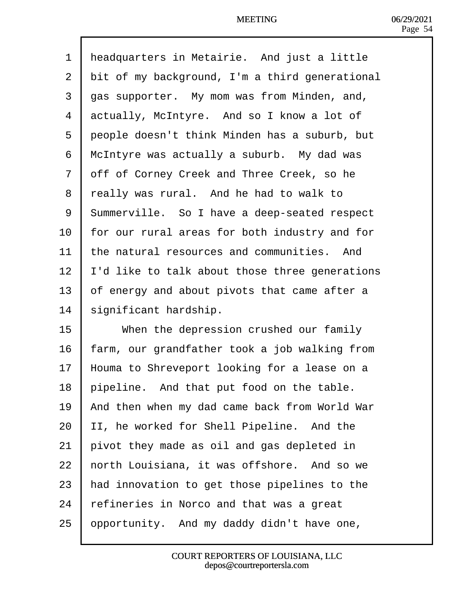| 1  | Headquarters in Metairie. And just a little         |
|----|-----------------------------------------------------|
| 2  | bit of my background, I'm a third generational      |
| 3  | das supporter. My mom was from Minden, and,         |
| 4  | actually, McIntyre. And so I know a lot of          |
| 5  | deople doesn't think Minden has a suburb, but       |
| 6  | McIntyre was actually a suburb. My dad was          |
| 7  | dff of Corney Creek and Three Creek, so he          |
| 8  | really was rural. And he had to walk to             |
| 9  | <b>Summerville.</b> So I have a deep-seated respect |
| 10 | or our rural areas for both industry and for        |
| 11 | the natural resources and communities. And          |
| 12 | 'd like to talk about those three generations       |
| 13 | of energy and about pivots that came after a        |
| 14 | significant hardship.                               |
| 15 | When the depression crushed our family              |
| 16 | arm, our grandfather took a job walking from        |
| 17 | Houma to Shreveport looking for a lease on a        |
| 18 | pipeline. And that put food on the table.           |
| 19 | And then when my dad came back from World War       |
| 20 | I, he worked for Shell Pipeline. And the            |
| 21 | pivot they made as oil and gas depleted in          |
| 22 | horth Louisiana, it was offshore. And so we         |
| 23 | had innovation to get those pipelines to the        |
| 24 | fefineries in Norco and that was a great            |
| 25 | ppportunity. And my daddy didn't have one,          |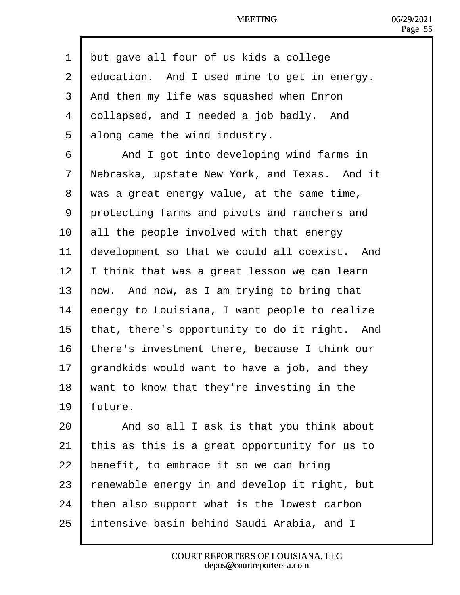| 1              | but gave all four of us kids a college        |
|----------------|-----------------------------------------------|
| $\overline{2}$ | education. And I used mine to get in energy.  |
| 3              | And then my life was squashed when Enron      |
| 4              | dollapsed, and I needed a job badly. And      |
| 5              | along came the wind industry.                 |
| 6              | And I got into developing wind farms in       |
| $\overline{7}$ | Nebraska, upstate New York, and Texas. And it |
| 8              | was a great energy value, at the same time,   |
| 9              | protecting farms and pivots and ranchers and  |
| 10             | all the people involved with that energy      |
| 11             | development so that we could all coexist. And |
| 12             | think that was a great lesson we can learn    |
| 13             | how.  And now, as I am trying to bring that   |
| 14             | energy to Louisiana, I want people to realize |
| 15             | that, there's opportunity to do it right. And |
| 16             | there's investment there, because I think our |
| 17             | grandkids would want to have a job, and they  |
| 18             | want to know that they're investing in the    |
| 19             | uture.                                        |
| 20             | And so all I ask is that you think about      |
| 21             | his as this is a great opportunity for us to  |
| 22             | benefit, to embrace it so we can bring        |
| 23             | enewable energy in and develop it right, but  |
| 24             | then also support what is the lowest carbon   |
| 25             | ntensive basin behind Saudi Arabia, and I     |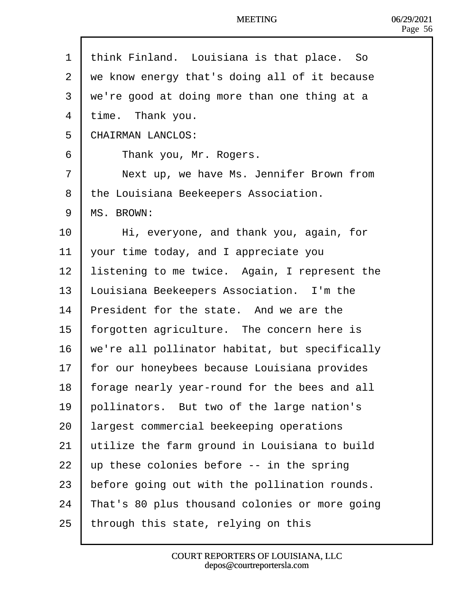| 1              | think Finland. Louisiana is that place. So     |
|----------------|------------------------------------------------|
| $\overline{2}$ | we know energy that's doing all of it because  |
| 3              | we're good at doing more than one thing at a   |
| 4              | time. Thank you.                               |
| 5              | <b>CHAIRMAN LANCLOS:</b>                       |
| 6              | Thank you, Mr. Rogers.                         |
| $\overline{7}$ | Next up, we have Ms. Jennifer Brown from       |
| 8              | the Louisiana Beekeepers Association.          |
| 9              | <b>MS. BROWN:</b>                              |
| 10             | Hi, everyone, and thank you, again, for        |
| 11             | your time today, and I appreciate you          |
| 12             | istening to me twice. Again, I represent the   |
| 13             | ouisiana Beekeepers Association. I'm the       |
| 14             | President for the state. And we are the        |
| 15             | orgotten agriculture. The concern here is      |
| 16             | we're all pollinator habitat, but specifically |
| 17             | for our honeybees because Louisiana provides   |
| 18             | orage nearly year-round for the bees and all   |
| 19             | pollinators. But two of the large nation's     |
| 20             | argest commercial beekeeping operations        |
| 21             | utilize the farm ground in Louisiana to build  |
| 22             | up these colonies before -- in the spring      |
| 23             | before going out with the pollination rounds.  |
| 24             | That's 80 plus thousand colonies or more going |
| 25             | through this state, relying on this            |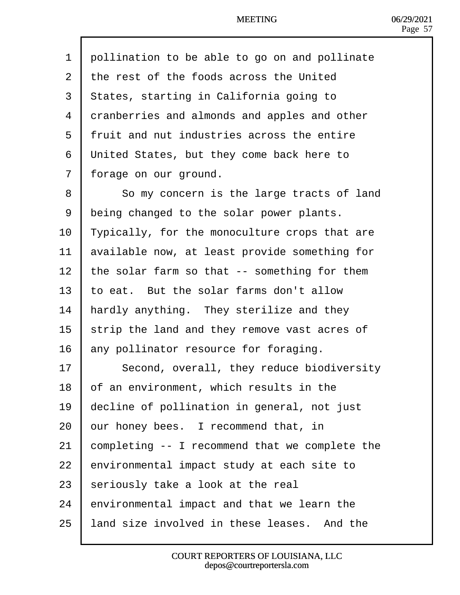| 1              | pollination to be able to go on and pollinate        |
|----------------|------------------------------------------------------|
| 2              | the rest of the foods across the United              |
| 3              | <b>States, starting in California going to</b>       |
| 4              | dranberries and almonds and apples and other         |
| 5              | fruit and nut industries across the entire           |
| 6              | United States, but they come back here to            |
| $\overline{7}$ | forage on our ground.                                |
| 8              | So my concern is the large tracts of land            |
| 9              | deing changed to the solar power plants.             |
| 10             | <b>Typically, for the monoculture crops that are</b> |
| 11             | available now, at least provide something for        |
| 12             | the solar farm so that -- something for them         |
| 13             | to eat. But the solar farms don't allow              |
| 14             | hardly anything. They sterilize and they             |
| 15             | strip the land and they remove vast acres of         |
| 16             | any pollinator resource for foraging.                |
| 17             | Second, overall, they reduce biodiversity            |
| 18             | of an environment, which results in the              |
| 19             | decline of pollination in general, not just          |
| 20             | pur honey bees. I recommend that, in                 |
| 21             | completing -- I recommend that we complete the       |
| 22             | environmental impact study at each site to           |
| 23             | seriously take a look at the real                    |
| 24             | environmental impact and that we learn the           |
| 25             | land size involved in these leases. And the          |
|                |                                                      |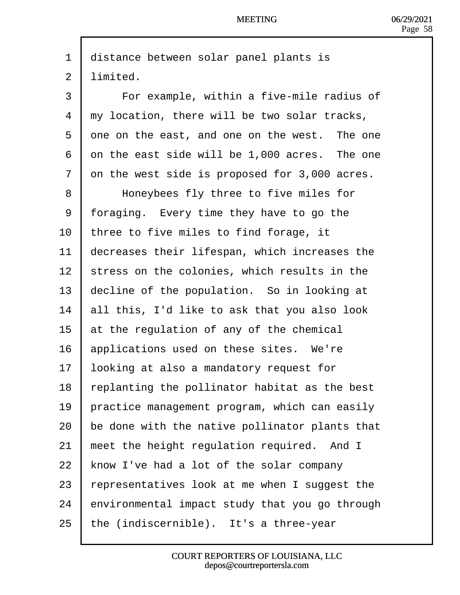| 1               | distance between solar panel plants is         |
|-----------------|------------------------------------------------|
| 2               | limited.                                       |
| 3               | For example, within a five-mile radius of      |
| 4               | my location, there will be two solar tracks,   |
| 5               | dne on the east, and one on the west. The one  |
| 6               | dn the east side will be 1,000 acres. The one  |
| 7               | on the west side is proposed for 3,000 acres.  |
| 8               | Honeybees fly three to five miles for          |
| 9               | foraging. Every time they have to go the       |
| 10              | three to five miles to find forage, it         |
| 11              | decreases their lifespan, which increases the  |
| 12 <sub>2</sub> | stress on the colonies, which results in the   |
| 13              | decline of the population. So in looking at    |
| 14              | all this, I'd like to ask that you also look   |
| 15              | at the regulation of any of the chemical       |
| 16              | applications used on these sites. We're        |
| 17              | ooking at also a mandatory request for         |
| 18              | replanting the pollinator habitat as the best  |
| 19              | practice management program, which can easily  |
| 20              | be done with the native pollinator plants that |
| 21              | meet the height regulation required. And I     |
| 22              | know I've had a lot of the solar company       |
| 23              | epresentatives look at me when I suggest the   |
| 24              | environmental impact study that you go through |
| 25              | the (indiscernible). It's a three-year         |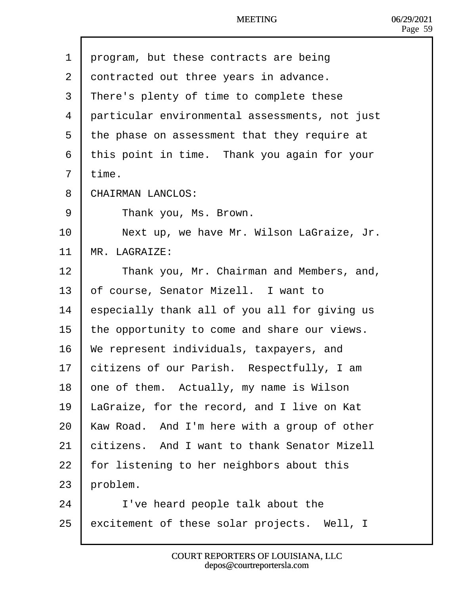- 1 drogram, but these contracts are being
- 2 dontracted out three years in advance.
- 3 There's plenty of time to complete these
- 4 darticular environmental assessments, not just
- 5 the phase on assessment that they require at
- 6 this point in time. Thank you again for your
- 7 time.
- 8 CHAIRMAN LANCLOS:
- 9 | Thank you, Ms. Brown.
- 10 | Next up, we have Mr. Wilson LaGraize, Jr.
- 11 MR. LAGRAIZE:
- 12 | Thank you, Mr. Chairman and Members, and,
- 13 bf course, Senator Mizell. I want to
- 14 **E**specially thank all of you all for giving us
- 15 the opportunity to come and share our views.
- 16 We represent individuals, taxpayers, and
- 17 bitizens of our Parish. Respectfully, I am
- 18 bne of them. Actually, my name is Wilson
- 19 LaGraize, for the record, and I live on Kat
- 20 Kaw Road. And I'm here with a group of other
- 21 bitizens. And I want to thank Senator Mizell
- 22 for listening to her neighbors about this
- $23$  broblem.
- $24$  | I've heard people talk about the
- 25 excitement of these solar projects. Well, I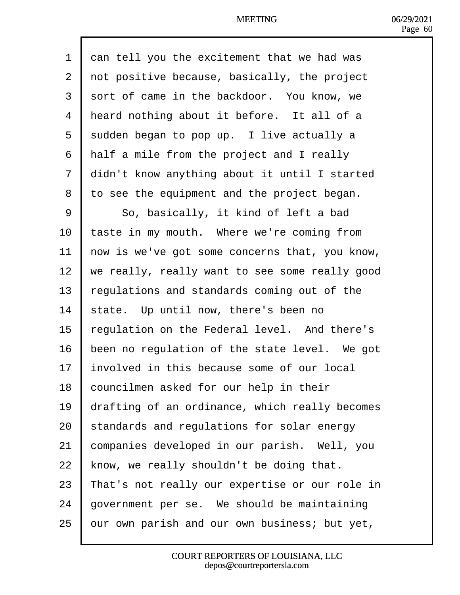| 1  | dan tell you the excitement that we had was    |
|----|------------------------------------------------|
| 2  | rot positive because, basically, the project   |
| 3  | sort of came in the backdoor. You know, we     |
| 4  | Heard nothing about it before. It all of a     |
| 5  | sudden began to pop up. I live actually a      |
| 6  | Half a mile from the project and I really      |
| 7  | didn't know anything about it until I started  |
| 8  | to see the equipment and the project began.    |
| 9  | So, basically, it kind of left a bad           |
| 10 | taste in my mouth. Where we're coming from     |
| 11 | how is we've got some concerns that, you know, |
| 12 | we really, really want to see some really good |
| 13 | egulations and standards coming out of the     |
| 14 | state. Up until now, there's been no           |
| 15 | regulation on the Federal level. And there's   |
| 16 | been no regulation of the state level. We got  |
| 17 | nvolved in this because some of our local      |
| 18 | councilmen asked for our help in their         |
| 19 | drafting of an ordinance, which really becomes |
| 20 | standards and regulations for solar energy     |
| 21 | companies developed in our parish. Well, you   |
| 22 | know, we really shouldn't be doing that.       |
| 23 | That's not really our expertise or our role in |
| 24 | government per se. We should be maintaining    |
| 25 | pur own parish and our own business; but yet,  |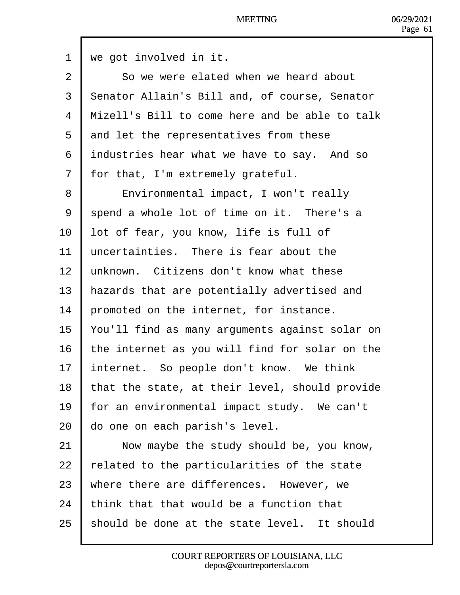| 1              | we got involved in it.                               |
|----------------|------------------------------------------------------|
| 2              | So we were elated when we heard about                |
| 3              | <b>Senator Allain's Bill and, of course, Senator</b> |
| 4              | Mizell's Bill to come here and be able to talk       |
| 5              | and let the representatives from these               |
| 6              | industries hear what we have to say. And so          |
| $\overline{7}$ | for that, I'm extremely grateful.                    |
| 8              | Environmental impact, I won't really                 |
| 9              | spend a whole lot of time on it. There's a           |
| 10             | lot of fear, you know, life is full of               |
| 11             | uncertainties. There is fear about the               |
| 12             | unknown. Citizens don't know what these              |
| 13             | hazards that are potentially advertised and          |
| 14             | promoted on the internet, for instance.              |
| 15             | You'll find as many arguments against solar on       |
| 16             | the internet as you will find for solar on the       |
| 17             | Internet. So people don't know. We think             |
| 18             | that the state, at their level, should provide       |
| 19             | for an environmental impact study. We can't          |
| 20             | do one on each parish's level.                       |
| 21             | Now maybe the study should be, you know,             |
| 22             | related to the particularities of the state          |
| 23             | where there are differences. However, we             |
| 24             | think that that would be a function that             |
| 25             | should be done at the state level. It should         |
|                |                                                      |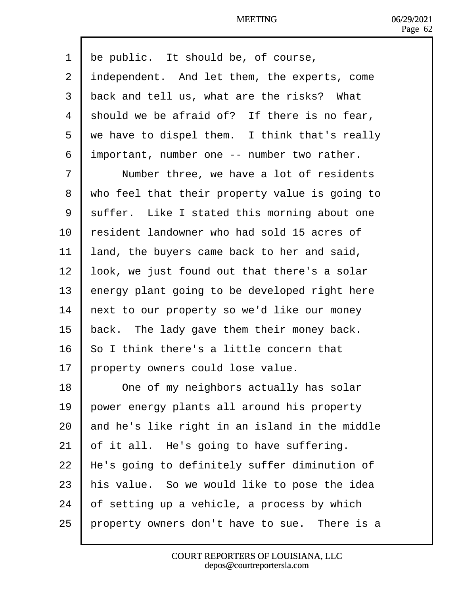| 1              | the public. It should be, of course,           |
|----------------|------------------------------------------------|
| 2              | independent. And let them, the experts, come   |
| 3              | back and tell us, what are the risks? What     |
| 4              | should we be afraid of? If there is no fear,   |
| 5              | we have to dispel them. I think that's really  |
| 6              | important, number one -- number two rather.    |
| $\overline{7}$ | Number three, we have a lot of residents       |
| 8              | who feel that their property value is going to |
| 9              | suffer. Like I stated this morning about one   |
| 10             | resident landowner who had sold 15 acres of    |
| 11             | and, the buyers came back to her and said,     |
| 12             | look, we just found out that there's a solar   |
| 13             | energy plant going to be developed right here  |
| 14             | hext to our property so we'd like our money    |
| 15             | back. The lady gave them their money back.     |
| 16             | So I think there's a little concern that       |
| 17             | property owners could lose value.              |
| 18             | One of my neighbors actually has solar         |
| 19             | power energy plants all around his property    |
| 20             | and he's like right in an island in the middle |
| 21             | of it all. He's going to have suffering.       |
| 22             | He's going to definitely suffer diminution of  |
| 23             | his value. So we would like to pose the idea   |
| 24             | of setting up a vehicle, a process by which    |
| 25             | property owners don't have to sue. There is a  |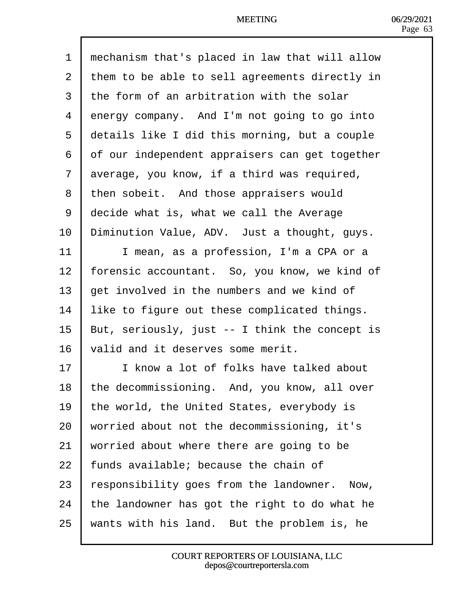| 1              | mechanism that's placed in law that will allow |
|----------------|------------------------------------------------|
| $\overline{2}$ | them to be able to sell agreements directly in |
| 3              | the form of an arbitration with the solar      |
| 4              | dnergy company. And I'm not going to go into   |
| 5              | details like I did this morning, but a couple  |
| 6              | of our independent appraisers can get together |
| $\overline{7}$ | average, you know, if a third was required,    |
| 8              | then sobeit. And those appraisers would        |
| 9              | decide what is, what we call the Average       |
| 10             | Diminution Value, ADV. Just a thought, guys.   |
| 11             | I mean, as a profession, I'm a CPA or a        |
| 12             | forensic accountant. So, you know, we kind of  |
| 13             | get involved in the numbers and we kind of     |
| 14             | ike to figure out these complicated things.    |
| 15             | But, seriously, just -- I think the concept is |
| 16             | valid and it deserves some merit.              |
| 17             | I know a lot of folks have talked about        |
| 18             | the decommissioning. And, you know, all over   |
| 19             | the world, the United States, everybody is     |
| 20             | worried about not the decommissioning, it's    |
| 21             | worried about where there are going to be      |
| 22             | unds available; because the chain of           |
| 23             | esponsibility goes from the landowner. Now,    |
| 24             | the landowner has got the right to do what he  |
| 25             | wants with his land. But the problem is, he    |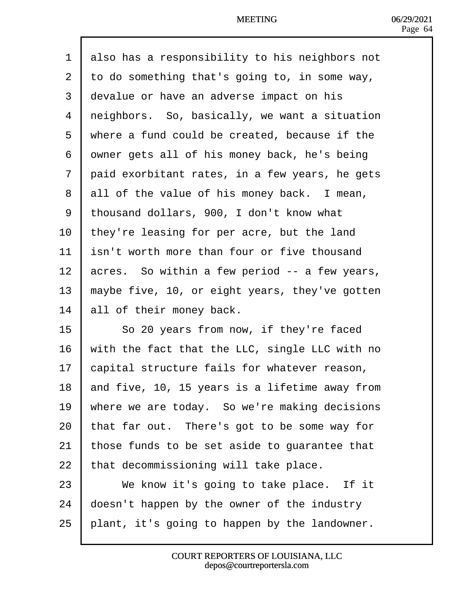| 1              | also has a responsibility to his neighbors not |
|----------------|------------------------------------------------|
| $\overline{2}$ | to do something that's going to, in some way,  |
| 3              | devalue or have an adverse impact on his       |
| 4              | reighbors. So, basically, we want a situation  |
| 5              | where a fund could be created, because if the  |
| 6              | dwner gets all of his money back, he's being   |
| $\overline{7}$ | daid exorbitant rates, in a few years, he gets |
| 8              | all of the value of his money back. I mean,    |
| 9              | thousand dollars, 900, I don't know what       |
| 10             | they're leasing for per acre, but the land     |
| 11             | sn't worth more than four or five thousand     |
| 12             | acres. So within a few period -- a few years,  |
| 13             | maybe five, 10, or eight years, they've gotten |
| 14             | all of their money back.                       |
| 15             | So 20 years from now, if they're faced         |
| 16             | with the fact that the LLC, single LLC with no |
| 17             | capital structure fails for whatever reason,   |
| 18             | and five, 10, 15 years is a lifetime away from |
| 19             | where we are today. So we're making decisions  |
| 20             | that far out. There's got to be some way for   |
| 21             | those funds to be set aside to guarantee that  |
| 22             | that decommissioning will take place.          |
| 23             | We know it's going to take place. If it        |
| 24             | doesn't happen by the owner of the industry    |
| 25             | plant, it's going to happen by the landowner.  |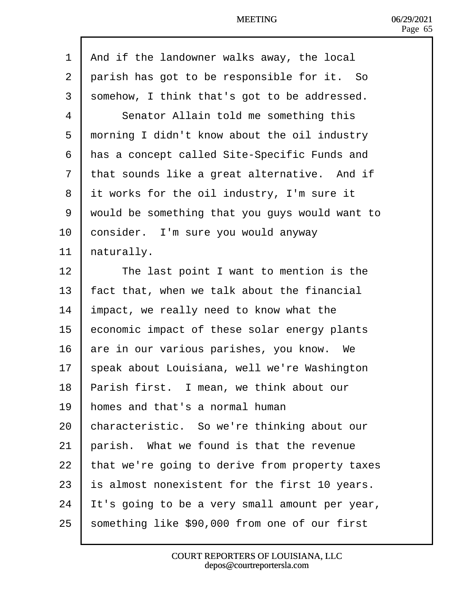| 1  | And if the landowner walks away, the local     |
|----|------------------------------------------------|
| 2  | parish has got to be responsible for it. So    |
| 3  | somehow, I think that's got to be addressed.   |
| 4  | Senator Allain told me something this          |
| 5  | morning I didn't know about the oil industry   |
| 6  | Has a concept called Site-Specific Funds and   |
| 7  | that sounds like a great alternative. And if   |
| 8  | if works for the oil industry, I'm sure it     |
| 9  | would be something that you guys would want to |
| 10 | consider. I'm sure you would anyway            |
| 11 | haturally.                                     |
| 12 | The last point I want to mention is the        |
| 13 | act that, when we talk about the financial     |
| 14 | mpact, we really need to know what the         |
| 15 | economic impact of these solar energy plants   |
| 16 | are in our various parishes, you know. We      |
| 17 | speak about Louisiana, well we're Washington   |
| 18 | Parish first. I mean, we think about our       |
| 19 | homes and that's a normal human                |
| 20 | characteristic. So we're thinking about our    |
| 21 | parish. What we found is that the revenue      |
| 22 | that we're going to derive from property taxes |
| 23 | s almost nonexistent for the first 10 years.   |
| 24 | t's going to be a very small amount per year,  |
| 25 | something like \$90,000 from one of our first  |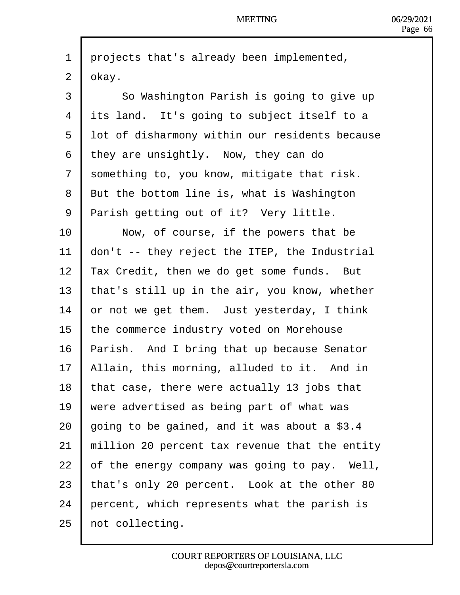| 1              | projects that's already been implemented,         |
|----------------|---------------------------------------------------|
| $\overline{2}$ | dkay.                                             |
| 3              | So Washington Parish is going to give up          |
| 4              | its land. It's going to subject itself to a       |
| 5              | lot of disharmony within our residents because    |
| 6              | they are unsightly. Now, they can do              |
| 7              | something to, you know, mitigate that risk.       |
| 8              | <b>But the bottom line is, what is Washington</b> |
| 9              | <b>Parish getting out of it? Very little.</b>     |
| 10             | Now, of course, if the powers that be             |
| 11             | don't -- they reject the ITEP, the Industrial     |
| 12             | Tax Credit, then we do get some funds. But        |
| 13             | that's still up in the air, you know, whether     |
| 14             | or not we get them. Just yesterday, I think       |
| 15             | the commerce industry voted on Morehouse          |
| 16             | Parish. And I bring that up because Senator       |
| 17             | Allain, this morning, alluded to it. And in       |
| 18             | that case, there were actually 13 jobs that       |
| 19             | were advertised as being part of what was         |
| 20             | going to be gained, and it was about a \$3.4      |
| 21             | million 20 percent tax revenue that the entity    |
| 22             | of the energy company was going to pay. Well,     |
| 23             | that's only 20 percent. Look at the other 80      |
| 24             | percent, which represents what the parish is      |
| 25             | not collecting.                                   |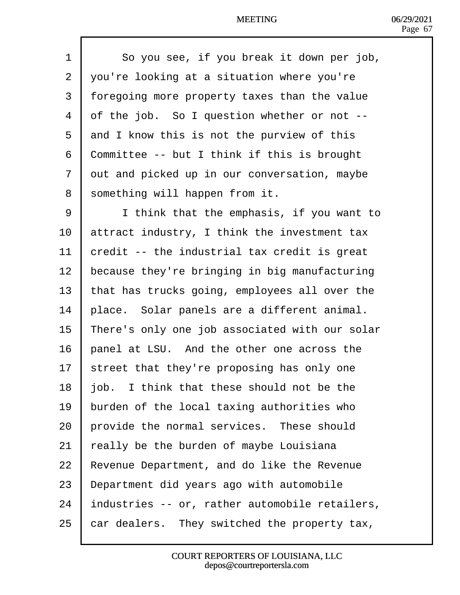| 1              | So you see, if you break it down per job,          |
|----------------|----------------------------------------------------|
| $\overline{2}$ | you're looking at a situation where you're         |
| 3              | foregoing more property taxes than the value       |
| 4              | of the job. So I question whether or not --        |
| 5              | and I know this is not the purview of this         |
| 6              | <b>Committee -- but I think if this is brought</b> |
| 7              | dut and picked up in our conversation, maybe       |
| 8              | something will happen from it.                     |
| 9              | I think that the emphasis, if you want to          |
| 10             | attract industry, I think the investment tax       |
| 11             | credit -- the industrial tax credit is great       |
| 12             | because they're bringing in big manufacturing      |
| 13             | that has trucks going, employees all over the      |
| 14             | place. Solar panels are a different animal.        |
| 15             | There's only one job associated with our solar     |
| 16             | panel at LSU. And the other one across the         |
| 17             | street that they're proposing has only one         |
| 18             | job. I think that these should not be the          |
| 19             | burden of the local taxing authorities who         |
| 20             | provide the normal services. These should          |
| 21             | eally be the burden of maybe Louisiana             |
| 22             | Revenue Department, and do like the Revenue        |
| 23             | Department did years ago with automobile           |
| 24             | Industries -- or, rather automobile retailers,     |
| 25             | car dealers. They switched the property tax,       |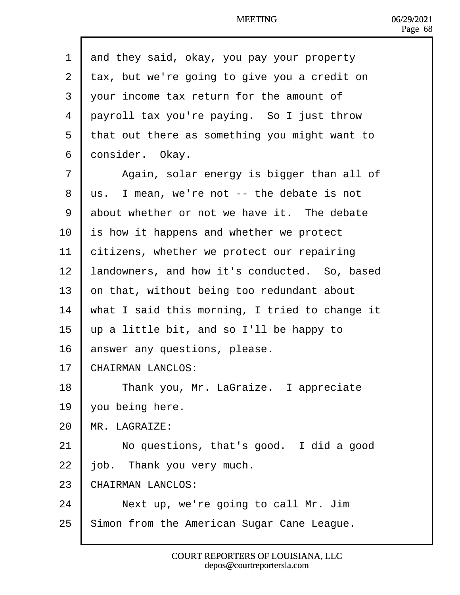| 1  | and they said, okay, you pay your property     |
|----|------------------------------------------------|
| 2  | tax, but we're going to give you a credit on   |
| 3  | your income tax return for the amount of       |
| 4  | payroll tax you're paying. So I just throw     |
| 5  | that out there as something you might want to  |
| 6  | donsider. Okay.                                |
| 7  | Again, solar energy is bigger than all of      |
| 8  | Us. I mean, we're not -- the debate is not     |
| 9  | about whether or not we have it. The debate    |
| 10 | is how it happens and whether we protect       |
| 11 | citizens, whether we protect our repairing     |
| 12 | andowners, and how it's conducted. So, based   |
| 13 | on that, without being too redundant about     |
| 14 | what I said this morning, I tried to change it |
| 15 | up a little bit, and so I'll be happy to       |
| 16 | answer any questions, please.                  |
| 17 | CHAIRMAN LANCLOS:                              |
| 18 | Thank you, Mr. LaGraize. I appreciate          |
| 19 | you being here.                                |
| 20 | <b>MR. LAGRAIZE:</b>                           |
| 21 | No questions, that's good. I did a good        |
| 22 | ob. Thank you very much.                       |
| 23 | CHAIRMAN LANCLOS:                              |
| 24 | Next up, we're going to call Mr. Jim           |
| 25 | Simon from the American Sugar Cane League.     |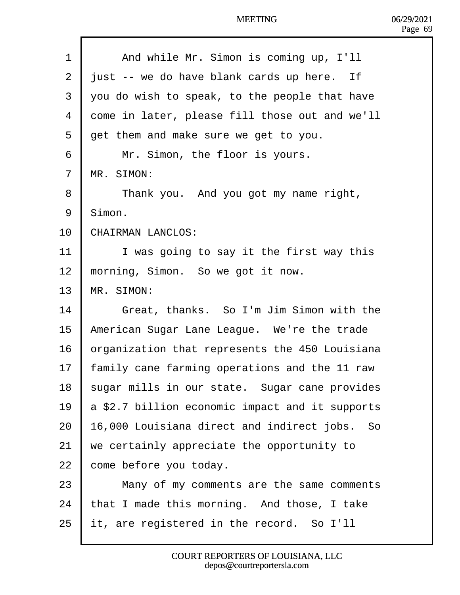| 1  | And while Mr. Simon is coming up, I'll                 |
|----|--------------------------------------------------------|
| 2  | just -- we do have blank cards up here. If             |
| 3  | you do wish to speak, to the people that have          |
| 4  | dome in later, please fill those out and we'll         |
| 5  | det them and make sure we get to you.                  |
| 6  | Mr. Simon, the floor is yours.                         |
| 7  | <b>MR. SIMON:</b>                                      |
| 8  | Thank you. And you got my name right,                  |
| 9  | Simon.                                                 |
| 10 | CHAIRMAN LANCLOS:                                      |
| 11 | I was going to say it the first way this               |
| 12 | morning, Simon. So we got it now.                      |
| 13 | MR. SIMON:                                             |
| 14 | Great, thanks. So I'm Jim Simon with the               |
| 15 | American Sugar Lane League. We're the trade            |
| 16 | prganization that represents the 450 Louisiana         |
| 17 | amily cane farming operations and the 11 raw           |
| 18 | sugar mills in our state. Sugar cane provides          |
| 19 | <b>a</b> \$2.7 billion economic impact and it supports |
| 20 | 16,000 Louisiana direct and indirect jobs. So          |
| 21 | we certainly appreciate the opportunity to             |
| 22 | come before you today.                                 |
| 23 | Many of my comments are the same comments              |
| 24 | that I made this morning. And those, I take            |
| 25 | It, are registered in the record. So I'll              |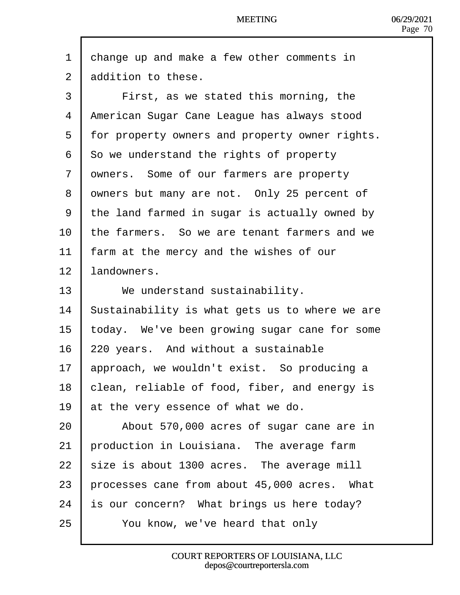- 1 dhange up and make a few other comments in
- 2 dedition to these.
- 3 | First, as we stated this morning, the
- 4 American Sugar Cane League has always stood
- 5 for property owners and property owner rights.
- 6 **S**o we understand the rights of property
- 7 dwners. Some of our farmers are property
- 8 dwners but many are not. Only 25 percent of
- 9 the land farmed in sugar is actually owned by
- 10 the farmers. So we are tenant farmers and we
- 11 farm at the mercy and the wishes of our
- 12 landowners.
- 13 | We understand sustainability.
- 14 Sustainability is what gets us to where we are
- 15 today. We've been growing sugar cane for some
- 16 220 years. And without a sustainable
- 17 approach, we wouldn't exist. So producing a
- 18 blean, reliable of food, fiber, and energy is
- 19 at the very essence of what we do.
- 20 | About 570,000 acres of sugar cane are in
- 21 **production in Louisiana.** The average farm
- 22  $\frac{1}{2}$  size is about 1300 acres. The average mill
- 23 brocesses cane from about 45,000 acres. What
- 24 is our concern? What brings us here today?
- 25  **You know, we've heard that only**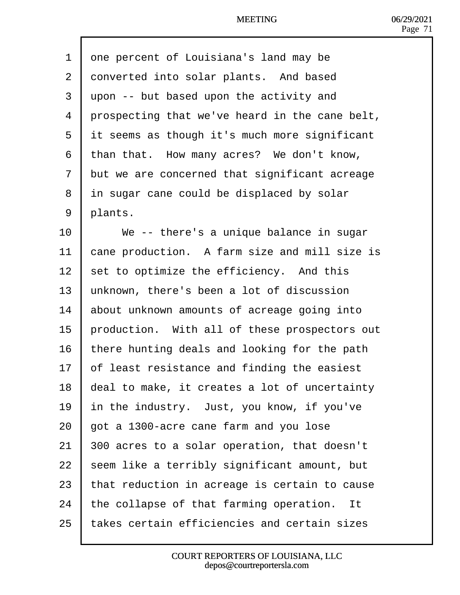| 1              | one percent of Louisiana's land may be         |
|----------------|------------------------------------------------|
| $\overline{2}$ | donverted into solar plants. And based         |
| 3              | upon -- but based upon the activity and        |
| 4              | prospecting that we've heard in the cane belt, |
| 5              | if seems as though it's much more significant  |
| 6              | than that. How many acres? We don't know,      |
| 7              | but we are concerned that significant acreage  |
| 8              | in sugar cane could be displaced by solar      |
| 9              | plants.                                        |
| 10             | We -- there's a unique balance in sugar        |
| 11             | cane production. A farm size and mill size is  |
| 12             | set to optimize the efficiency. And this       |
| 13             | unknown, there's been a lot of discussion      |
| 14             | about unknown amounts of acreage going into    |
| 15             | production. With all of these prospectors out  |
| 16             | there hunting deals and looking for the path   |
| 17             | of least resistance and finding the easiest    |
| 18             | deal to make, it creates a lot of uncertainty  |
| 19             | In the industry. Just, you know, if you've     |
| 20             | got a 1300-acre cane farm and you lose         |
| 21             | 800 acres to a solar operation, that doesn't   |
| 22             | seem like a terribly significant amount, but   |
| 23             | that reduction in acreage is certain to cause  |
| 24             | the collapse of that farming operation. It     |
| 25             | takes certain efficiencies and certain sizes   |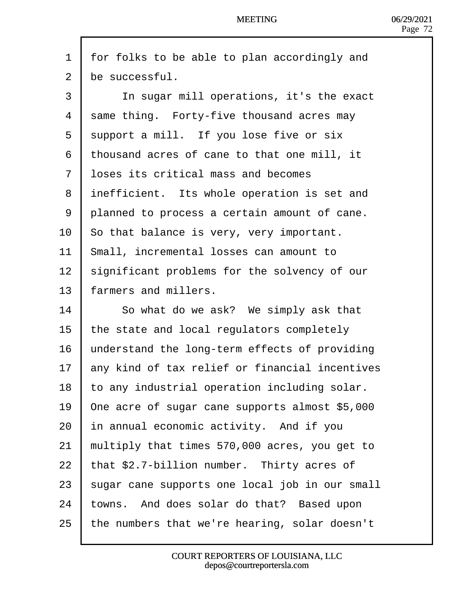- 1 for folks to be able to plan accordingly and
- 2 be successful.
- 3 | In sugar mill operations, it's the exact
- 4 same thing. Forty-five thousand acres may
- 5 support a mill. If you lose five or six
- ·6· ·thousand acres of cane to that one mill, it
- 7 **loses its critical mass and becomes**
- 8 inefficient. Its whole operation is set and
- 9 planned to process a certain amount of cane.
- 10 So that balance is very, very important.
- 11 Small, incremental losses can amount to
- 12 significant problems for the solvency of our
- 13 farmers and millers.
- 14 **So what do we ask?** We simply ask that
- 15 the state and local regulators completely
- 16 understand the long-term effects of providing
- 17 any kind of tax relief or financial incentives
- 18 to any industrial operation including solar.
- 19 Dne acre of sugar cane supports almost \$5,000
- 20 In annual economic activity. And if you
- 21 multiply that times  $570,000$  acres, you get to
- 22  $\frac{1}{2}$  that \$2.7-billion number. Thirty acres of
- 23 sugar cane supports one local job in our small
- 24 towns. And does solar do that? Based upon
- 25 the numbers that we're hearing, solar doesn't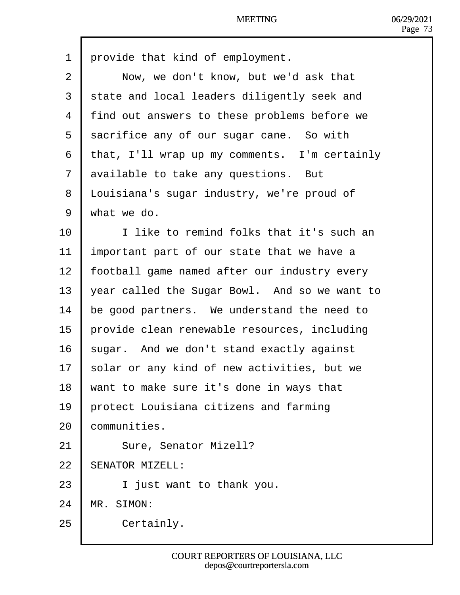| 1               | provide that kind of employment.              |
|-----------------|-----------------------------------------------|
| $\overline{2}$  | Now, we don't know, but we'd ask that         |
| 3               | state and local leaders diligently seek and   |
| 4               | find out answers to these problems before we  |
| 5               | sacrifice any of our sugar cane. So with      |
| 6               | that, I'll wrap up my comments. I'm certainly |
| 7               | available to take any questions. But          |
| 8               | Louisiana's sugar industry, we're proud of    |
| 9               | what we do.                                   |
| 10              | I like to remind folks that it's such an      |
| 11              | Important part of our state that we have a    |
| 12 <sub>2</sub> | football game named after our industry every  |
| 13              | year called the Sugar Bowl. And so we want to |
| 14              | be good partners. We understand the need to   |
| 15              | provide clean renewable resources, including  |
| 16              | sugar. And we don't stand exactly against     |
| 17              | solar or any kind of new activities, but we   |
| 18              | want to make sure it's done in ways that      |
| 19              | protect Louisiana citizens and farming        |
| 20              | communities.                                  |
| 21              | Sure, Senator Mizell?                         |
| 22              | <b>SENATOR MIZELL:</b>                        |
| 23              | I just want to thank you.                     |
| 24              | MR. SIMON:                                    |
| 25              | Certainly.                                    |
|                 |                                               |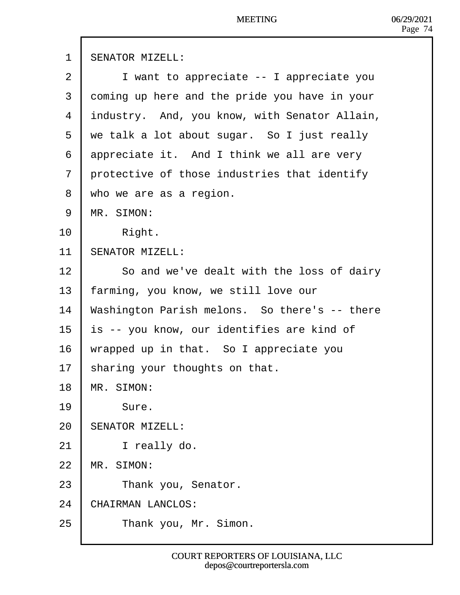| 1              | <b>SENATOR MIZELL:</b>                        |
|----------------|-----------------------------------------------|
| 2              | I want to appreciate -- I appreciate you      |
| 3              | doming up here and the pride you have in your |
| 4              | industry. And, you know, with Senator Allain, |
| 5              | we talk a lot about sugar. So I just really   |
| 6              | appreciate it. And I think we all are very    |
| $\overline{7}$ | protective of those industries that identify  |
| 8              | who we are as a region.                       |
| 9              | <b>MR. SIMON:</b>                             |
| 10             | Right.                                        |
| 11             | <b>SENATOR MIZELL:</b>                        |
| 12             | So and we've dealt with the loss of dairy     |
| 13             | farming, you know, we still love our          |
| 14             | Washington Parish melons. So there's -- there |
| 15             | s -- you know, our identifies are kind of     |
| 16             | wrapped up in that. So I appreciate you       |
| 17             | sharing your thoughts on that.                |
| 18             | MR. SIMON:                                    |
| 19             | Sure.                                         |
| 20             | SENATOR MIZELL:                               |
| 21             | I really do.                                  |
| 22             | <b>MR. SIMON:</b>                             |
| 23             | Thank you, Senator.                           |
| 24             | CHAIRMAN LANCLOS:                             |
| 25             | Thank you, Mr. Simon.                         |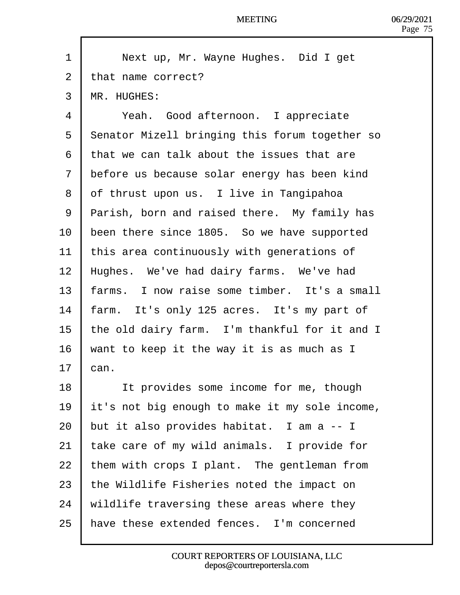| 1              | Next up, Mr. Wayne Hughes. Did I get                  |
|----------------|-------------------------------------------------------|
| $\overline{2}$ | that name correct?                                    |
| 3              | <b>MR. HUGHES:</b>                                    |
| 4              | Yeah. Good afternoon. I appreciate                    |
| 5              | <b>Senator Mizell bringing this forum together so</b> |
| 6              | that we can talk about the issues that are            |
| 7              | before us because solar energy has been kind          |
| 8              | of thrust upon us. I live in Tangipahoa               |
| 9              | Parish, born and raised there. My family has          |
| 10             | been there since 1805. So we have supported           |
| 11             | this area continuously with generations of            |
| 12             | Hughes. We've had dairy farms. We've had              |
| 13             | arms. I now raise some timber. It's a small           |
| 14             | farm. It's only 125 acres. It's my part of            |
| 15             | the old dairy farm. I'm thankful for it and I         |
| 16             | want to keep it the way it is as much as I            |
| 17             | can.                                                  |
| 18             | It provides some income for me, though                |
| 19             | it's not big enough to make it my sole income,        |
| 20             | but it also provides habitat. I am a -- I             |
| 21             | take care of my wild animals. I provide for           |
| 22             | them with crops I plant. The gentleman from           |
| 23             | the Wildlife Fisheries noted the impact on            |
| 24             | wildlife traversing these areas where they            |
| 25             | have these extended fences. I'm concerned             |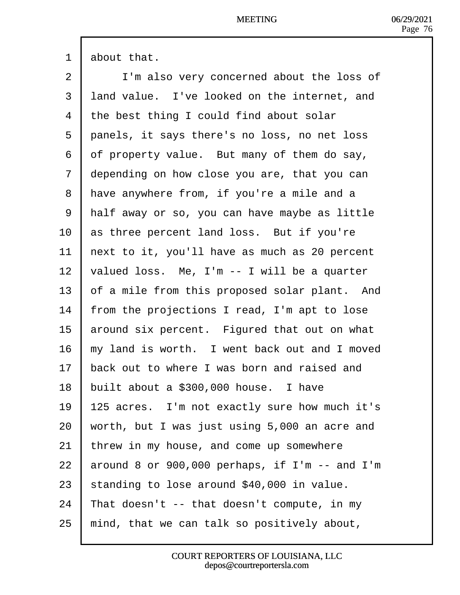1 **about that.** 

2 | I'm also very concerned about the loss of 3 land value. I've looked on the internet, and 4 the best thing I could find about solar 5 panels, it says there's no loss, no net loss 6 df property value. But many of them do say, 7 depending on how close you are, that you can 8 Have anywhere from, if you're a mile and a 9 Half away or so, you can have maybe as little 10 **as three percent land loss.** But if you're 11  $\mu$  hext to it, you'll have as much as 20 percent 12  $\sqrt{v}$  valued loss. Me, I'm  $-1$  will be a quarter 13 b f a mile from this proposed solar plant. And 14 from the projections I read, I'm apt to lose 15 around six percent. Figured that out on what 16 hy land is worth. I went back out and I moved 17 back out to where I was born and raised and 18 built about a \$300,000 house. I have 19  $\parallel$  125 acres. I'm not exactly sure how much it's 20 worth, but I was just using  $5,000$  an acre and 21  $\cdot$  threw in my house, and come up somewhere 22  $\,$  around 8 or 900,000 perhaps, if I'm  $-$  and I'm 23 standing to lose around \$40,000 in value. 24 That doesn't  $-$  that doesn't compute, in my 25  $\,$  mind, that we can talk so positively about,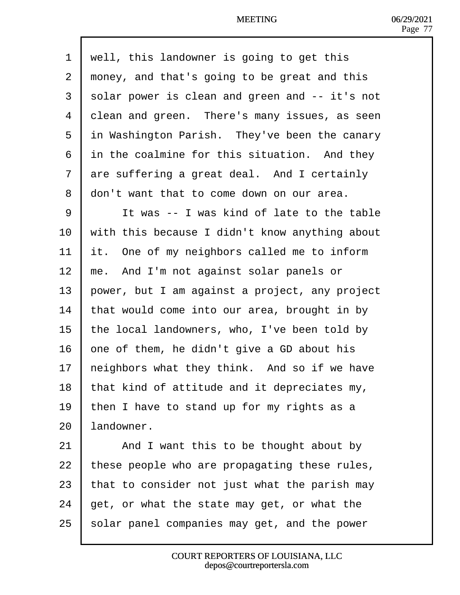1 well, this landowner is going to get this 2 rhoney, and that's going to be great and this 3 solar power is clean and green and -- it's not 4 dlean and green. There's many issues, as seen 5 in Washington Parish. They've been the canary 6 in the coalmine for this situation. And they 7 dre suffering a great deal. And I certainly 8 don't want that to come down on our area. 9 | It was -- I was kind of late to the table 10 with this because I didn't know anything about 11  $\,$  It. One of my neighbors called me to inform 12 me. And I'm not against solar panels or 13 bower, but I am against a project, any project 14  $\cdot$  that would come into our area, brought in by 15 the local landowners, who, I've been told by 16  $\epsilon$  bne of them, he didn't give a GD about his 17 heighbors what they think. And so if we have 18 that kind of attitude and it depreciates my, 19 then I have to stand up for my rights as a 20 landowner. 21  $\parallel$  And I want this to be thought about by 22 these people who are propagating these rules, 23  $\frac{1}{2}$  that to consider not just what the parish may 24  $\theta$  et, or what the state may get, or what the 25 solar panel companies may get, and the power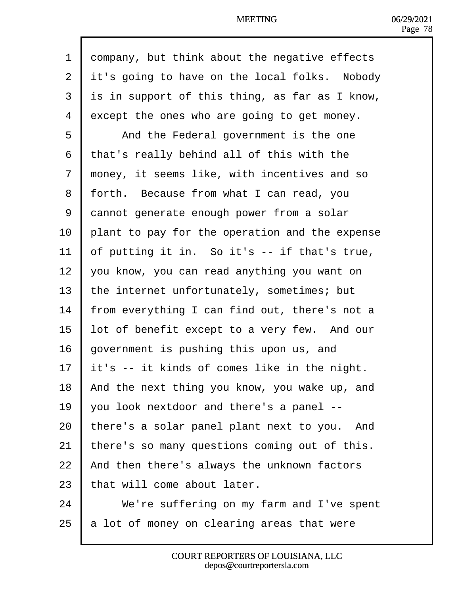| 1              | dompany, but think about the negative effects  |
|----------------|------------------------------------------------|
| $\overline{2}$ | it's going to have on the local folks. Nobody  |
| 3              | is in support of this thing, as far as I know, |
| 4              | except the ones who are going to get money.    |
| 5              | And the Federal government is the one          |
| 6              | that's really behind all of this with the      |
| $\overline{7}$ | money, it seems like, with incentives and so   |
| 8              | forth. Because from what I can read, you       |
| 9              | dannot generate enough power from a solar      |
| 10             | plant to pay for the operation and the expense |
| 11             | of putting it in. So it's -- if that's true,   |
| 12             | you know, you can read anything you want on    |
| 13             | the internet unfortunately, sometimes; but     |
| 14             | rom everything I can find out, there's not a   |
| 15             | ot of benefit except to a very few. And our    |
| 16             | government is pushing this upon us, and        |
| 17             | It's -- it kinds of comes like in the night.   |
| 18             | And the next thing you know, you wake up, and  |
| 19             | you look nextdoor and there's a panel --       |
| 20             | there's a solar panel plant next to you. And   |
| 21             | there's so many questions coming out of this.  |
| 22             | And then there's always the unknown factors    |
| 23             | that will come about later.                    |
| 24             | We're suffering on my farm and I've spent      |
| 25             | a lot of money on clearing areas that were     |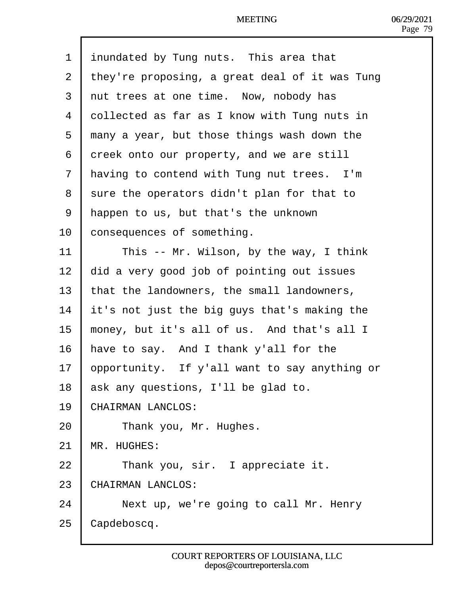| 1              | inundated by Tung nuts. This area that         |
|----------------|------------------------------------------------|
| 2              | they're proposing, a great deal of it was Tung |
| 3              | rut trees at one time. Now, nobody has         |
| 4              | dollected as far as I know with Tung nuts in   |
| 5              | many a year, but those things wash down the    |
| 6              | dreek onto our property, and we are still      |
| $\overline{7}$ | Having to contend with Tung nut trees. I'm     |
| 8              | sure the operators didn't plan for that to     |
| 9              | Happen to us, but that's the unknown           |
| 10             | consequences of something.                     |
| 11             | This -- Mr. Wilson, by the way, I think        |
| 12             | did a very good job of pointing out issues     |
| 13             | that the landowners, the small landowners,     |
| 14             | t's not just the big guys that's making the    |
| 15             | money, but it's all of us. And that's all I    |
| 16             | have to say. And I thank y'all for the         |
| 17             | opportunity. If y'all want to say anything or  |
| 18             | ask any questions, I'll be glad to.            |
| 19             | CHAIRMAN LANCLOS:                              |
| 20             | Thank you, Mr. Hughes.                         |
| 21             | <b>MR. HUGHES:</b>                             |
| 22             | Thank you, sir. I appreciate it.               |
| 23             | CHAIRMAN LANCLOS:                              |
| 24             | Next up, we're going to call Mr. Henry         |
| 25             | Capdeboscq.                                    |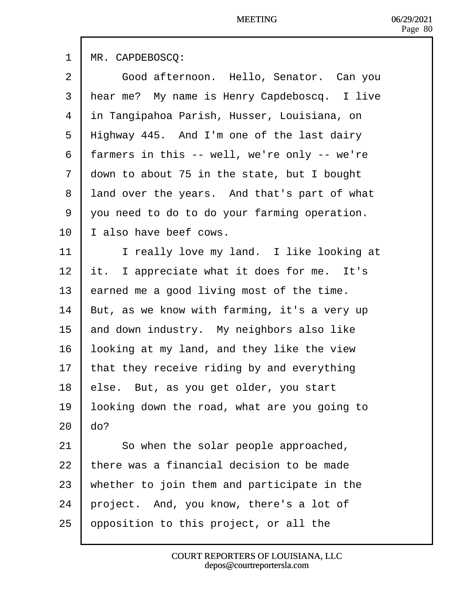|                | <b>NICCILINU</b>                             |
|----------------|----------------------------------------------|
| 1              | <b>MR. CAPDEBOSCQ:</b>                       |
| $\overline{2}$ | Good afternoon. Hello, Senator. Can you      |
| 3              | Hear me? My name is Henry Capdeboscq. I live |
| 4              | in Tangipahoa Parish, Husser, Louisiana, on  |
| 5              | Highway 445. And I'm one of the last dairy   |
| 6              | farmers in this -- well, we're only -- we're |
| 7              | down to about 75 in the state, but I bought  |
| 8              | land over the years. And that's part of what |
| 9              | you need to do to do your farming operation. |
| 10             | also have beef cows.                         |
| 11             | I really love my land. I like looking at     |
| 12             | t. I appreciate what it does for me. It's    |
| 13             | earned me a good living most of the time.    |
| 14             | But, as we know with farming, it's a very up |
| 15             | and down industry. My neighbors also like    |

- 16 looking at my land, and they like the view
- 17 that they receive riding by and everything
- 18 else. But, as you get older, you start
- 19 looking down the road, what are you going to  $20$   $do?$
- 
- 21 **So when the solar people approached,**
- 22  $\,$  there was a financial decision to be made
- 23 whether to join them and participate in the
- 24 project. And, you know, there's a lot of
- 25 **p**pposition to this project, or all the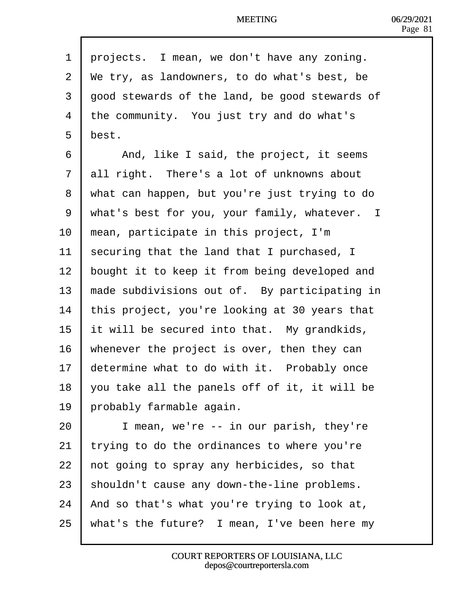| 1              | projects. I mean, we don't have any zoning.    |
|----------------|------------------------------------------------|
| $\overline{2}$ | We try, as landowners, to do what's best, be   |
| 3              | good stewards of the land, be good stewards of |
| 4              | the community. You just try and do what's      |
| 5              | best.                                          |
| 6              | And, like I said, the project, it seems        |
| $\overline{7}$ | all right. There's a lot of unknowns about     |
| 8              | what can happen, but you're just trying to do  |
| 9              | what's best for you, your family, whatever. I  |
| 10             | mean, participate in this project, I'm         |
| 11             | securing that the land that I purchased, I     |
| 12             | bought it to keep it from being developed and  |
| 13             | made subdivisions out of. By participating in  |
| 14             | this project, you're looking at 30 years that  |
| 15             | It will be secured into that. My grandkids,    |
| 16             | whenever the project is over, then they can    |
| 17             | determine what to do with it. Probably once    |
| 18             | you take all the panels off of it, it will be  |
| 19             | probably farmable again.                       |
| 20             | I mean, we're -- in our parish, they're        |
| 21             | trying to do the ordinances to where you're    |
| 22             | hot going to spray any herbicides, so that     |
| 23             | shouldn't cause any down-the-line problems.    |
| 24             | And so that's what you're trying to look at,   |
| 25             | what's the future? I mean, I've been here my   |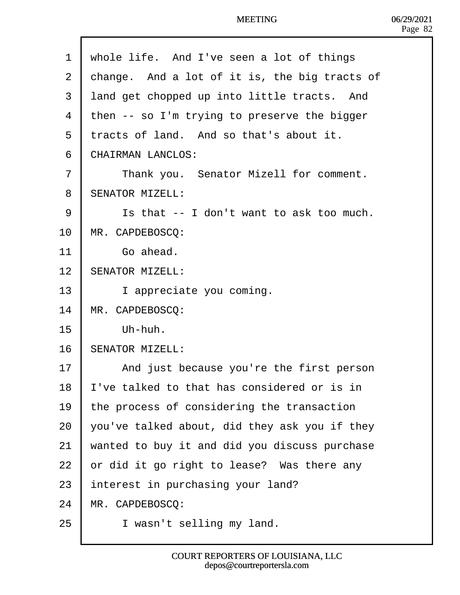| 1  | whole life. And I've seen a lot of things     |
|----|-----------------------------------------------|
| 2  | change. And a lot of it is, the big tracts of |
| 3  | land get chopped up into little tracts. And   |
| 4  | then -- so I'm trying to preserve the bigger  |
| 5  | tracts of land. And so that's about it.       |
| 6  | <b>CHAIRMAN LANCLOS:</b>                      |
| 7  | Thank you. Senator Mizell for comment.        |
| 8  | <b>SENATOR MIZELL:</b>                        |
| 9  | Is that -- I don't want to ask too much.      |
| 10 | MR. CAPDEBOSCQ:                               |
| 11 | Go ahead.                                     |
| 12 | <b>SENATOR MIZELL:</b>                        |
| 13 | I appreciate you coming.                      |
| 14 | MR. CAPDEBOSCQ:                               |
| 15 | Uh-huh.                                       |
| 16 | <b>SENATOR MIZELL:</b>                        |
| 17 | And just because you're the first person      |
| 18 | I've talked to that has considered or is in   |
| 19 | the process of considering the transaction    |
| 20 | you've talked about, did they ask you if they |
| 21 | wanted to buy it and did you discuss purchase |
| 22 | or did it go right to lease? Was there any    |
| 23 | Interest in purchasing your land?             |
| 24 | MR. CAPDEBOSCQ:                               |
| 25 | I wasn't selling my land.                     |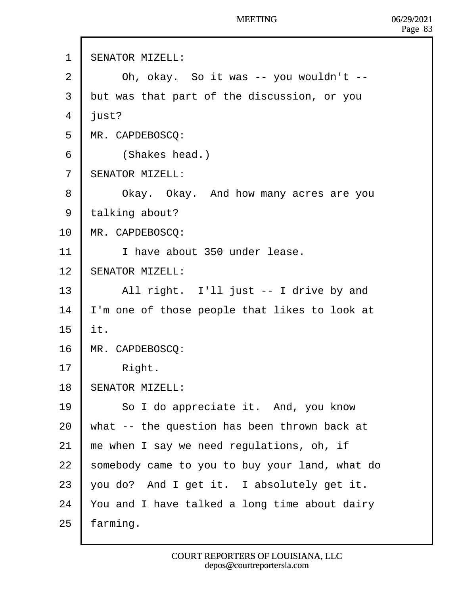- 1 SENATOR MIZELL:
- $2 \mid$  Oh, okay. So it was -- you wouldn't --
- 3 but was that part of the discussion, or you
- 4 *ilust*?
- 5 MR. CAPDEBOSCQ:
- 6 | (Shakes head.)
- 7 **SENATOR MIZELL:**
- 8 | Okay. Okay. And how many acres are you
- 9 talking about?
- 10 MR. CAPDEBOSCQ:
- 11 **I** have about 350 under lease.
- 12 **SENATOR MIZELL:**
- 13 | All right. I'll just -- I drive by and
- 14 I'm one of those people that likes to look at
- 15  $\mathbf{t}$ .
- 16 MR. CAPDEBOSCQ:
- 17  $\parallel$  Right.
- 18 **SENATOR MIZELL:**
- 19 | So I do appreciate it. And, you know
- 20 What  $-$  the question has been thrown back at
- 21  $\mu$  me when I say we need regulations, oh, if
- 22 somebody came to you to buy your land, what do
- 23  $\sqrt{v}$  you do? And I get it. I absolutely get it.
- 24  $\,$  You and I have talked a long time about dairy
- $25$  farming.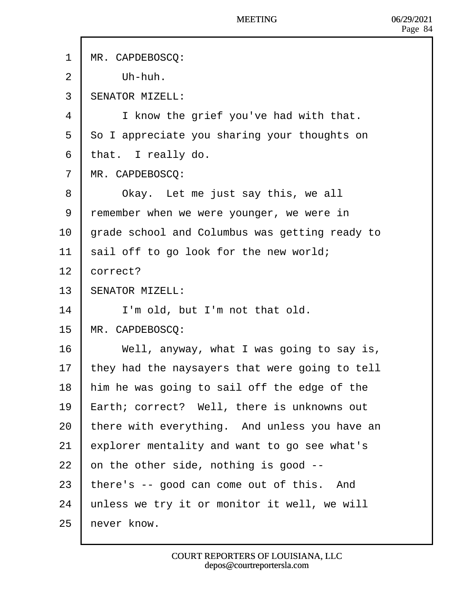- 1 MR. CAPDEBOSCO:
- $2$   $\mid$  Uh-huh.
- 3 **SENATOR MIZELL:**
- 4 | I know the grief you've had with that.
- 5 So I appreciate you sharing your thoughts on
- 6 that. I really do.
- 7 MR. CAPDEBOSCQ:
- 8  **Okay.** Let me just say this, we all
- 9 remember when we were younger, we were in
- 10 grade school and Columbus was getting ready to
- 11 sail off to go look for the new world;
- 12 **correct?**
- 13 **SENATOR MIZELL:**
- $14$   $\parallel$  I'm old, but I'm not that old.
- 15 MR. CAPDEBOSCQ:
- 16 Vell, anyway, what I was going to say is,
- 17 they had the naysayers that were going to tell
- 18 him he was going to sail off the edge of the
- 19 Earth; correct? Well, there is unknowns out
- 20 there with everything. And unless you have an
- 21  $\epsilon$  explorer mentality and want to go see what's
- 22  $\cdot$  on the other side, nothing is good  $\cdot$ -
- 23  $^{\dagger}$  there's -- good can come out of this. And
- 24 unless we try it or monitor it well, we will
- 25 hever know.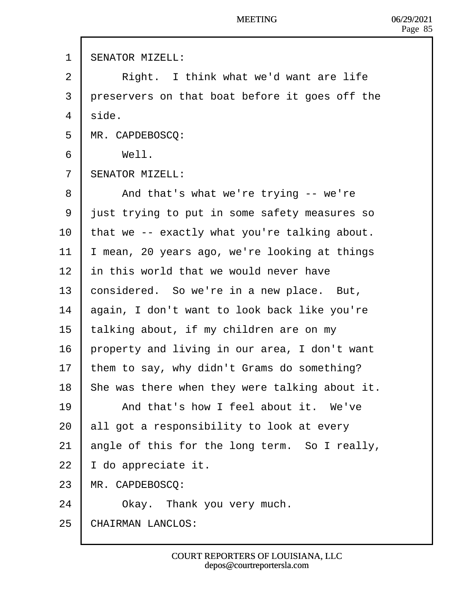- 1 SENATOR MIZELL:
- 2 | Right. I think what we'd want are life
- 3 dreservers on that boat before it goes off the
- 4 side.
- 5 MR. CAPDEBOSCQ:
- $6$  | Well.
- 7 **SENATOR MIZELL:**
- 8 | And that's what we're trying -- we're
- 9 just trying to put in some safety measures so
- 10 that we -- exactly what you're talking about.
- 11  $\parallel$  mean, 20 years ago, we're looking at things
- 12 In this world that we would never have
- 13 **considered.** So we're in a new place. But,
- 14 **b**again, I don't want to look back like you're
- 15 talking about, if my children are on my
- 16 property and living in our area, I don't want
- 17 them to say, why didn't Grams do something?
- 18 She was there when they were talking about it.
- 19 **I** And that's how I feel about it. We've
- 20 **all got a responsibility to look at every**
- 21  $\theta$  angle of this for the long term. So I really,
- 22  $\parallel$  do appreciate it.
- 23 MR. CAPDEBOSCQ:
- 24  **Okay.** Thank you very much.
- 25 CHAIRMAN LANCLOS: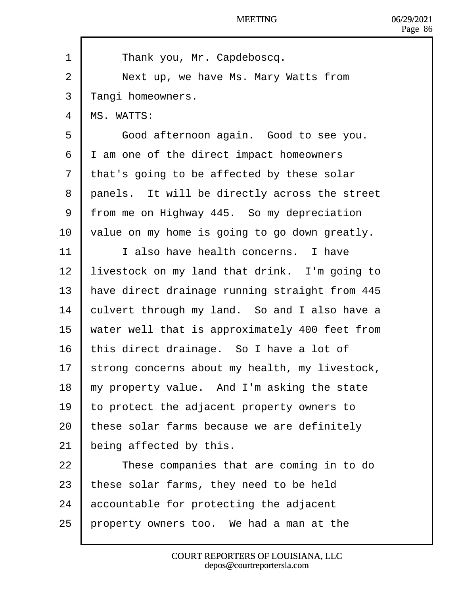| 1                        | Thank you, Mr. Capdeboscq.                     |
|--------------------------|------------------------------------------------|
| 2                        | Next up, we have Ms. Mary Watts from           |
| 3                        | ¶angi homeowners.                              |
| $\overline{\mathcal{A}}$ | <b>MS. WATTS:</b>                              |
| 5                        | Good afternoon again. Good to see you.         |
| 6                        | I am one of the direct impact homeowners       |
| 7                        | that's going to be affected by these solar     |
| 8                        | panels. It will be directly across the street  |
| 9                        | from me on Highway 445. So my depreciation     |
| 10                       | value on my home is going to go down greatly.  |
| 11                       | I also have health concerns. I have            |
| 12                       | livestock on my land that drink. I'm going to  |
| 13                       | have direct drainage running straight from 445 |
| 14                       | culvert through my land. So and I also have a  |
| 15                       | water well that is approximately 400 feet from |
| 16                       | this direct drainage. So I have a lot of       |
| 17                       | strong concerns about my health, my livestock, |
| 18                       | my property value. And I'm asking the state    |
| 19                       | to protect the adjacent property owners to     |
| 20                       | these solar farms because we are definitely    |
| 21                       | being affected by this.                        |
| 22                       | These companies that are coming in to do       |
| 23                       | these solar farms, they need to be held        |
| 24                       | accountable for protecting the adjacent        |
| 25                       | property owners too. We had a man at the       |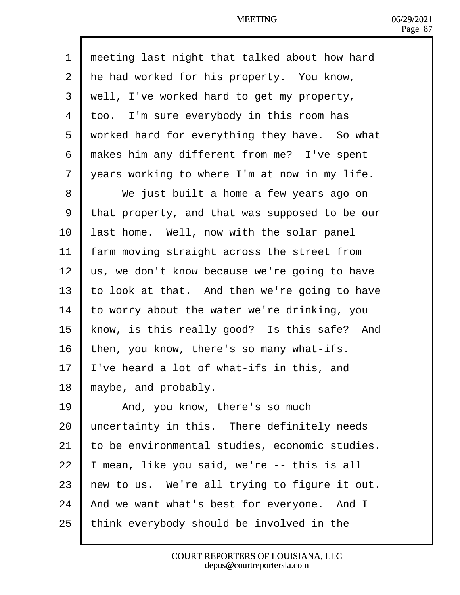| 1              | meeting last night that talked about how hard  |
|----------------|------------------------------------------------|
| 2              | He had worked for his property. You know,      |
| 3              | well, I've worked hard to get my property,     |
| $\overline{4}$ | too. I'm sure everybody in this room has       |
| 5              | worked hard for everything they have. So what  |
| 6              | makes him any different from me? I've spent    |
| $\overline{7}$ | years working to where I'm at now in my life.  |
| 8              | We just built a home a few years ago on        |
| 9              | that property, and that was supposed to be our |
| 10             | ast home. Well, now with the solar panel       |
| 11             | arm moving straight across the street from     |
| 12             | us, we don't know because we're going to have  |
| 13             | to look at that. And then we're going to have  |
| 14             | o worry about the water we're drinking, you    |
| 15             | know, is this really good? Is this safe? And   |
| 16             | hen, you know, there's so many what-ifs.       |
| 17             | 've heard a lot of what-ifs in this, and       |
| 18             | maybe, and probably.                           |
| 19             | And, you know, there's so much                 |
| 20             | uncertainty in this. There definitely needs    |
| 21             | to be environmental studies, economic studies. |
| 22             | mean, like you said, we're -- this is all      |
| 23             | hew to us. We're all trying to figure it out.  |
| 24             | And we want what's best for everyone. And I    |
| 25             | think everybody should be involved in the      |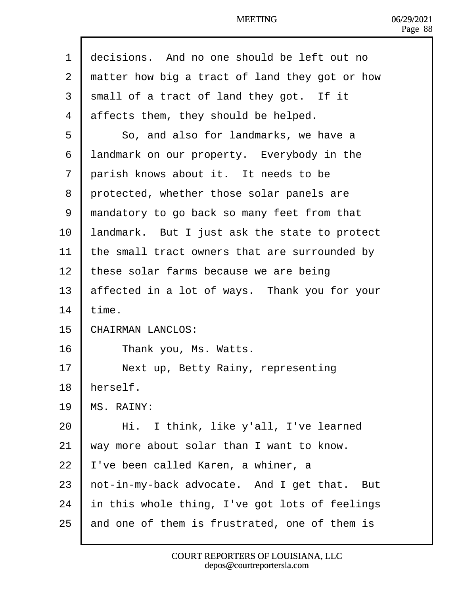| 1  | decisions. And no one should be left out no    |
|----|------------------------------------------------|
| 2  | matter how big a tract of land they got or how |
| 3  | small of a tract of land they got. If it       |
| 4  | affects them, they should be helped.           |
| 5  | So, and also for landmarks, we have a          |
| 6  | landmark on our property. Everybody in the     |
| 7  | parish knows about it. It needs to be          |
| 8  | protected, whether those solar panels are      |
| 9  | mandatory to go back so many feet from that    |
| 10 | andmark. But I just ask the state to protect   |
| 11 | the small tract owners that are surrounded by  |
| 12 | these solar farms because we are being         |
| 13 | affected in a lot of ways. Thank you for your  |
| 14 | time.                                          |
| 15 | CHAIRMAN LANCLOS:                              |
| 16 | Thank you, Ms. Watts.                          |
| 17 | Next up, Betty Rainy, representing             |
| 18 | herself.                                       |
| 19 | <b>MS. RAINY:</b>                              |
| 20 | Hi. I think, like y'all, I've learned          |
| 21 | way more about solar than I want to know.      |
| 22 | 've been called Karen, a whiner, a             |
| 23 | hot-in-my-back advocate. And I get that. But   |
| 24 | In this whole thing, I've got lots of feelings |
| 25 | and one of them is frustrated, one of them is  |
|    |                                                |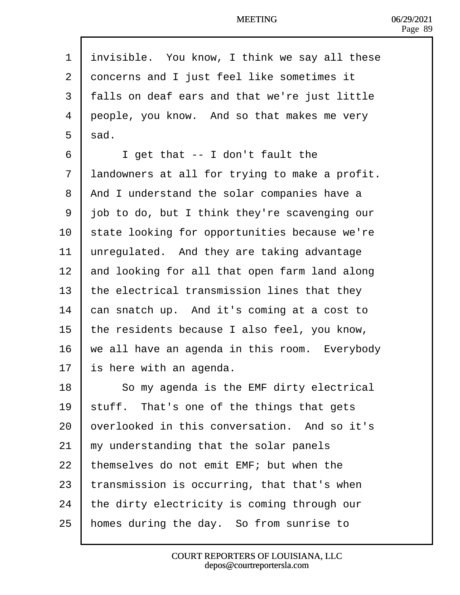| 1              | invisible. You know, I think we say all these  |
|----------------|------------------------------------------------|
| $\overline{2}$ | doncerns and I just feel like sometimes it     |
| 3              | falls on deaf ears and that we're just little  |
| 4              | deople, you know. And so that makes me very    |
| 5              | sad.                                           |
| 6              | I get that -- I don't fault the                |
| $\overline{7}$ | landowners at all for trying to make a profit. |
| 8              | And I understand the solar companies have a    |
| 9              | job to do, but I think they're scavenging our  |
| 10             | state looking for opportunities because we're  |
| 11             | unregulated. And they are taking advantage     |
| 12             | and looking for all that open farm land along  |
| 13             | the electrical transmission lines that they    |
| 14             | can snatch up. And it's coming at a cost to    |
| 15             | the residents because I also feel, you know,   |
| 16             | we all have an agenda in this room. Everybody  |
| 17             | s here with an agenda.                         |
| 18             | So my agenda is the EMF dirty electrical       |
| 19             | stuff. That's one of the things that gets      |
| 20             | bverlooked in this conversation. And so it's   |
| 21             | my understanding that the solar panels         |
| 22             | themselves do not emit EMF; but when the       |
| 23             | transmission is occurring, that that's when    |
| 24             | the dirty electricity is coming through our    |
| 25             | homes during the day. So from sunrise to       |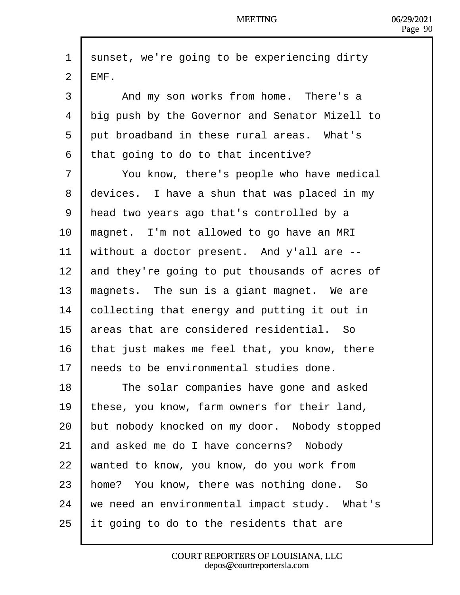1 sunset, we're going to be experiencing dirty  $2$   $HMF$ . 3 | And my son works from home. There's a 4 big push by the Governor and Senator Mizell to 5 put broadband in these rural areas. What's ·6· ·that going to do to that incentive? 7 | You know, there's people who have medical 8 devices. I have a shun that was placed in my 9 Head two years ago that's controlled by a 10 magnet. I'm not allowed to go have an MRI 11 without a doctor present. And y'all are  $-$ 12 and they're going to put thousands of acres of 13 **magnets.** The sun is a giant magnet. We are 14 **collecting that energy and putting it out in** 15 areas that are considered residential. So 16 that just makes me feel that, you know, there 17 heeds to be environmental studies done. 18 **Figure 3** The solar companies have gone and asked 19 these, you know, farm owners for their land, 20 but nobody knocked on my door. Nobody stopped 21 and asked me do I have concerns? Nobody 22 wanted to know, you know, do you work from 23 home? You know, there was nothing done. So  $24$  we need an environmental impact study. What's 25  $\,$  It going to do to the residents that are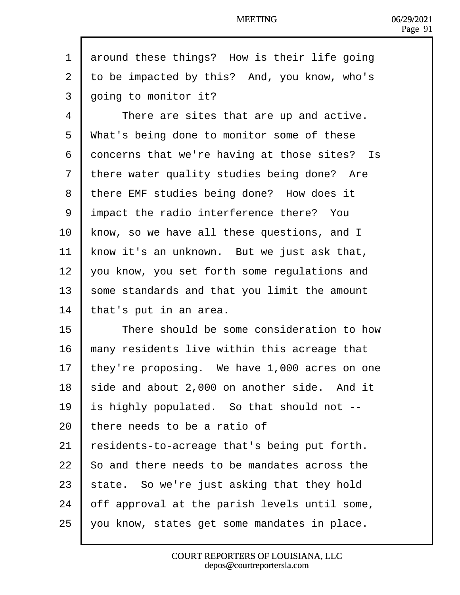| 1  | around these things? How is their life going  |
|----|-----------------------------------------------|
| 2  | to be impacted by this? And, you know, who's  |
| 3  | going to monitor it?                          |
| 4  | There are sites that are up and active.       |
| 5  | What's being done to monitor some of these    |
| 6  | doncerns that we're having at those sites? Is |
| 7  | there water quality studies being done? Are   |
| 8  | there EMF studies being done? How does it     |
| 9  | impact the radio interference there? You      |
| 10 | know, so we have all these questions, and I   |
| 11 | know it's an unknown. But we just ask that,   |
| 12 | you know, you set forth some regulations and  |
| 13 | some standards and that you limit the amount  |
| 14 | that's put in an area.                        |
| 15 | There should be some consideration to how     |
| 16 | many residents live within this acreage that  |
| 17 | they're proposing. We have 1,000 acres on one |
| 18 | side and about 2,000 on another side. And it  |
| 19 | s highly populated. So that should not --     |
| 20 | there needs to be a ratio of                  |
| 21 | residents-to-acreage that's being put forth.  |
| 22 | So and there needs to be mandates across the  |
| 23 | state. So we're just asking that they hold    |
| 24 | off approval at the parish levels until some, |
| 25 | you know, states get some mandates in place.  |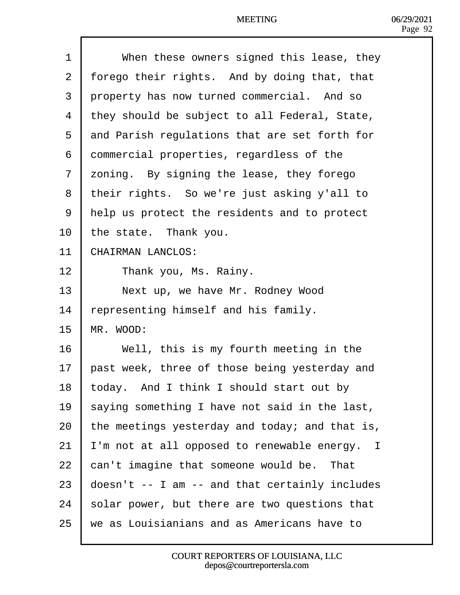| 1              | When these owners signed this lease, they      |
|----------------|------------------------------------------------|
| $\overline{2}$ | forego their rights. And by doing that, that   |
| 3              | property has now turned commercial. And so     |
| 4              | they should be subject to all Federal, State,  |
| 5              | and Parish regulations that are set forth for  |
| 6              | dommercial properties, regardless of the       |
| $\overline{7}$ | zoning. By signing the lease, they forego      |
| 8              | their rights. So we're just asking y'all to    |
| 9              | Help us protect the residents and to protect   |
| 10             | the state. Thank you.                          |
| 11             | <b>CHAIRMAN LANCLOS:</b>                       |
| 12             | Thank you, Ms. Rainy.                          |
| 13             | Next up, we have Mr. Rodney Wood               |
| 14             | epresenting himself and his family.            |
| 15             | MR. WOOD:                                      |
| 16             | Well, this is my fourth meeting in the         |
| 17             | past week, three of those being yesterday and  |
| 18             | today. And I think I should start out by       |
| 19             | saying something I have not said in the last,  |
| 20             | the meetings yesterday and today; and that is, |
| 21             | 'm not at all opposed to renewable energy. I   |
| 22             | can't imagine that someone would be. That      |
| 23             | doesn't -- I am -- and that certainly includes |
| 24             | solar power, but there are two questions that  |
| 25             | we as Louisianians and as Americans have to    |
|                |                                                |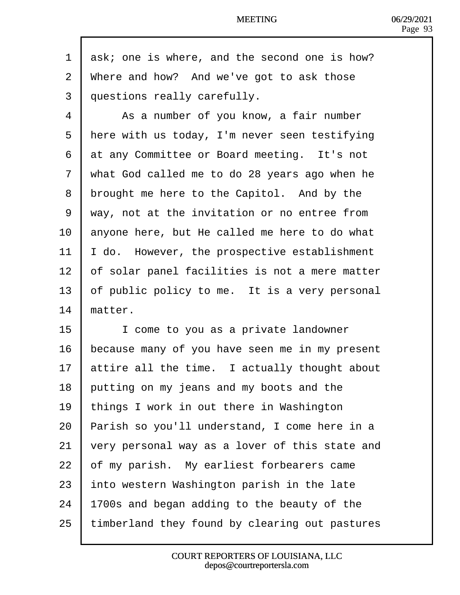| 1              | dsk; one is where, and the second one is how?  |
|----------------|------------------------------------------------|
| $\overline{2}$ | Where and how? And we've got to ask those      |
| 3              | duestions really carefully.                    |
| 4              | As a number of you know, a fair number         |
| 5              | Here with us today, I'm never seen testifying  |
| 6              | at any Committee or Board meeting. It's not    |
| $\overline{7}$ | what God called me to do 28 years ago when he  |
| 8              | drought me here to the Capitol. And by the     |
| 9              | way, not at the invitation or no entree from   |
| 10             | anyone here, but He called me here to do what  |
| 11             | do. However, the prospective establishment     |
| 12             | of solar panel facilities is not a mere matter |
| 13             | of public policy to me. It is a very personal  |
| 14             | matter.                                        |
| 15             | I come to you as a private landowner           |
| 16             | because many of you have seen me in my present |
| 17             | attire all the time. I actually thought about  |
| 18             | putting on my jeans and my boots and the       |
| 19             | things I work in out there in Washington       |
| 20             | Parish so you'll understand, I come here in a  |
| 21             | very personal way as a lover of this state and |
| 22             | of my parish. My earliest forbearers came      |
| 23             | nto western Washington parish in the late      |
| 24             | 1700s and began adding to the beauty of the    |
| 25             | timberland they found by clearing out pastures |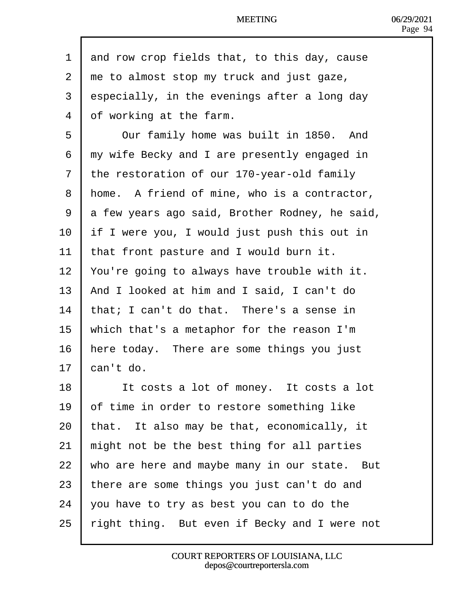| 1  | and row crop fields that, to this day, cause   |
|----|------------------------------------------------|
| 2  | the to almost stop my truck and just gaze,     |
| 3  | especially, in the evenings after a long day   |
| 4  | of working at the farm.                        |
| 5  | Our family home was built in 1850. And         |
| 6  | my wife Becky and I are presently engaged in   |
| 7  | the restoration of our 170-year-old family     |
| 8  | Home. A friend of mine, who is a contractor,   |
| 9  | a few years ago said, Brother Rodney, he said, |
| 10 | If I were you, I would just push this out in   |
| 11 | that front pasture and I would burn it.        |
| 12 | You're going to always have trouble with it.   |
| 13 | And I looked at him and I said, I can't do     |
| 14 | that; I can't do that. There's a sense in      |
| 15 | which that's a metaphor for the reason I'm     |
| 16 | here today. There are some things you just     |
| 17 | can't do.                                      |
| 18 | It costs a lot of money. It costs a lot        |
| 19 | of time in order to restore something like     |
| 20 | that. It also may be that, economically, it    |
| 21 | might not be the best thing for all parties    |
| 22 | who are here and maybe many in our state. But  |
| 23 | there are some things you just can't do and    |
| 24 | you have to try as best you can to do the      |
| 25 | ight thing. But even if Becky and I were not   |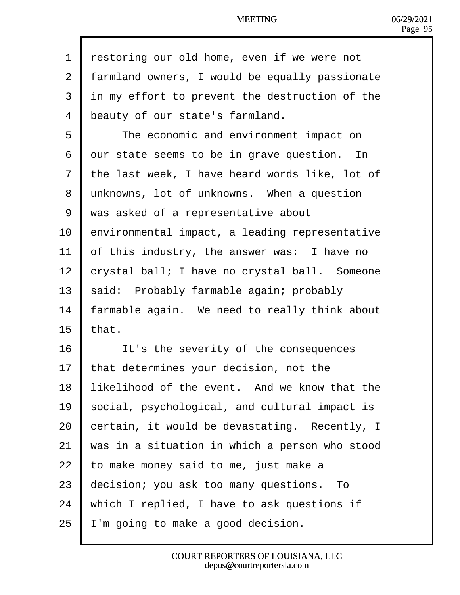| 1  | restoring our old home, even if we were not    |
|----|------------------------------------------------|
| 2  | farmland owners, I would be equally passionate |
| 3  | in my effort to prevent the destruction of the |
| 4  | beauty of our state's farmland.                |
| 5  | The economic and environment impact on         |
| 6  | dur state seems to be in grave question. In    |
| 7  | the last week, I have heard words like, lot of |
| 8  | unknowns, lot of unknowns. When a question     |
| 9  | was asked of a representative about            |
| 10 | environmental impact, a leading representative |
| 11 | of this industry, the answer was: I have no    |
| 12 | crystal ball; I have no crystal ball. Someone  |
| 13 | said: Probably farmable again; probably        |
| 14 | armable again. We need to really think about   |
| 15 | that.                                          |
| 16 | It's the severity of the consequences          |
| 17 | that determines your decision, not the         |
| 18 | likelihood of the event. And we know that the  |
| 19 | social, psychological, and cultural impact is  |
| 20 | certain, it would be devastating. Recently, I  |
| 21 | was in a situation in which a person who stood |
| 22 | to make money said to me, just make a          |
| 23 | decision; you ask too many questions. To       |
| 24 | which I replied, I have to ask questions if    |
| 25 | 'm going to make a good decision.              |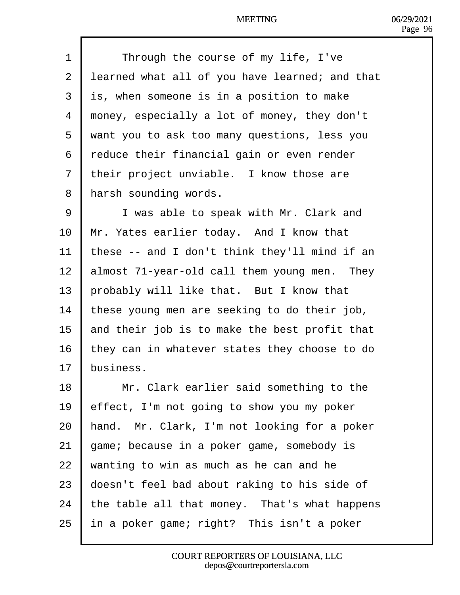| 1              | Through the course of my life, I've            |
|----------------|------------------------------------------------|
| $\overline{2}$ | learned what all of you have learned; and that |
| 3              | is, when someone is in a position to make      |
| 4              | money, especially a lot of money, they don't   |
| 5              | want you to ask too many questions, less you   |
| 6              | reduce their financial gain or even render     |
| 7              | their project unviable. I know those are       |
| 8              | Harsh sounding words.                          |
| 9              | I was able to speak with Mr. Clark and         |
| 10             | Mr. Yates earlier today. And I know that       |
| 11             | these -- and I don't think they'll mind if an  |
| 12             | almost 71-year-old call them young men. They   |
| 13             | probably will like that. But I know that       |
| 14             | these young men are seeking to do their job,   |
| 15             | and their job is to make the best profit that  |
| 16             | they can in whatever states they choose to do  |
| 17             | business.                                      |
| 18             | Mr. Clark earlier said something to the        |
| 19             | effect, I'm not going to show you my poker     |
| 20             | hand. Mr. Clark, I'm not looking for a poker   |
| 21             | game; because in a poker game, somebody is     |
| 22             | wanting to win as much as he can and he        |
| 23             | doesn't feel bad about raking to his side of   |
| 24             | the table all that money. That's what happens  |
| 25             | In a poker game; right? This isn't a poker     |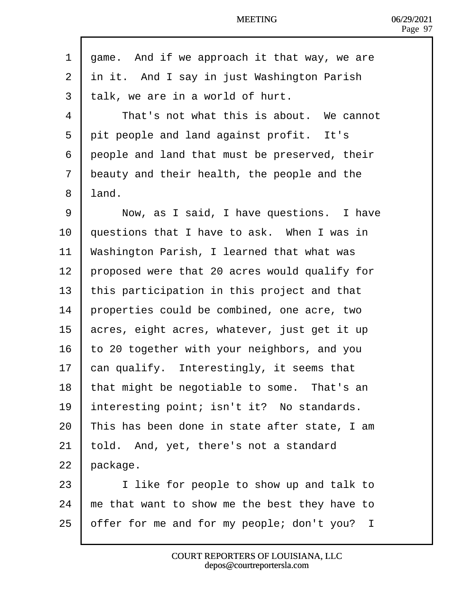| 1  | dame. And if we approach it that way, we are  |  |
|----|-----------------------------------------------|--|
| 2  | in it. And I say in just Washington Parish    |  |
| 3  | talk, we are in a world of hurt.              |  |
| 4  | That's not what this is about. We cannot      |  |
| 5  | pit people and land against profit. It's      |  |
| 6  | deople and land that must be preserved, their |  |
| 7  | beauty and their health, the people and the   |  |
| 8  | land.                                         |  |
| 9  | Now, as I said, I have questions. I have      |  |
| 10 | questions that I have to ask. When I was in   |  |
| 11 | Washington Parish, I learned that what was    |  |
| 12 | proposed were that 20 acres would qualify for |  |
| 13 | this participation in this project and that   |  |
| 14 | properties could be combined, one acre, two   |  |
| 15 | acres, eight acres, whatever, just get it up  |  |
| 16 | to 20 together with your neighbors, and you   |  |
| 17 | can qualify. Interestingly, it seems that     |  |
| 18 | that might be negotiable to some. That's an   |  |
| 19 | Interesting point; isn't it? No standards.    |  |
| 20 | This has been done in state after state, I am |  |
| 21 | fold. And, yet, there's not a standard        |  |
| 22 | package.                                      |  |
| 23 | I like for people to show up and talk to      |  |
| 24 | me that want to show me the best they have to |  |
| 25 | offer for me and for my people; don't you? I  |  |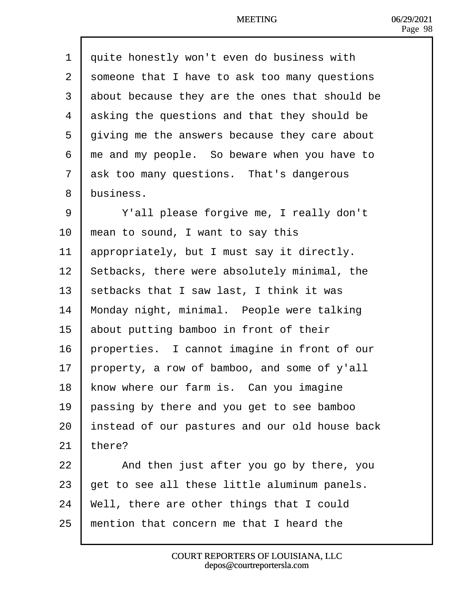| 1              | duite honestly won't even do business with     |
|----------------|------------------------------------------------|
| $\overline{2}$ | someone that I have to ask too many questions  |
| 3              | about because they are the ones that should be |
| 4              | asking the questions and that they should be   |
| 5              | diving me the answers because they care about  |
| 6              | the and my people. So beware when you have to  |
| $\overline{7}$ | ask too many questions. That's dangerous       |
| 8              | business.                                      |
| 9              | Y'all please forgive me, I really don't        |
| 10             | mean to sound, I want to say this              |
| 11             | appropriately, but I must say it directly.     |
| 12             | Setbacks, there were absolutely minimal, the   |
| 13             | setbacks that I saw last, I think it was       |
| 14             | Monday night, minimal. People were talking     |
| 15             | about putting bamboo in front of their         |
| 16             | properties. I cannot imagine in front of our   |
| 17             | property, a row of bamboo, and some of y'all   |
| 18             | know where our farm is. Can you imagine        |
| 19             | passing by there and you get to see bamboo     |
| 20             | Instead of our pastures and our old house back |
| 21             | there?                                         |
| 22             | And then just after you go by there, you       |
| 23             | get to see all these little aluminum panels.   |
| 24             | Well, there are other things that I could      |
| 25             | mention that concern me that I heard the       |

 $\mathsf{l}$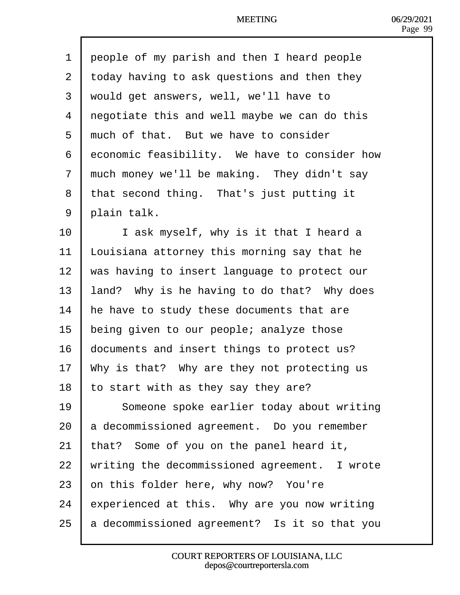| 1              | deople of my parish and then I heard people   |
|----------------|-----------------------------------------------|
| $\overline{2}$ | today having to ask questions and then they   |
| 3              | would get answers, well, we'll have to        |
| 4              | regotiate this and well maybe we can do this  |
| 5              | much of that. But we have to consider         |
| 6              | economic feasibility. We have to consider how |
| 7              | much money we'll be making. They didn't say   |
| 8              | that second thing. That's just putting it     |
| 9              | plain talk.                                   |
| 10             | I ask myself, why is it that I heard a        |
| 11             | Louisiana attorney this morning say that he   |
| 12             | was having to insert language to protect our  |
| 13             | and? Why is he having to do that? Why does    |
| 14             | he have to study these documents that are     |
| 15             | being given to our people; analyze those      |
| 16             | documents and insert things to protect us?    |
| 17             | Why is that? Why are they not protecting us   |
| 18             | to start with as they say they are?           |
| 19             | Someone spoke earlier today about writing     |
| 20             | a decommissioned agreement. Do you remember   |
| 21             | that? Some of you on the panel heard it,      |
| 22             | writing the decommissioned agreement. I wrote |
| 23             | on this folder here, why now? You're          |
| 24             | experienced at this. Why are you now writing  |
| 25             | a decommissioned agreement? Is it so that you |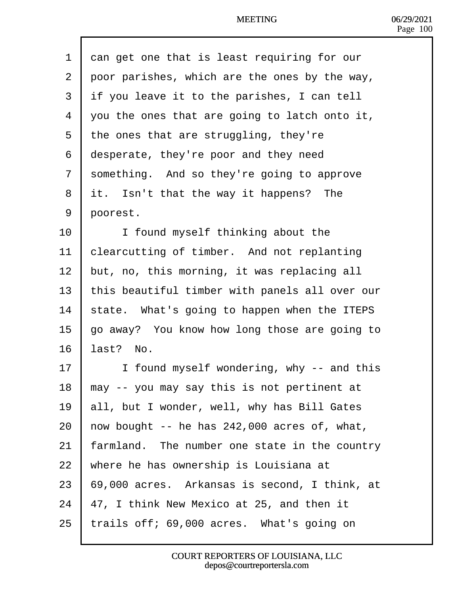- 1 dan get one that is least requiring for our
- 2 poor parishes, which are the ones by the way,
- 3 if you leave it to the parishes, I can tell
- 4 you the ones that are going to latch onto it,
- 5 the ones that are struggling, they're
- 6 desperate, they're poor and they need
- 7 something. And so they're going to approve
- 8 it. Isn't that the way it happens? The
- 9 poorest.
- 10 | I found myself thinking about the
- 11 blearcutting of timber. And not replanting
- 12 but, no, this morning, it was replacing all
- 13 this beautiful timber with panels all over our
- 14 state. What's going to happen when the ITEPS
- 15 go away? You know how long those are going to
- 16  $last?$  No.
- 17 | I found myself wondering, why -- and this
- 18  $\mu$  may -- you may say this is not pertinent at
- 19 **all, but I wonder, well, why has Bill Gates**
- 20 how bought  $-$  he has 242,000 acres of, what,
- 21 farmland. The number one state in the country
- 22 where he has ownership is Louisiana at
- 23  $\,$  69,000 acres. Arkansas is second, I think, at
- 24  $\mu$ 7, I think New Mexico at 25, and then it
- 25  $\cdot$  trails off; 69,000 acres. What's going on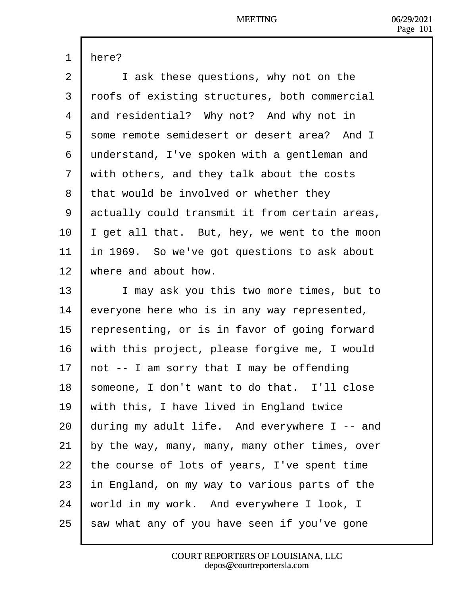| 1  | Here?                                          |
|----|------------------------------------------------|
| 2  | I ask these questions, why not on the          |
| 3  | rbofs of existing structures, both commercial  |
| 4  | and residential? Why not? And why not in       |
| 5  | some remote semidesert or desert area? And I   |
| 6  | understand, I've spoken with a gentleman and   |
| 7  | with others, and they talk about the costs     |
| 8  | that would be involved or whether they         |
| 9  | actually could transmit it from certain areas, |
| 10 | get all that. But, hey, we went to the moon    |
| 11 | In 1969. So we've got questions to ask about   |
| 12 | where and about how.                           |
| 13 | I may ask you this two more times, but to      |
| 14 | everyone here who is in any way represented,   |
| 15 | epresenting, or is in favor of going forward   |
| 16 | with this project, please forgive me, I would  |
| 17 | hot -- I am sorry that I may be offending      |
| 18 | someone, I don't want to do that. I'll close   |
| 19 | with this, I have lived in England twice       |
| 20 | during my adult life. And everywhere I -- and  |
| 21 | by the way, many, many, many other times, over |
| 22 | the course of lots of years, I've spent time   |
| 23 | In England, on my way to various parts of the  |
| 24 | world in my work. And everywhere I look, I     |
| 25 | saw what any of you have seen if you've gone   |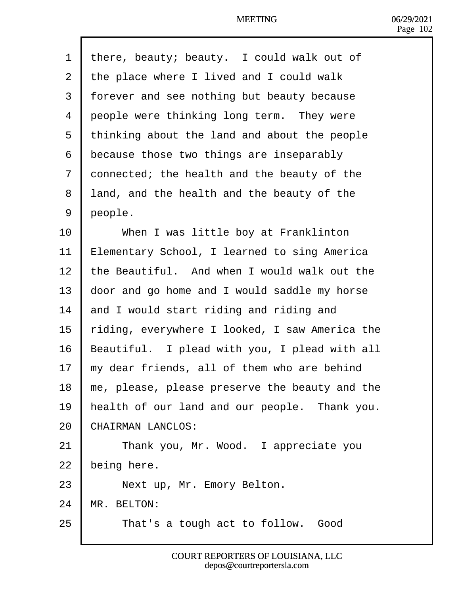| 1              | there, beauty; beauty. I could walk out of     |
|----------------|------------------------------------------------|
| $\overline{2}$ | the place where I lived and I could walk       |
| 3              | forever and see nothing but beauty because     |
| 4              | people were thinking long term. They were      |
| 5              | thinking about the land and about the people   |
| 6              | because those two things are inseparably       |
| 7              | donnected; the health and the beauty of the    |
| 8              | land, and the health and the beauty of the     |
| 9              | people.                                        |
| 10             | When I was little boy at Franklinton           |
| 11             | Elementary School, I learned to sing America   |
| 12             | the Beautiful. And when I would walk out the   |
| 13             | door and go home and I would saddle my horse   |
| 14             | and I would start riding and riding and        |
| 15             | fiding, everywhere I looked, I saw America the |
| 16             | Beautiful. I plead with you, I plead with all  |
| 17             | my dear friends, all of them who are behind    |
| 18             | me, please, please preserve the beauty and the |
| 19             | health of our land and our people. Thank you.  |
| 20             | <b>CHAIRMAN LANCLOS:</b>                       |
| 21             | Thank you, Mr. Wood. I appreciate you          |
| 22             | being here.                                    |
| 23             | Next up, Mr. Emory Belton.                     |
| 24             | MR. BELTON:                                    |
| 25             | That's a tough act to follow. Good             |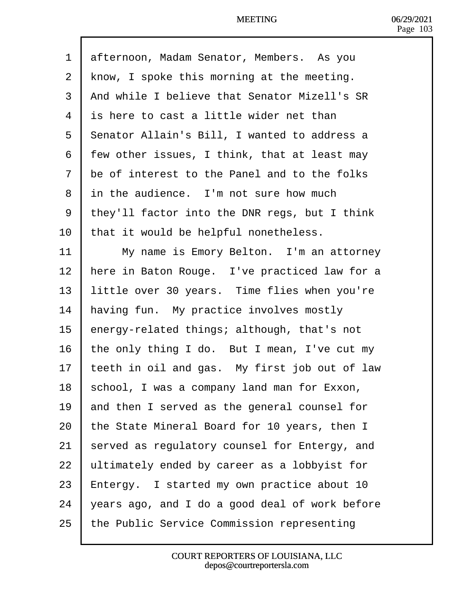| dfternoon, Madam Senator, Members. As you           |
|-----------------------------------------------------|
|                                                     |
| know, I spoke this morning at the meeting.          |
| And while I believe that Senator Mizell's SR        |
| is here to cast a little wider net than             |
| <b>Senator Allain's Bill, I wanted to address a</b> |
| few other issues, I think, that at least may        |
| the of interest to the Panel and to the folks       |
| in the audience. I'm not sure how much              |
| they'll factor into the DNR regs, but I think       |
| that it would be helpful nonetheless.               |
| My name is Emory Belton. I'm an attorney            |
| here in Baton Rouge. I've practiced law for a       |
| little over 30 years. Time flies when you're        |
| having fun. My practice involves mostly             |
| energy-related things; although, that's not         |
| the only thing I do. But I mean, I've cut my        |
| teeth in oil and gas. My first job out of law       |
| school, I was a company land man for Exxon,         |
| and then I served as the general counsel for        |
| the State Mineral Board for 10 years, then I        |
| served as regulatory counsel for Entergy, and       |
| ultimately ended by career as a lobbyist for        |
| Entergy. I started my own practice about 10         |
| years ago, and I do a good deal of work before      |
| the Public Service Commission representing          |
|                                                     |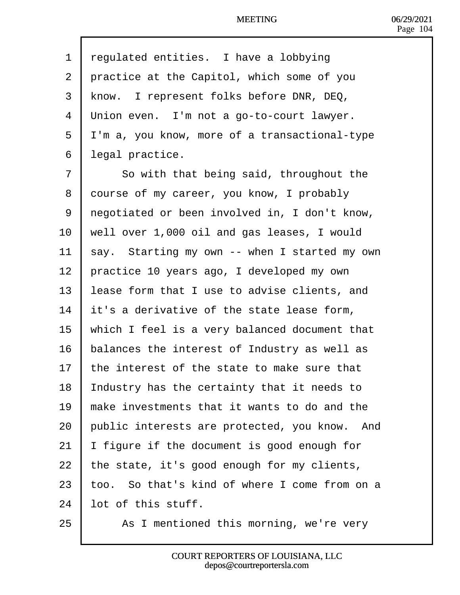| 1              | regulated entities. I have a lobbying         |
|----------------|-----------------------------------------------|
| $\overline{2}$ | practice at the Capitol, which some of you    |
| 3              | know. I represent folks before DNR, DEQ,      |
| 4              | Union even. I'm not a go-to-court lawyer.     |
| 5              | I'm a, you know, more of a transactional-type |
| 6              | legal practice.                               |
| 7              | So with that being said, throughout the       |
| 8              | dourse of my career, you know, I probably     |
| 9              | regotiated or been involved in, I don't know, |
| 10             | well over 1,000 oil and gas leases, I would   |
| 11             | say. Starting my own -- when I started my own |
| 12             | practice 10 years ago, I developed my own     |
| 13             | ease form that I use to advise clients, and   |
| 14             | It's a derivative of the state lease form,    |
| 15             | which I feel is a very balanced document that |
| 16             | balances the interest of Industry as well as  |
| 17             | the interest of the state to make sure that   |
| 18             | ndustry has the certainty that it needs to    |
| 19             | make investments that it wants to do and the  |
| 20             | public interests are protected, you know. And |
| 21             | figure if the document is good enough for     |
| 22             | the state, it's good enough for my clients,   |
| 23             | oo. So that's kind of where I come from on a  |
| 24             | ot of this stuff.                             |
| 25             | As I mentioned this morning, we're very       |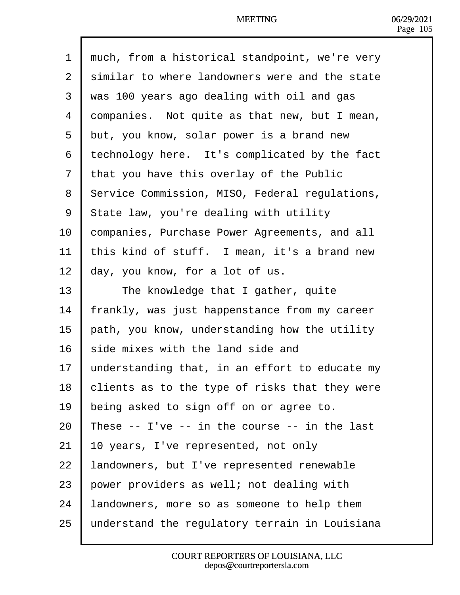- 1 rhuch, from a historical standpoint, we're very
- 2 stimilar to where landowners were and the state
- ·3· ·was 100 years ago dealing with oil and gas
- 4 dompanies. Not quite as that new, but I mean,
- 5 but, you know, solar power is a brand new
- 6 technology here. It's complicated by the fact
- 7 that you have this overlay of the Public
- 8 Service Commission, MISO, Federal regulations,
- 9 State law, you're dealing with utility
- 10 Companies, Purchase Power Agreements, and all
- 11 this kind of stuff. I mean, it's a brand new
- 12  $\mu$ ay, you know, for a lot of us.
- 13 | The knowledge that I gather, quite
- 14 frankly, was just happenstance from my career
- 15 **bath, you know, understanding how the utility**
- 16 side mixes with the land side and
- 17  $\mu$ nderstanding that, in an effort to educate my
- 18 blients as to the type of risks that they were
- 19 being asked to sign off on or agree to.
- 20 These  $-$  I've  $-$  in the course  $-$  in the last
- 21  $\parallel$  0 years, I've represented, not only
- 22 Jandowners, but I've represented renewable
- 23 bower providers as well; not dealing with
- 24 **andowners, more so as someone to help them**
- 25 Junderstand the regulatory terrain in Louisiana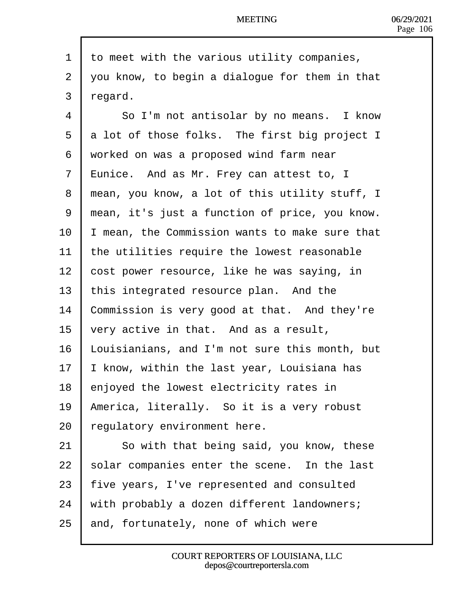| 1              | to meet with the various utility companies,      |
|----------------|--------------------------------------------------|
| $\overline{2}$ | you know, to begin a dialogue for them in that   |
| 3              | regard.                                          |
| 4              | So I'm not antisolar by no means. I know         |
| 5              | a lot of those folks. The first big project I    |
| 6              | worked on was a proposed wind farm near          |
| $\overline{7}$ | <b>E</b> unice. And as Mr. Frey can attest to, I |
| 8              | mean, you know, a lot of this utility stuff, I   |
| 9              | mean, it's just a function of price, you know.   |
| 10             | mean, the Commission wants to make sure that     |
| 11             | the utilities require the lowest reasonable      |
| 12             | cost power resource, like he was saying, in      |
| 13             | this integrated resource plan. And the           |
| 14             | Commission is very good at that. And they're     |
| 15             | <b>very active in that.</b> And as a result,     |
| 16             | Louisianians, and I'm not sure this month, but   |
| 17             | know, within the last year, Louisiana has        |
| 18             | enjoyed the lowest electricity rates in          |
| 19             | America, literally. So it is a very robust       |
| 20             | egulatory environment here.                      |
| 21             | So with that being said, you know, these         |
| 22             | solar companies enter the scene. In the last     |
| 23             | five years, I've represented and consulted       |
| 24             | with probably a dozen different landowners;      |
| 25             | and, fortunately, none of which were             |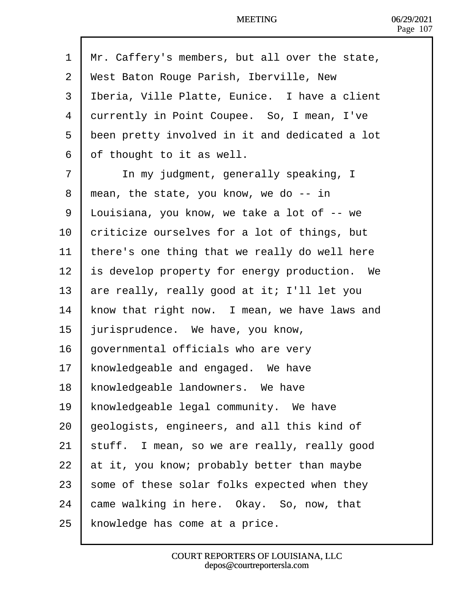| 1              | Mr. Caffery's members, but all over the state, |
|----------------|------------------------------------------------|
| $\overline{2}$ | West Baton Rouge Parish, Iberville, New        |
| 3              | Iberia, Ville Platte, Eunice. I have a client  |
| 4              | durrently in Point Coupee. So, I mean, I've    |
| 5              | been pretty involved in it and dedicated a lot |
| 6              | of thought to it as well.                      |
| $\overline{7}$ | In my judgment, generally speaking, I          |
| 8              | mean, the state, you know, we do -- in         |
| 9              | Louisiana, you know, we take a lot of -- we    |
| 10             | criticize ourselves for a lot of things, but   |
| 11             | there's one thing that we really do well here  |
| 12             | s develop property for energy production. We   |
| 13             | are really, really good at it; I'll let you    |
| 14             | know that right now. I mean, we have laws and  |
| 15             | urisprudence. We have, you know,               |
| 16             | governmental officials who are very            |
| 17             | knowledgeable and engaged. We have             |
| 18             | knowledgeable landowners. We have              |
| 19             | knowledgeable legal community. We have         |
| 20             | geologists, engineers, and all this kind of    |
| 21             | stuff. I mean, so we are really, really good   |
| 22             | at it, you know; probably better than maybe    |
| 23             | some of these solar folks expected when they   |
| 24             | came walking in here. Okay. So, now, that      |
| 25             | knowledge has come at a price.                 |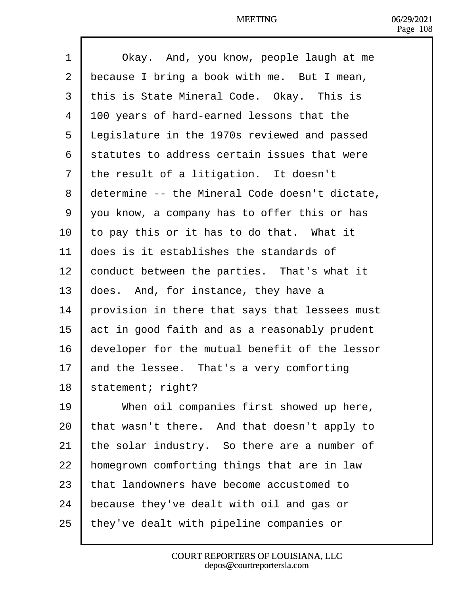| 1               | Okay. And, you know, people laugh at me             |
|-----------------|-----------------------------------------------------|
| $\overline{2}$  | <b>b</b> ecause I bring a book with me. But I mean, |
| 3               | this is State Mineral Code. Okay. This is           |
| 4               | 100 years of hard-earned lessons that the           |
| 5               | Legislature in the 1970s reviewed and passed        |
| 6               | statutes to address certain issues that were        |
| 7               | the result of a litigation. It doesn't              |
| 8               | determine -- the Mineral Code doesn't dictate,      |
| 9               | you know, a company has to offer this or has        |
| 10 <sup>1</sup> | to pay this or it has to do that. What it           |
| 11              | does is it establishes the standards of             |
| 12              | conduct between the parties. That's what it         |
| 13              | does. And, for instance, they have a                |
| 14              | provision in there that says that lessees must      |
| 15              | act in good faith and as a reasonably prudent       |
| 16              | developer for the mutual benefit of the lessor      |
| 17              | and the lessee. That's a very comforting            |
| 18              | statement; right?                                   |
| 19              | When oil companies first showed up here,            |
| 20              | that wasn't there. And that doesn't apply to        |
| 21              | the solar industry. So there are a number of        |
| 22              | homegrown comforting things that are in law         |
| 23              | that landowners have become accustomed to           |
| 24              | because they've dealt with oil and gas or           |
| 25              | they've dealt with pipeline companies or            |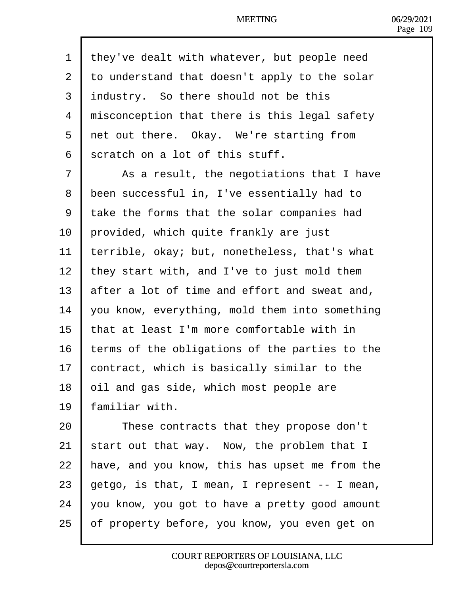| 1              | they've dealt with whatever, but people need   |
|----------------|------------------------------------------------|
| $\overline{2}$ | to understand that doesn't apply to the solar  |
| 3              | industry. So there should not be this          |
| 4              | misconception that there is this legal safety  |
| 5              | ret out there. Okay. We're starting from       |
| 6              | scratch on a lot of this stuff.                |
| $\overline{7}$ | As a result, the negotiations that I have      |
| 8              | been successful in, I've essentially had to    |
| 9              | take the forms that the solar companies had    |
| 10             | provided, which quite frankly are just         |
| 11             | terrible, okay; but, nonetheless, that's what  |
| 12             | they start with, and I've to just mold them    |
| 13             | after a lot of time and effort and sweat and,  |
| 14             | you know, everything, mold them into something |
| 15             | that at least I'm more comfortable with in     |
| 16             | terms of the obligations of the parties to the |
| 17             | contract, which is basically similar to the    |
| 18             | bil and gas side, which most people are        |
| 19             | amiliar with.                                  |
| 20             | These contracts that they propose don't        |
| 21             | start out that way. Now, the problem that I    |
| 22             | have, and you know, this has upset me from the |
| 23             | getgo, is that, I mean, I represent -- I mean, |
| 24             | you know, you got to have a pretty good amount |
| 25             | of property before, you know, you even get on  |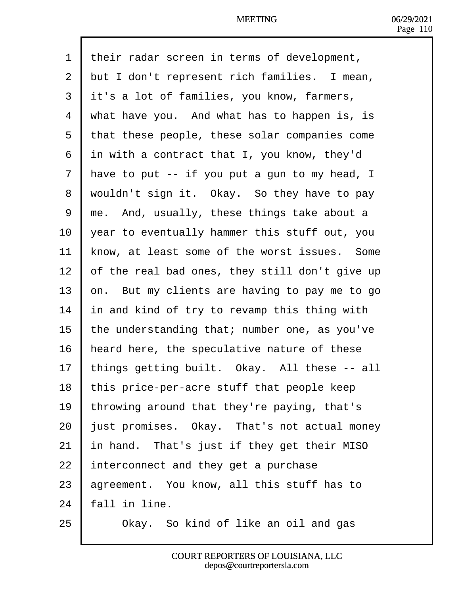| 1              | their radar screen in terms of development,    |
|----------------|------------------------------------------------|
| $\overline{2}$ | but I don't represent rich families. I mean,   |
| 3              | it's a lot of families, you know, farmers,     |
| 4              | what have you. And what has to happen is, is   |
| 5              | that these people, these solar companies come  |
| 6              | in with a contract that I, you know, they'd    |
| $\overline{7}$ | Have to put -- if you put a gun to my head, I  |
| 8              | wouldn't sign it. Okay. So they have to pay    |
| 9              | rhe. And, usually, these things take about a   |
| 10             | year to eventually hammer this stuff out, you  |
| 11             | know, at least some of the worst issues. Some  |
| 12             | of the real bad ones, they still don't give up |
| 13             | þn. But my clients are having to pay me to go  |
| 14             | n and kind of try to revamp this thing with    |
| 15             | the understanding that; number one, as you've  |
| 16             | heard here, the speculative nature of these    |
| 17             | hings getting built. Okay. All these -- all    |
| 18             | this price-per-acre stuff that people keep     |
| 19             | throwing around that they're paying, that's    |
| 20             | ust promises. Okay. That's not actual money    |
| 21             | In hand. That's just if they get their MISO    |
| 22             | Interconnect and they get a purchase           |
| 23             | agreement. You know, all this stuff has to     |
| 24             | all in line.                                   |
| 25             | Okay. So kind of like an oil and gas           |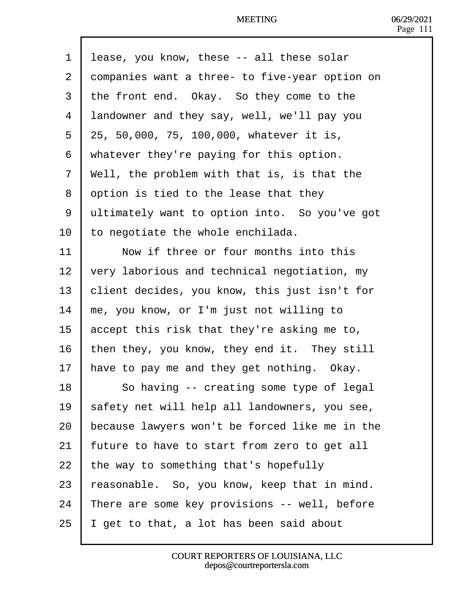| 1              | Iease, you know, these -- all these solar      |
|----------------|------------------------------------------------|
| 2              | dompanies want a three- to five-year option on |
| 3              | the front end. Okay. So they come to the       |
| 4              | landowner and they say, well, we'll pay you    |
| 5              | 25, 50,000, 75, 100,000, whatever it is,       |
| 6              | whatever they're paying for this option.       |
| $\overline{7}$ | Well, the problem with that is, is that the    |
| 8              | option is tied to the lease that they          |
| 9              | eltimately want to option into. So you've got  |
| 10             | to negotiate the whole enchilada.              |
| 11             | Now if three or four months into this          |
| 12             | very laborious and technical negotiation, my   |
| 13             | client decides, you know, this just isn't for  |
| 14             | me, you know, or I'm just not willing to       |
| 15             | accept this risk that they're asking me to,    |
| 16             | then they, you know, they end it. They still   |
| 17             | have to pay me and they get nothing. Okay.     |
| 18             | So having -- creating some type of legal       |
| 19             | safety net will help all landowners, you see,  |
| 20             | because lawyers won't be forced like me in the |
| 21             | juture to have to start from zero to get all   |
| 22             | the way to something that's hopefully          |
| 23             | easonable. So, you know, keep that in mind.    |
| 24             | There are some key provisions -- well, before  |
| 25             | get to that, a lot has been said about         |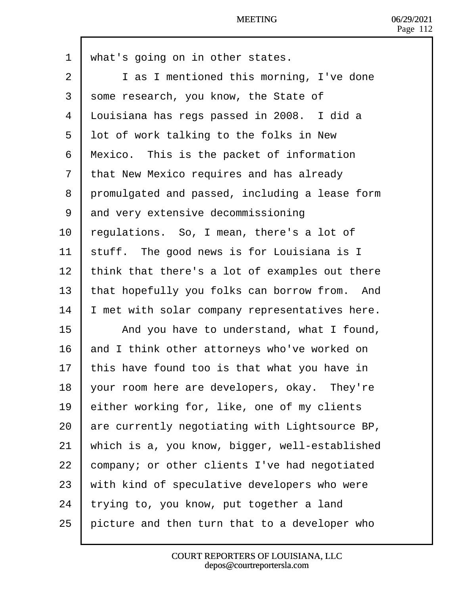| 1              | what's going on in other states.               |
|----------------|------------------------------------------------|
| $\overline{2}$ | I as I mentioned this morning, I've done       |
| 3              | some research, you know, the State of          |
| 4              | Louisiana has regs passed in 2008. I did a     |
| 5              | lot of work talking to the folks in New        |
| 6              | Mexico. This is the packet of information      |
| $\overline{7}$ | that New Mexico requires and has already       |
| 8              | promulgated and passed, including a lease form |
| 9              | and very extensive decommissioning             |
| 10             | regulations. So, I mean, there's a lot of      |
| 11             | stuff. The good news is for Louisiana is I     |
| 12             | think that there's a lot of examples out there |
| 13             | that hopefully you folks can borrow from. And  |
| 14             | met with solar company representatives here.   |
| 15             | And you have to understand, what I found,      |
| 16             | and I think other attorneys who've worked on   |
| 17             | this have found too is that what you have in   |
| 18             | your room here are developers, okay. They're   |
| 19             | either working for, like, one of my clients    |
| 20             | are currently negotiating with Lightsource BP, |
| 21             | which is a, you know, bigger, well-established |
| 22             | company; or other clients I've had negotiated  |
| 23             | with kind of speculative developers who were   |
| 24             | trying to, you know, put together a land       |
| 25             | picture and then turn that to a developer who  |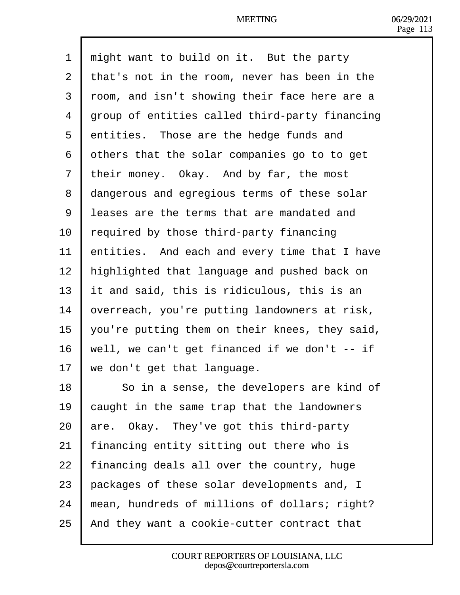| 1              | might want to build on it. But the party            |
|----------------|-----------------------------------------------------|
| $\overline{2}$ | that's not in the room, never has been in the       |
| 3              | rbom, and isn't showing their face here are a       |
| 4              | group of entities called third-party financing      |
| 5              | dntities. Those are the hedge funds and             |
| 6              | dthers that the solar companies go to to get        |
| 7              | their money. Okay. And by far, the most             |
| 8              | dangerous and egregious terms of these solar        |
| 9              | leases are the terms that are mandated and          |
| 10             | equired by those third-party financing              |
| 11             | entities. And each and every time that I have       |
| 12             | highlighted that language and pushed back on        |
| 13             | <b>I</b> t and said, this is ridiculous, this is an |
| 14             | bverreach, you're putting landowners at risk,       |
| 15             | you're putting them on their knees, they said,      |
| 16             | well, we can't get financed if we don't -- if       |
| 17             | we don't get that language.                         |
| 18             | So in a sense, the developers are kind of           |
| 19             | caught in the same trap that the landowners         |
| 20             | are. Okay. They've got this third-party             |
| 21             | inancing entity sitting out there who is            |
| 22             | financing deals all over the country, huge          |
| 23             | packages of these solar developments and, I         |
| 24             | mean, hundreds of millions of dollars; right?       |
| 25             | And they want a cookie-cutter contract that         |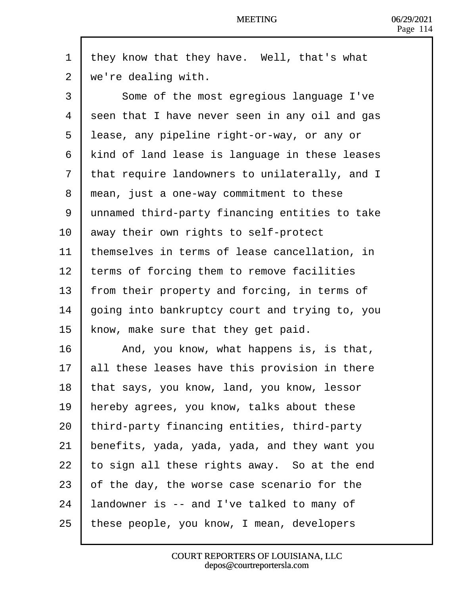| 1              | they know that they have. Well, that's what    |
|----------------|------------------------------------------------|
| $\overline{2}$ | we're dealing with.                            |
| 3              | Some of the most egregious language I've       |
| 4              | seen that I have never seen in any oil and gas |
| 5              | lease, any pipeline right-or-way, or any or    |
| 6              | kind of land lease is language in these leases |
| 7              | that require landowners to unilaterally, and I |
| 8              | mean, just a one-way commitment to these       |
| 9              | unnamed third-party financing entities to take |
| 10             | away their own rights to self-protect          |
| 11             | themselves in terms of lease cancellation, in  |
| 12             | terms of forcing them to remove facilities     |
| 13             | from their property and forcing, in terms of   |
| 14             | going into bankruptcy court and trying to, you |
| 15             | know, make sure that they get paid.            |
| 16             | And, you know, what happens is, is that,       |
| 17             | all these leases have this provision in there  |
| 18             | that says, you know, land, you know, lessor    |
| 19             | hereby agrees, you know, talks about these     |
| 20             | third-party financing entities, third-party    |
| 21             | benefits, yada, yada, yada, and they want you  |
| 22             | to sign all these rights away. So at the end   |
| 23             | of the day, the worse case scenario for the    |
| 24             | andowner is -- and I've talked to many of      |
| 25             | these people, you know, I mean, developers     |

 $\mathsf{l}$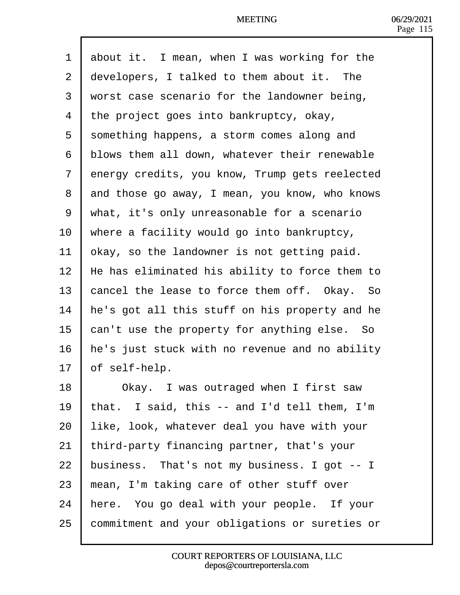| 1              |               | about it. I mean, when I was working for the   |
|----------------|---------------|------------------------------------------------|
| $\overline{2}$ |               | developers, I talked to them about it. The     |
| 3              |               | worst case scenario for the landowner being,   |
| 4              |               | the project goes into bankruptcy, okay,        |
| 5              |               | something happens, a storm comes along and     |
| 6              |               | blows them all down, whatever their renewable  |
| $\overline{7}$ |               | dnergy credits, you know, Trump gets reelected |
| 8              |               | and those go away, I mean, you know, who knows |
| 9              |               | what, it's only unreasonable for a scenario    |
| 10             |               | where a facility would go into bankruptcy,     |
| 11             |               | bkay, so the landowner is not getting paid.    |
| 12             |               | He has eliminated his ability to force them to |
| 13             |               | cancel the lease to force them off. Okay. So   |
| 14             |               | he's got all this stuff on his property and he |
| 15             |               | can't use the property for anything else. So   |
| 16             |               | he's just stuck with no revenue and no ability |
| 17             | of self-help. |                                                |
| 18             |               | Okay. I was outraged when I first saw          |
| 19             |               | that. I said, this -- and I'd tell them, I'm   |
| 20             |               | like, look, whatever deal you have with your   |
| 21             |               | third-party financing partner, that's your     |
| 22             |               | business. That's not my business. I got -- I   |
| 23             |               | mean, I'm taking care of other stuff over      |
| 24             |               | here. You go deal with your people. If your    |
| 25             |               | commitment and your obligations or sureties or |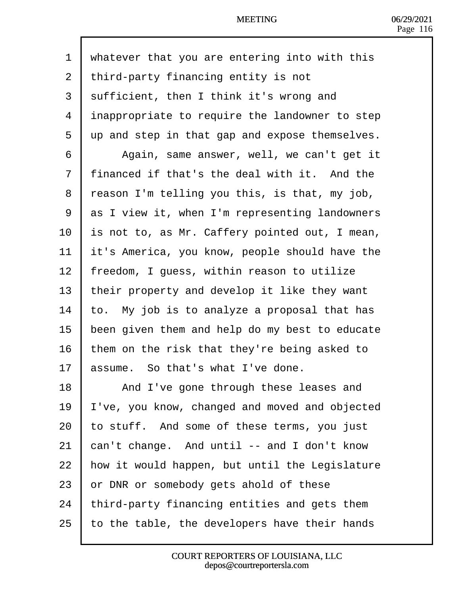| 1              | whatever that you are entering into with this         |
|----------------|-------------------------------------------------------|
| $\overline{2}$ | third-party financing entity is not                   |
| 3              | sufficient, then I think it's wrong and               |
| 4              | inappropriate to require the landowner to step        |
| 5              | up and step in that gap and expose themselves.        |
| 6              | Again, same answer, well, we can't get it             |
| $\overline{7}$ | financed if that's the deal with it. And the          |
| 8              | reason I'm telling you this, is that, my job,         |
| 9              | ds I view it, when I'm representing landowners        |
| 10             | <b>is</b> not to, as Mr. Caffery pointed out, I mean, |
| 11             | it's America, you know, people should have the        |
| 12             | freedom, I guess, within reason to utilize            |
| 13             | their property and develop it like they want          |
| 14             | o. My job is to analyze a proposal that has           |
| 15             | been given them and help do my best to educate        |
| 16             | them on the risk that they're being asked to          |
| 17             | assume. So that's what I've done.                     |
| 18             | And I've gone through these leases and                |
| 19             | 've, you know, changed and moved and objected         |
| 20             | to stuff. And some of these terms, you just           |
| 21             | can't change. And until -- and I don't know           |
| 22             | how it would happen, but until the Legislature        |
| 23             | or DNR or somebody gets ahold of these                |
| 24             | third-party financing entities and gets them          |
| 25             | o the table, the developers have their hands          |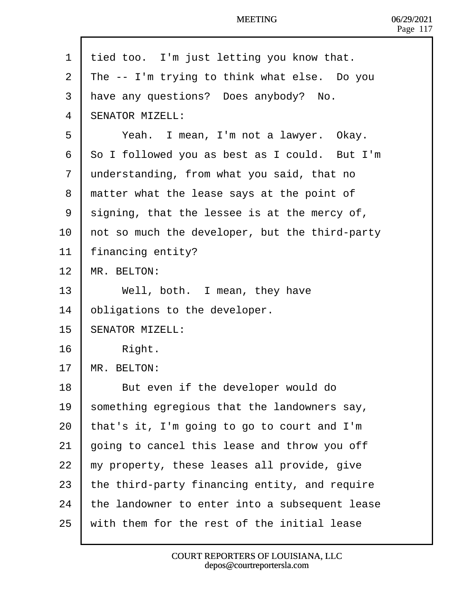1 tied too. I'm just letting you know that. 2  $\mathbb{I}$  The -- I'm trying to think what else. Do you 3 Have any questions? Does anybody? No. 4 **SENATOR MIZELL:** 5 | Yeah. I mean, I'm not a lawyer. Okay. 6 **\$o** I followed you as best as I could. But I'm 7 Junderstanding, from what you said, that no 8 matter what the lease says at the point of 9 sligning, that the lessee is at the mercy of, 10 hot so much the developer, but the third-party 11 financing entity? 12 MR. BELTON: 13 | Well, both. I mean, they have 14 bbligations to the developer. 15 **SENATOR MIZELL:**  $16$  | Right. 17 MR. BELTON: 18 | But even if the developer would do 19 something egregious that the landowners say, 20  $\frac{1}{2}$  that's it, I'm going to go to court and I'm 21 going to cancel this lease and throw you off 22  $\mu$  my property, these leases all provide, give 23 the third-party financing entity, and require 24 the landowner to enter into a subsequent lease 25 with them for the rest of the initial lease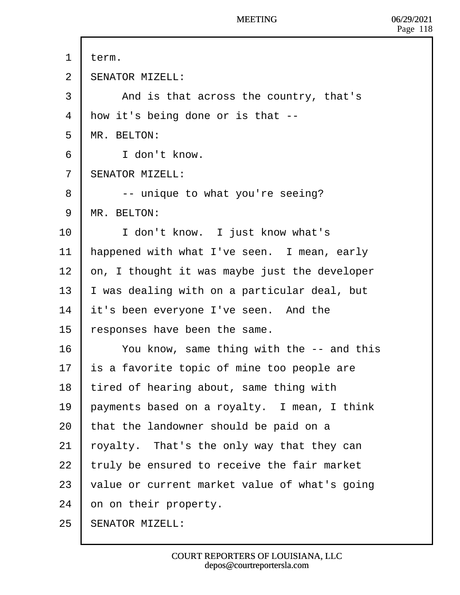- 1 term.
- 2 **SENATOR MIZELL:**
- 3 | And is that across the country, that's
- 4 How it's being done or is that --
- 5 MR. BELTON:
- 6 | I don't know.
- 7 **SENATOR MIZELL:**
- 8 **c** -- unique to what you're seeing?
- 9 **MR. BELTON:**
- 10 | I don't know. I just know what's
- 11 happened with what I've seen. I mean, early
- 12  $\cdot$  bn, I thought it was maybe just the developer
- 13  $\parallel$  was dealing with on a particular deal, but
- 14 **it's been everyone I've seen.** And the
- 15 responses have been the same.
- 16 You know, same thing with the -- and this
- 17 **is a favorite topic of mine too people are**
- 18 tired of hearing about, same thing with
- 19 payments based on a royalty. I mean, I think
- 20  $\frac{1}{2}$  that the landowner should be paid on a
- 21  $\frac{1}{2}$  toyalty. That's the only way that they can
- 22  $\cdot$  truly be ensured to receive the fair market
- 23  $\sqrt{v}$  value or current market value of what's going
- 24 bn on their property.
- 25 **SENATOR MIZELL:**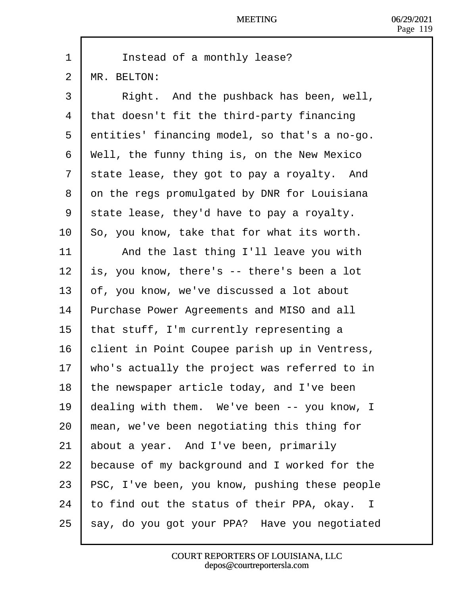- 1 | Instead of a monthly lease?
- 2 MR. BELTON:
- 3 | Right. And the pushback has been, well,
- 4 that doesn't fit the third-party financing
- 5 dentities' financing model, so that's a no-go.
- 6 Well, the funny thing is, on the New Mexico
- 7 state lease, they got to pay a royalty. And
- 8 dn the regs promulgated by DNR for Louisiana
- 9 state lease, they'd have to pay a royalty.
- 10 So, you know, take that for what its worth.
- 11 | And the last thing I'll leave you with
- 12  $\,$  **i**s, you know, there's  $-$  there's been a lot
- 13 bf, you know, we've discussed a lot about
- 14 Purchase Power Agreements and MISO and all
- 15 that stuff, I'm currently representing a
- 16 blient in Point Coupee parish up in Ventress,
- 17 who's actually the project was referred to in
- 18 the newspaper article today, and I've been
- 19 dealing with them. We've been -- you know, I
- 20  $\mu$  mean, we've been negotiating this thing for
- 21 **about a year.** And I've been, primarily
- 22 because of my background and I worked for the
- 23 PSC, I've been, you know, pushing these people
- 24 to find out the status of their PPA, okay. I
- 25 say, do you got your PPA? Have you negotiated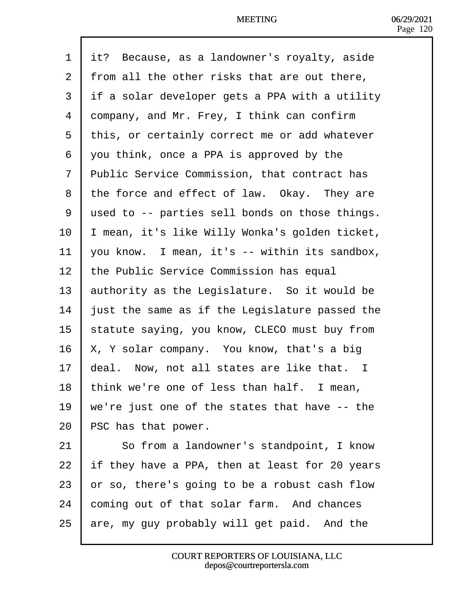| 1              | it? Because, as a landowner's royalty, aside        |
|----------------|-----------------------------------------------------|
| $\overline{2}$ | from all the other risks that are out there,        |
| 3              | if a solar developer gets a PPA with a utility      |
| 4              | dompany, and Mr. Frey, I think can confirm          |
| 5              | this, or certainly correct me or add whatever       |
| 6              | you think, once a PPA is approved by the            |
| 7              | <b>Public Service Commission, that contract has</b> |
| 8              | the force and effect of law. Okay. They are         |
| 9              | used to -- parties sell bonds on those things.      |
| 10             | mean, it's like Willy Wonka's golden ticket,        |
| 11             | you know. I mean, it's -- within its sandbox,       |
| 12             | the Public Service Commission has equal             |
| 13             | authority as the Legislature. So it would be        |
| 14             | ust the same as if the Legislature passed the       |
| 15             | statute saying, you know, CLECO must buy from       |
| 16             | K, Y solar company. You know, that's a big          |
| 17             | deal. Now, not all states are like that. I          |
| 18             | think we're one of less than half. I mean,          |
| 19             | we're just one of the states that have -- the       |
| 20             | PSC has that power.                                 |
| 21             | So from a landowner's standpoint, I know            |
| 22             | If they have a PPA, then at least for 20 years      |
| 23             | or so, there's going to be a robust cash flow       |
| 24             | coming out of that solar farm. And chances          |
| 25             | are, my guy probably will get paid. And the         |
|                |                                                     |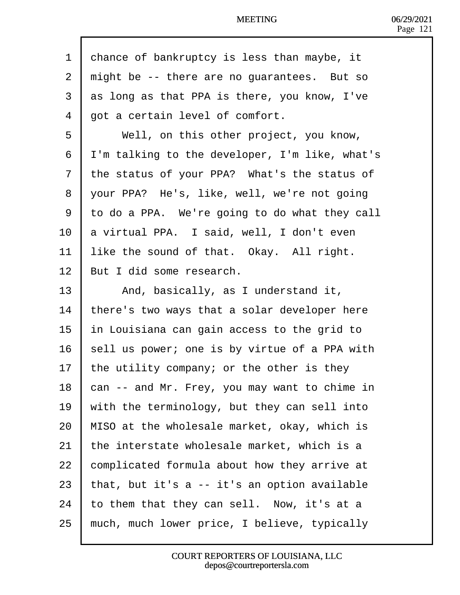| 1  | dhance of bankruptcy is less than maybe, it    |
|----|------------------------------------------------|
| 2  | might be -- there are no guarantees. But so    |
| 3  | as long as that PPA is there, you know, I've   |
| 4  | got a certain level of comfort.                |
| 5  | Well, on this other project, you know,         |
| 6  | I'm talking to the developer, I'm like, what's |
| 7  | the status of your PPA? What's the status of   |
| 8  | your PPA? He's, like, well, we're not going    |
| 9  | to do a PPA. We're going to do what they call  |
| 10 | a virtual PPA. I said, well, I don't even      |
| 11 | like the sound of that. Okay. All right.       |
| 12 | But I did some research.                       |
| 13 | And, basically, as I understand it,            |
| 14 | there's two ways that a solar developer here   |
| 15 | In Louisiana can gain access to the grid to    |
| 16 | sell us power; one is by virtue of a PPA with  |
| 17 | the utility company; or the other is they      |
| 18 | can -- and Mr. Frey, you may want to chime in  |
| 19 | with the terminology, but they can sell into   |
| 20 | MISO at the wholesale market, okay, which is   |
| 21 | the interstate wholesale market, which is a    |
| 22 | complicated formula about how they arrive at   |
| 23 | that, but it's a -- it's an option available   |
| 24 | to them that they can sell. Now, it's at a     |
| 25 | much, much lower price, I believe, typically   |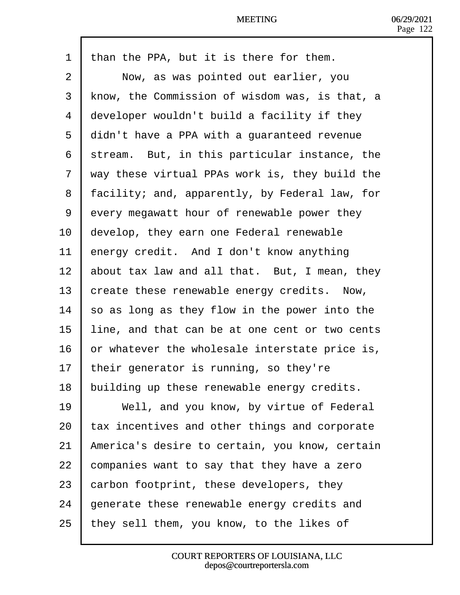| 1              | than the PPA, but it is there for them.        |
|----------------|------------------------------------------------|
| $\overline{2}$ | Now, as was pointed out earlier, you           |
| 3              | know, the Commission of wisdom was, is that, a |
| 4              | developer wouldn't build a facility if they    |
| 5              | didn't have a PPA with a guaranteed revenue    |
| 6              | stream. But, in this particular instance, the  |
| 7              | way these virtual PPAs work is, they build the |
| 8              | facility; and, apparently, by Federal law, for |
| 9              | every megawatt hour of renewable power they    |
| 10             | develop, they earn one Federal renewable       |
| 11             | energy credit. And I don't know anything       |
| 12             | about tax law and all that. But, I mean, they  |
| 13             | create these renewable energy credits. Now,    |
| 14             | so as long as they flow in the power into the  |
| 15             | line, and that can be at one cent or two cents |
| 16             | or whatever the wholesale interstate price is, |
| 17             | their generator is running, so they're         |
| 18             | building up these renewable energy credits.    |
| 19             | Well, and you know, by virtue of Federal       |
| 20             | ax incentives and other things and corporate   |
| 21             | America's desire to certain, you know, certain |
| 22             | companies want to say that they have a zero    |
| 23             | carbon footprint, these developers, they       |
| 24             | generate these renewable energy credits and    |
| 25             | they sell them, you know, to the likes of      |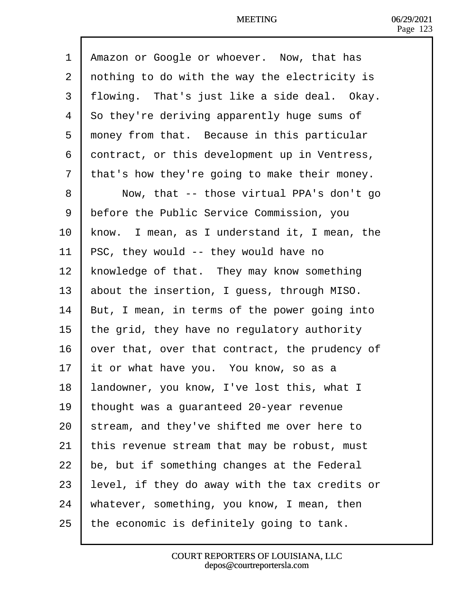1 Amazon or Google or whoever. Now, that has 2 dothing to do with the way the electricity is 3 flowing. That's just like a side deal. Okay. 4 So they're deriving apparently huge sums of 5 money from that. Because in this particular 6 dontract, or this development up in Ventress, 7 that's how they're going to make their money. 8 | Now, that -- those virtual PPA's don't go 9 **Stature 1** Service Commission, you 10 know. I mean, as I understand it, I mean, the 11 PSC, they would -- they would have no 12 knowledge of that. They may know something 13 **about the insertion, I guess, through MISO.** 14 But, I mean, in terms of the power going into 15  $\,$  the grid, they have no regulatory authority 16 by or that, over that contract, the prudency of 17 **It or what have you.** You know, so as a 18 **andowner, you know, I've lost this, what I** 19 thought was a guaranteed 20-year revenue 20 stream, and they've shifted me over here to 21  $\frac{1}{2}$  this revenue stream that may be robust, must 22 be, but if something changes at the Federal 23  $\,$  evel, if they do away with the tax credits or 24 Whatever, something, you know, I mean, then 25 the economic is definitely going to tank.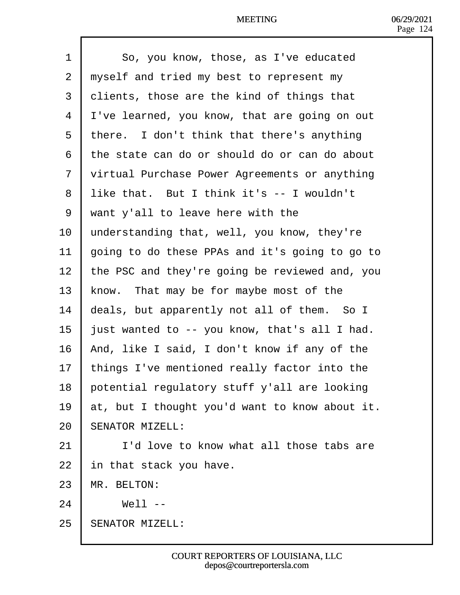- 1 | So, you know, those, as I've educated
- 2 rhyself and tried my best to represent my
- 3 dients, those are the kind of things that
- 4 Ive learned, you know, that are going on out
- 5 there. I don't think that there's anything
- ·6· ·the state can do or should do or can do about
- 7 virtual Purchase Power Agreements or anything
- 8 like that. But I think it's -- I wouldn't
- ·9· ·want y'all to leave here with the
- 10 understanding that, well, you know, they're
- 11 going to do these PPAs and it's going to go to
- 12 the PSC and they're going be reviewed and, you
- 13 know. That may be for maybe most of the
- 14 deals, but apparently not all of them. So I
- 15 **just wanted to -- you know, that's all I had.**
- 16 And, like I said, I don't know if any of the
- 17 things I've mentioned really factor into the
- 18 botential regulatory stuff y'all are looking
- 19  $\mu$ t, but I thought you'd want to know about it.
- 20 **SENATOR MIZELL:**
- 21 **I** I'd love to know what all those tabs are
- 22  $\,$  in that stack you have.
- 23 MR BELTON:
- $24 \mid$  Well --
- 25 **SENATOR MIZELL:**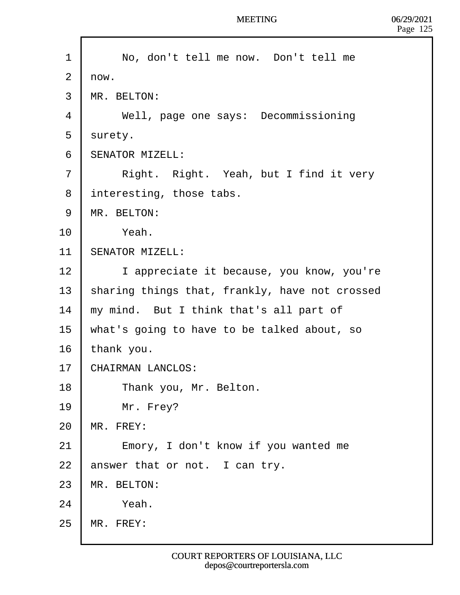| 1              | No, don't tell me now. Don't tell me           |
|----------------|------------------------------------------------|
| $\overline{2}$ | rlow.                                          |
| 3              | <b>MR. BELTON:</b>                             |
| 4              | Well, page one says: Decommissioning           |
| 5              | surety.                                        |
| 6              | <b>SENATOR MIZELL:</b>                         |
| $\overline{7}$ | Right. Right. Yeah, but I find it very         |
| 8              | interesting, those tabs.                       |
| 9              | <b>MR. BELTON:</b>                             |
| 10             | Yeah.                                          |
| 11             | <b>SENATOR MIZELL:</b>                         |
| 12             | I appreciate it because, you know, you're      |
| 13             | sharing things that, frankly, have not crossed |
| 14             | my mind. But I think that's all part of        |
| 15             | what's going to have to be talked about, so    |
| 16             | thank you.                                     |
| 17             | <b>CHAIRMAN LANCLOS:</b>                       |
| 18             | Thank you, Mr. Belton.                         |
| 19             | Mr. Frey?                                      |
| 20             | MR. FREY:                                      |
| 21             | Emory, I don't know if you wanted me           |
| 22             | answer that or not. I can try.                 |
| 23             | <b>MR. BELTON:</b>                             |
| 24             | Yeah.                                          |
| 25             | <b>MR. FREY:</b>                               |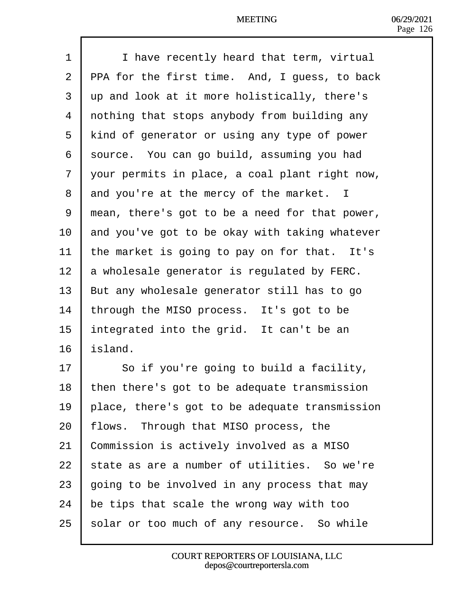| 1              | I have recently heard that term, virtual             |
|----------------|------------------------------------------------------|
| $\overline{2}$ | <b>PPA for the first time. And, I guess, to back</b> |
| 3              | up and look at it more holistically, there's         |
| 4              | rothing that stops anybody from building any         |
| 5              | kind of generator or using any type of power         |
| 6              | source. You can go build, assuming you had           |
| 7              | your permits in place, a coal plant right now,       |
| 8              | and you're at the mercy of the market. I             |
| 9              | mean, there's got to be a need for that power,       |
| 10             | and you've got to be okay with taking whatever       |
| 11             | the market is going to pay on for that. It's         |
| 12             | a wholesale generator is regulated by FERC.          |
| 13             | But any wholesale generator still has to go          |
| 14             | through the MISO process. It's got to be             |
| 15             | Integrated into the grid. It can't be an             |
| 16             | sland.                                               |
| 17             | So if you're going to build a facility,              |
| 18             | then there's got to be adequate transmission         |
| 19             | place, there's got to be adequate transmission       |
| 20             | flows. Through that MISO process, the                |
| 21             | Commission is actively involved as a MISO            |
| 22             | state as are a number of utilities. So we're         |
| 23             | going to be involved in any process that may         |
| 24             | be tips that scale the wrong way with too            |
| 25             | solar or too much of any resource. So while          |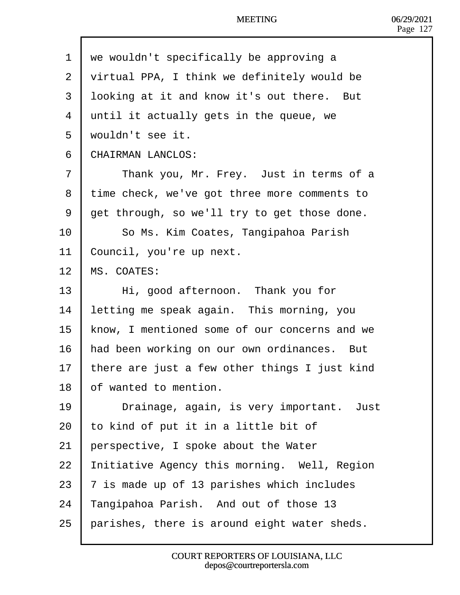- 1 we wouldn't specifically be approving a
- 2 yirtual PPA, I think we definitely would be
- 3 looking at it and know it's out there. But
- 4 until it actually gets in the queue, we
- 5 wouldn't see it.
- 6 CHAIRMAN LANCLOS:
- 7 | Thank you, Mr. Frey. Just in terms of a
- 8 time check, we've got three more comments to
- 9 det through, so we'll try to get those done.
- 10 | So Ms. Kim Coates, Tangipahoa Parish
- 11 Council, you're up next.
- 12 MS. COATES:
- 13 | Hi, good afternoon. Thank you for
- 14 letting me speak again. This morning, you
- 15 know, I mentioned some of our concerns and we
- 16 had been working on our own ordinances. But
- 17 there are just a few other things I just kind
- 18 bf wanted to mention.
- 19 | Drainage, again, is very important. Just
- 20  $\cdot$  to kind of put it in a little bit of
- 21 **berspective, I spoke about the Water**
- 22 Initiative Agency this morning. Well, Region
- 23  $\bar{v}$  is made up of 13 parishes which includes
- 24 Tangipahoa Parish. And out of those 13
- 25 parishes, there is around eight water sheds.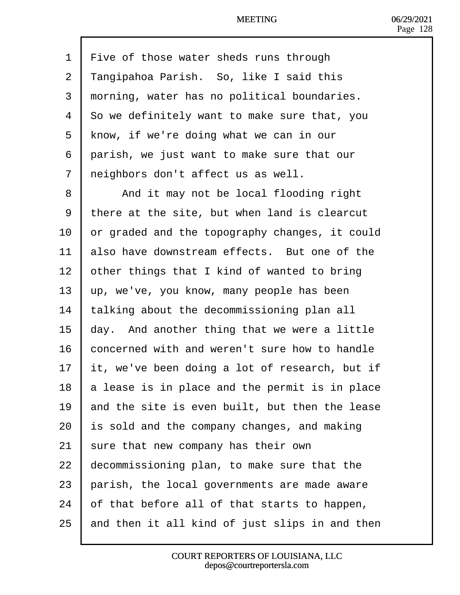| 1  | Five of those water sheds runs through              |
|----|-----------------------------------------------------|
| 2  | Tangipahoa Parish. So, like I said this             |
| 3  | morning, water has no political boundaries.         |
| 4  | <b>So</b> we definitely want to make sure that, you |
| 5  | know, if we're doing what we can in our             |
| 6  | parish, we just want to make sure that our          |
| 7  | reighbors don't affect us as well.                  |
| 8  | And it may not be local flooding right              |
| 9  | there at the site, but when land is clearcut        |
| 10 | or graded and the topography changes, it could      |
| 11 | also have downstream effects. But one of the        |
| 12 | other things that I kind of wanted to bring         |
| 13 | up, we've, you know, many people has been           |
| 14 | talking about the decommissioning plan all          |
| 15 | day. And another thing that we were a little        |
| 16 | concerned with and weren't sure how to handle       |
| 17 | It, we've been doing a lot of research, but if      |
| 18 | a lease is in place and the permit is in place      |
| 19 | and the site is even built, but then the lease      |
| 20 | <b>is sold and the company changes, and making</b>  |
| 21 | sure that new company has their own                 |
| 22 | decommissioning plan, to make sure that the         |
| 23 | parish, the local governments are made aware        |
| 24 | of that before all of that starts to happen,        |
| 25 | and then it all kind of just slips in and then      |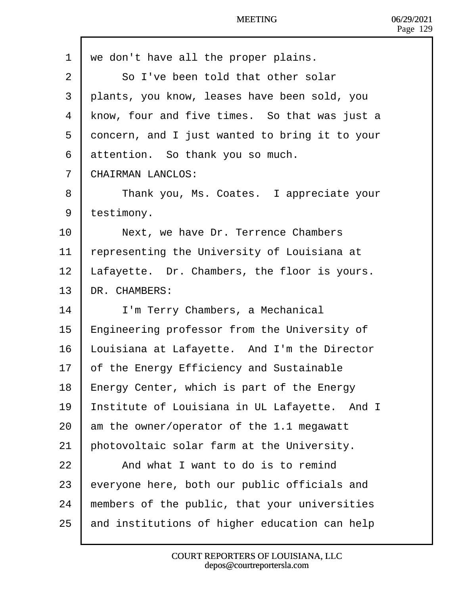| 1              | we don't have all the proper plains.           |
|----------------|------------------------------------------------|
| 2              | So I've been told that other solar             |
| 3              | plants, you know, leases have been sold, you   |
| 4              | know, four and five times. So that was just a  |
| 5              | doncern, and I just wanted to bring it to your |
| 6              | attention. So thank you so much.               |
| $\overline{7}$ | <b>CHAIRMAN LANCLOS:</b>                       |
| 8              | Thank you, Ms. Coates. I appreciate your       |
| 9              | testimony.                                     |
| 10             | Next, we have Dr. Terrence Chambers            |
| 11             | epresenting the University of Louisiana at     |
| 12             | afayette. Dr. Chambers, the floor is yours.    |
| 13             | DR. CHAMBERS:                                  |
| 14             | I'm Terry Chambers, a Mechanical               |
| 15             | Engineering professor from the University of   |
| 16             | ouisiana at Lafayette. And I'm the Director    |
| 17             | of the Energy Efficiency and Sustainable       |
| 18             | Energy Center, which is part of the Energy     |
| 19             | nstitute of Louisiana in UL Lafayette. And I   |
| 20             | am the owner/operator of the 1.1 megawatt      |
| 21             | bhotovoltaic solar farm at the University.     |
| 22             | And what I want to do is to remind             |
| 23             | everyone here, both our public officials and   |
| 24             | members of the public, that your universities  |
| 25             | and institutions of higher education can help  |
|                |                                                |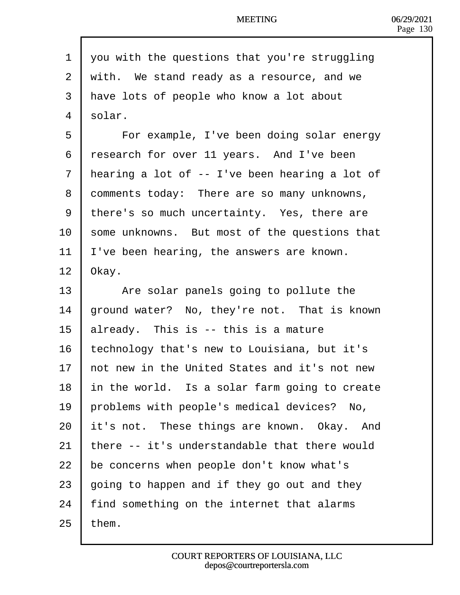1 you with the questions that you're struggling 2 with. We stand ready as a resource, and we 3 Have lots of people who know a lot about 4 solar. 5 | For example, I've been doing solar energy 6 research for over 11 years. And I've been 7 Hearing a lot of -- I've been hearing a lot of 8 domments today: There are so many unknowns, 9 there's so much uncertainty. Yes, there are 10 some unknowns. But most of the questions that 11 Ve been hearing, the answers are known. 12 **Okay.** 13 | Are solar panels going to pollute the 14 ground water? No, they're not. That is known 15  $\mu$  already. This is -- this is a mature 16 technology that's new to Louisiana, but it's 17 hot new in the United States and it's not new 18 In the world. Is a solar farm going to create 19 problems with people's medical devices? No, 20 it's not. These things are known. Okay. And 21 there -- it's understandable that there would 22 be concerns when people don't know what's 23  $\frac{1}{2}$  boing to happen and if they go out and they 24 find something on the internet that alarms

 $25$  them.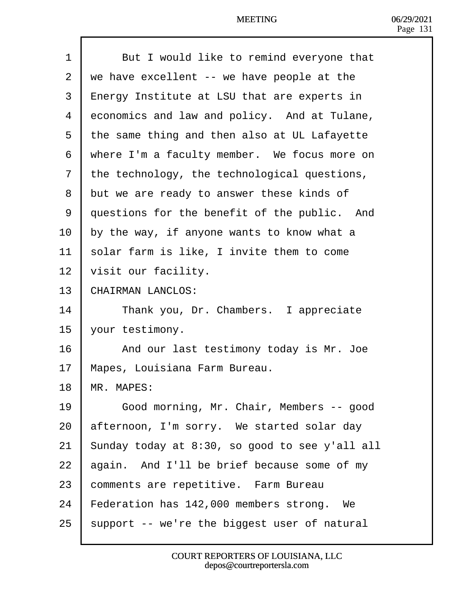| 1  | But I would like to remind everyone that           |
|----|----------------------------------------------------|
| 2  | we have excellent -- we have people at the         |
| 3  | <b>Energy Institute at LSU that are experts in</b> |
| 4  | economics and law and policy. And at Tulane,       |
| 5  | the same thing and then also at UL Lafayette       |
| 6  | where I'm a faculty member. We focus more on       |
| 7  | the technology, the technological questions,       |
| 8  | but we are ready to answer these kinds of          |
| 9  | duestions for the benefit of the public. And       |
| 10 | by the way, if anyone wants to know what a         |
| 11 | solar farm is like, I invite them to come          |
| 12 | visit our facility.                                |
| 13 | CHAIRMAN LANCLOS:                                  |
| 14 | Thank you, Dr. Chambers. I appreciate              |
| 15 | your testimony.                                    |
| 16 | And our last testimony today is Mr. Joe            |
| 17 | Mapes, Louisiana Farm Bureau.                      |
| 18 | <b>MR. MAPES:</b>                                  |
| 19 | Good morning, Mr. Chair, Members -- good           |
| 20 | afternoon, I'm sorry. We started solar day         |
| 21 | Sunday today at 8:30, so good to see y'all all     |
| 22 | again. And I'll be brief because some of my        |
| 23 | comments are repetitive. Farm Bureau               |
| 24 | Federation has 142,000 members strong. We          |
| 25 | support -- we're the biggest user of natural       |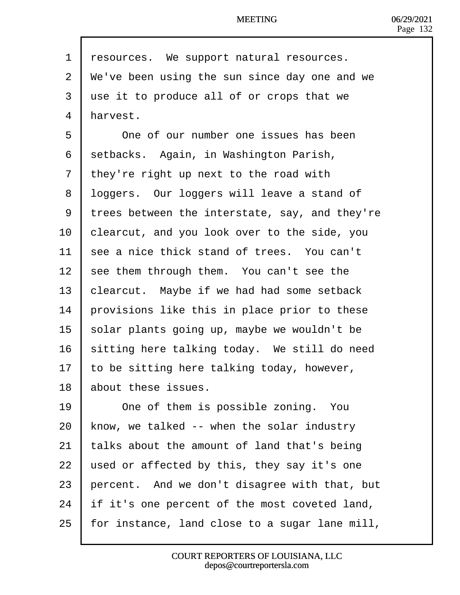| 1              | resources. We support natural resources.       |
|----------------|------------------------------------------------|
| $\overline{2}$ | We've been using the sun since day one and we  |
| 3              | use it to produce all of or crops that we      |
| 4              | Harvest.                                       |
| 5              | One of our number one issues has been          |
| 6              | setbacks. Again, in Washington Parish,         |
| 7              | they're right up next to the road with         |
| 8              | Ibggers. Our loggers will leave a stand of     |
| 9              | trees between the interstate, say, and they're |
| 10             | clearcut, and you look over to the side, you   |
| 11             | see a nice thick stand of trees. You can't     |
| 12             | see them through them. You can't see the       |
| 13             | clearcut. Maybe if we had had some setback     |
| 14             | provisions like this in place prior to these   |
| 15             | solar plants going up, maybe we wouldn't be    |
| 16             | sitting here talking today. We still do need   |
| 17             | to be sitting here talking today, however,     |
| 18             | about these issues.                            |
| 19             | One of them is possible zoning. You            |
| 20             | know, we talked -- when the solar industry     |
| 21             | talks about the amount of land that's being    |
| 22             | used or affected by this, they say it's one    |
| 23             | percent. And we don't disagree with that, but  |
| 24             | If it's one percent of the most coveted land,  |
| 25             | for instance, land close to a sugar lane mill, |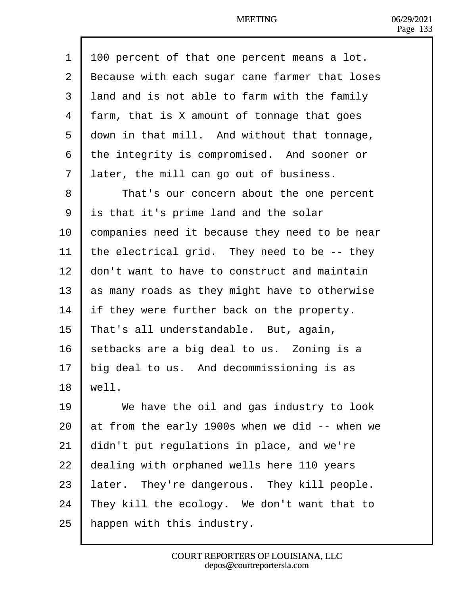| 1              | 00 percent of that one percent means a lot.    |
|----------------|------------------------------------------------|
| 2              | Because with each sugar cane farmer that loses |
| 3              | land and is not able to farm with the family   |
| 4              | farm, that is X amount of tonnage that goes    |
| 5              | down in that mill. And without that tonnage,   |
| 6              | the integrity is compromised. And sooner or    |
| $\overline{7}$ | later, the mill can go out of business.        |
| 8              | That's our concern about the one percent       |
| 9              | is that it's prime land and the solar          |
| 10             | companies need it because they need to be near |
| 11             | the electrical grid. They need to be -- they   |
| 12             | don't want to have to construct and maintain   |
| 13             | as many roads as they might have to otherwise  |
| 14             | If they were further back on the property.     |
| 15             | That's all understandable. But, again,         |
| 16             | setbacks are a big deal to us. Zoning is a     |
| 17             | big deal to us. And decommissioning is as      |
| 18             | well.                                          |
| 19             | We have the oil and gas industry to look       |
| 20             | at from the early 1900s when we did -- when we |
| 21             | didn't put regulations in place, and we're     |
| 22             | dealing with orphaned wells here 110 years     |
| 23             | ater. They're dangerous. They kill people.     |
| 24             | They kill the ecology. We don't want that to   |
| 25             | happen with this industry.                     |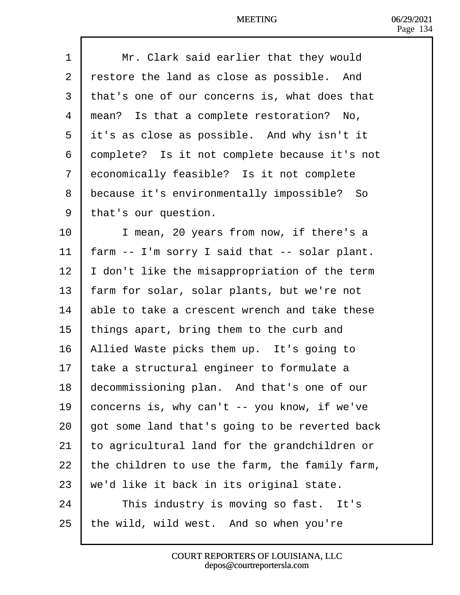| 1              | Mr. Clark said earlier that they would         |
|----------------|------------------------------------------------|
| $\overline{2}$ | restore the land as close as possible. And     |
| 3              | that's one of our concerns is, what does that  |
| 4              | mean? Is that a complete restoration? No,      |
| 5              | it's as close as possible. And why isn't it    |
| 6              | domplete? Is it not complete because it's not  |
| 7              | economically feasible? Is it not complete      |
| 8              | because it's environmentally impossible? So    |
| 9              | that's our question.                           |
| 10             | I mean, 20 years from now, if there's a        |
| 11             | arm -- I'm sorry I said that -- solar plant.   |
| 12             | don't like the misappropriation of the term    |
| 13             | arm for solar, solar plants, but we're not     |
| 14             | able to take a crescent wrench and take these  |
| 15             | things apart, bring them to the curb and       |
| 16             | Allied Waste picks them up. It's going to      |
| 17             | ake a structural engineer to formulate a       |
| 18             | decommissioning plan. And that's one of our    |
| 19             | concerns is, why can't -- you know, if we've   |
| 20             | got some land that's going to be reverted back |
| 21             | to agricultural land for the grandchildren or  |
| 22             | the children to use the farm, the family farm, |
| 23             | we'd like it back in its original state.       |
| 24             | This industry is moving so fast. It's          |
| 25             | the wild, wild west. And so when you're        |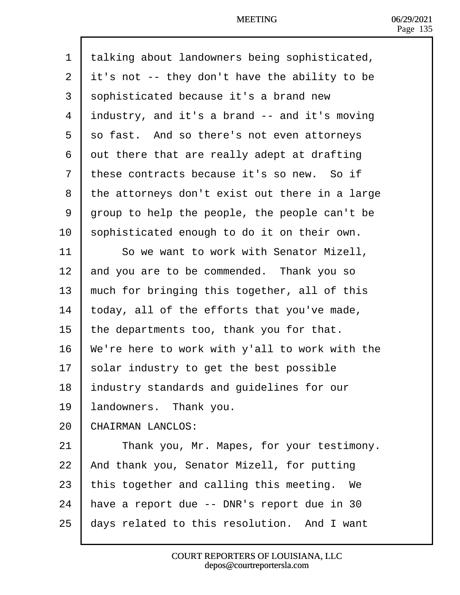| 1              | talking about landowners being sophisticated,  |
|----------------|------------------------------------------------|
| $\overline{2}$ | it's not -- they don't have the ability to be  |
| 3              | sophisticated because it's a brand new         |
| 4              | industry, and it's a brand -- and it's moving  |
| 5              | so fast. And so there's not even attorneys     |
| 6              | dut there that are really adept at drafting    |
| $\overline{7}$ | these contracts because it's so new. So if     |
| 8              | the attorneys don't exist out there in a large |
| 9              | group to help the people, the people can't be  |
| 10             | sophisticated enough to do it on their own.    |
| 11             | So we want to work with Senator Mizell,        |
| 12             | and you are to be commended. Thank you so      |
| 13             | much for bringing this together, all of this   |
| 14             | loday, all of the efforts that you've made,    |
| 15             | the departments too, thank you for that.       |
| 16             | We're here to work with y'all to work with the |
| 17             | solar industry to get the best possible        |
| 18             | Industry standards and guidelines for our      |
| 19             | andowners. Thank you.                          |
| 20             | CHAIRMAN LANCLOS:                              |
| 21             | Thank you, Mr. Mapes, for your testimony.      |
| 22             | And thank you, Senator Mizell, for putting     |
| 23             | this together and calling this meeting. We     |
| 24             | have a report due -- DNR's report due in 30    |
| 25             | days related to this resolution. And I want    |
|                |                                                |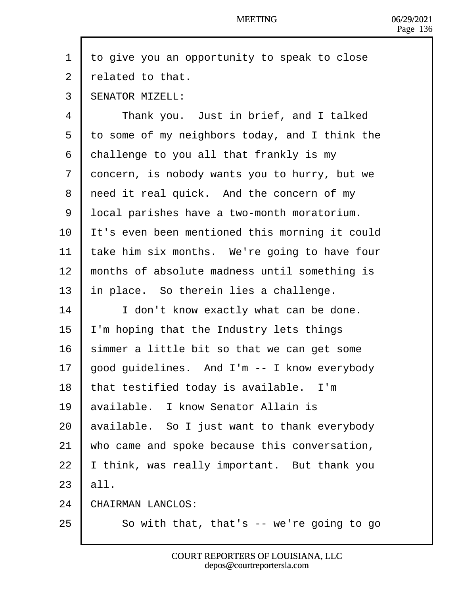| to give you an opportunity to speak to close   |
|------------------------------------------------|
| related to that.                               |
| <b>SENATOR MIZELL:</b>                         |
| Thank you. Just in brief, and I talked         |
| to some of my neighbors today, and I think the |
| dhallenge to you all that frankly is my        |
| doncern, is nobody wants you to hurry, but we  |
| reed it real quick. And the concern of my      |
| Ipcal parishes have a two-month moratorium.    |
| t's even been mentioned this morning it could  |
| take him six months. We're going to have four  |
| months of absolute madness until something is  |
| In place. So therein lies a challenge.         |
| I don't know exactly what can be done.         |
| 'm hoping that the Industry lets things        |
| simmer a little bit so that we can get some    |
| good guidelines. And I'm -- I know everybody   |
| that testified today is available. I'm         |
| available. I know Senator Allain is            |
| available. So I just want to thank everybody   |
| who came and spoke because this conversation,  |
| think, was really important. But thank you     |
| all.                                           |
| CHAIRMAN LANCLOS:                              |
| So with that, that's -- we're going to go      |
|                                                |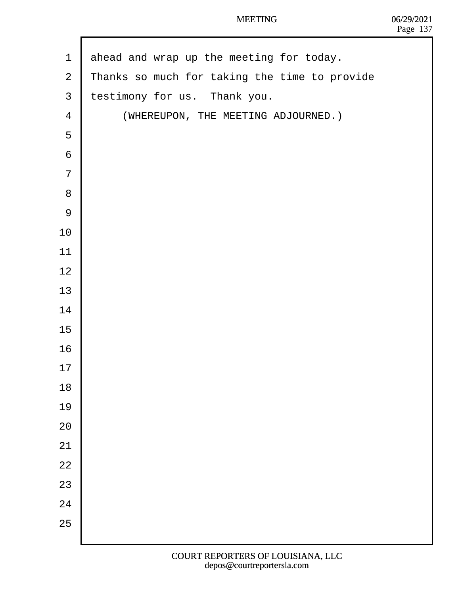| $\mathbf 1$    | ahead and wrap up the meeting for today.      |
|----------------|-----------------------------------------------|
| $\overline{2}$ | Thanks so much for taking the time to provide |
| $\mathfrak{S}$ | testimony for us. Thank you.                  |
| $\overline{4}$ | (WHEREUPON, THE MEETING ADJOURNED.)           |
| 5              |                                               |
| $\,6$          |                                               |
| $\overline{7}$ |                                               |
| 8              |                                               |
| $9\,$          |                                               |
| 10             |                                               |
| 11             |                                               |
| 12             |                                               |
| 13             |                                               |
| 14             |                                               |
| 15             |                                               |
| 16             |                                               |
| 17             |                                               |
| 18             |                                               |
| 19             |                                               |
| 20             |                                               |
| 21             |                                               |
| 22             |                                               |
| 23             |                                               |
| 24             |                                               |
| 25             |                                               |
|                |                                               |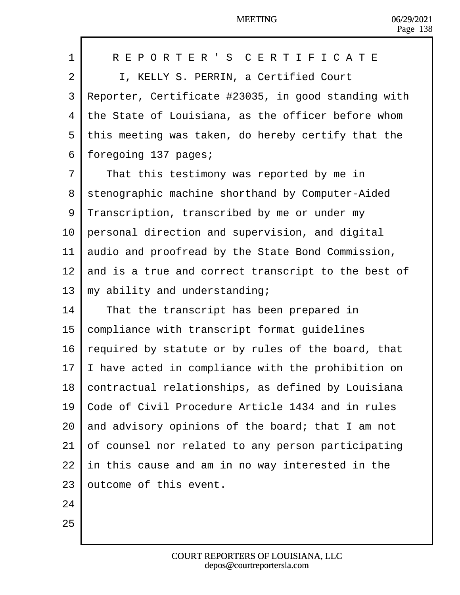| 1  | REPORTER'S CERTIFICATE                                |
|----|-------------------------------------------------------|
| 2  | I, KELLY S. PERRIN, a Certified Court                 |
| 3  | Reporter, Certificate #23035, in good standing with   |
| 4  | the State of Louisiana, as the officer before whom    |
| 5  | this meeting was taken, do hereby certify that the    |
| 6  | foregoing 137 pages;                                  |
| 7  | That this testimony was reported by me in             |
| 8  | stenographic machine shorthand by Computer-Aided      |
| 9  | Transcription, transcribed by me or under my          |
| 10 | personal direction and supervision, and digital       |
| 11 | audio and proofread by the State Bond Commission,     |
| 12 | and is a true and correct transcript to the best of   |
| 13 | my ability and understanding;                         |
| 14 | That the transcript has been prepared in              |
| 15 | compliance with transcript format guidelines          |
| 16 | equired by statute or by rules of the board, that     |
| 17 | have acted in compliance with the prohibition on      |
|    | 18 contractual relationships, as defined by Louisiana |
| 19 | Code of Civil Procedure Article 1434 and in rules     |
| 20 | and advisory opinions of the board; that I am not     |
| 21 | of counsel nor related to any person participating    |
| 22 | In this cause and am in no way interested in the      |
| 23 | butcome of this event.                                |
| 24 |                                                       |
| 25 |                                                       |